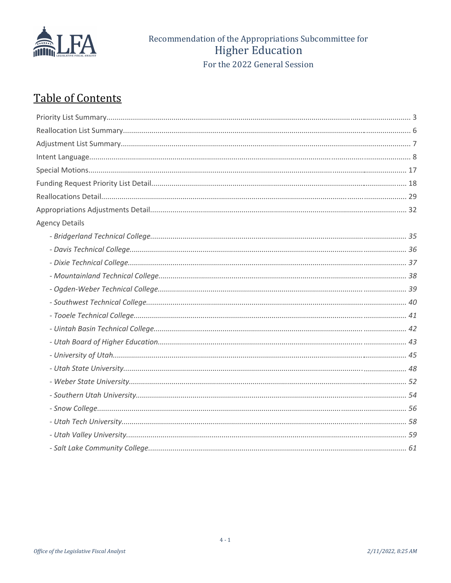

Recommendation of the Appropriations Subcommittee for<br>Higher Education For the 2022 General Session

## **Table of Contents**

| <b>Agency Details</b> |  |
|-----------------------|--|
|                       |  |
|                       |  |
|                       |  |
|                       |  |
|                       |  |
|                       |  |
|                       |  |
|                       |  |
|                       |  |
|                       |  |
|                       |  |
|                       |  |
|                       |  |
|                       |  |
|                       |  |
|                       |  |
|                       |  |
|                       |  |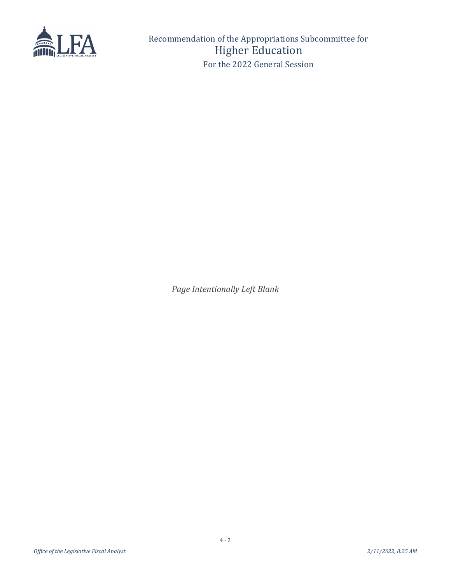

Recommendation of the Appropriations Subcommittee for Higher Education For the 2022 General Session

*Page Intentionally Left Blank*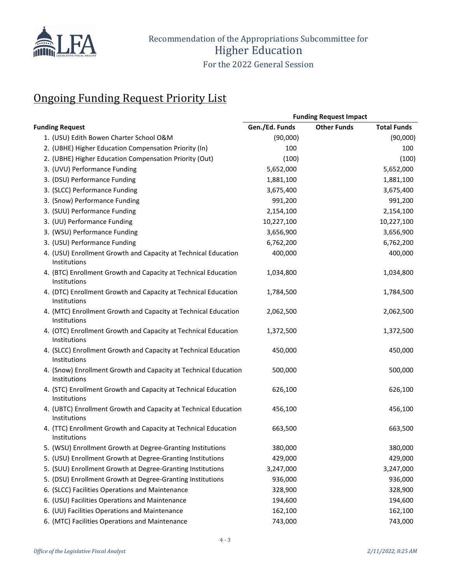

### For the 2022 General Session

## Ongoing Funding Request Priority List

|                                                                                 | <b>Funding Request Impact</b> |                    |                    |
|---------------------------------------------------------------------------------|-------------------------------|--------------------|--------------------|
| <b>Funding Request</b>                                                          | Gen./Ed. Funds                | <b>Other Funds</b> | <b>Total Funds</b> |
| 1. (USU) Edith Bowen Charter School O&M                                         | (90,000)                      |                    | (90,000)           |
| 2. (UBHE) Higher Education Compensation Priority (In)                           | 100                           |                    | 100                |
| 2. (UBHE) Higher Education Compensation Priority (Out)                          | (100)                         |                    | (100)              |
| 3. (UVU) Performance Funding                                                    | 5,652,000                     |                    | 5,652,000          |
| 3. (DSU) Performance Funding                                                    | 1,881,100                     |                    | 1,881,100          |
| 3. (SLCC) Performance Funding                                                   | 3,675,400                     |                    | 3,675,400          |
| 3. (Snow) Performance Funding                                                   | 991,200                       |                    | 991,200            |
| 3. (SUU) Performance Funding                                                    | 2,154,100                     |                    | 2,154,100          |
| 3. (UU) Performance Funding                                                     | 10,227,100                    |                    | 10,227,100         |
| 3. (WSU) Performance Funding                                                    | 3,656,900                     |                    | 3,656,900          |
| 3. (USU) Performance Funding                                                    | 6,762,200                     |                    | 6,762,200          |
| 4. (USU) Enrollment Growth and Capacity at Technical Education<br>Institutions  | 400,000                       |                    | 400,000            |
| 4. (BTC) Enrollment Growth and Capacity at Technical Education<br>Institutions  | 1,034,800                     |                    | 1,034,800          |
| 4. (DTC) Enrollment Growth and Capacity at Technical Education<br>Institutions  | 1,784,500                     |                    | 1,784,500          |
| 4. (MTC) Enrollment Growth and Capacity at Technical Education<br>Institutions  | 2,062,500                     |                    | 2,062,500          |
| 4. (OTC) Enrollment Growth and Capacity at Technical Education<br>Institutions  | 1,372,500                     |                    | 1,372,500          |
| 4. (SLCC) Enrollment Growth and Capacity at Technical Education<br>Institutions | 450,000                       |                    | 450,000            |
| 4. (Snow) Enrollment Growth and Capacity at Technical Education<br>Institutions | 500,000                       |                    | 500,000            |
| 4. (STC) Enrollment Growth and Capacity at Technical Education<br>Institutions  | 626,100                       |                    | 626,100            |
| 4. (UBTC) Enrollment Growth and Capacity at Technical Education<br>Institutions | 456,100                       |                    | 456,100            |
| 4. (TTC) Enrollment Growth and Capacity at Technical Education<br>Institutions  | 663,500                       |                    | 663,500            |
| 5. (WSU) Enrollment Growth at Degree-Granting Institutions                      | 380,000                       |                    | 380,000            |
| 5. (USU) Enrollment Growth at Degree-Granting Institutions                      | 429,000                       |                    | 429,000            |
| 5. (SUU) Enrollment Growth at Degree-Granting Institutions                      | 3,247,000                     |                    | 3,247,000          |
| 5. (DSU) Enrollment Growth at Degree-Granting Institutions                      | 936,000                       |                    | 936,000            |
| 6. (SLCC) Facilities Operations and Maintenance                                 | 328,900                       |                    | 328,900            |
| 6. (USU) Facilities Operations and Maintenance                                  | 194,600                       |                    | 194,600            |
| 6. (UU) Facilities Operations and Maintenance                                   | 162,100                       |                    | 162,100            |
| 6. (MTC) Facilities Operations and Maintenance                                  | 743,000                       |                    | 743,000            |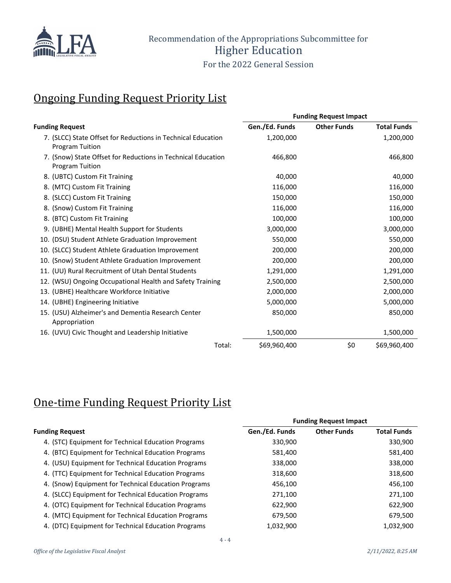

Recommendation of the Appropriations Subcommittee for Higher Education For the 2022 General Session

### Ongoing Funding Request Priority List

| <b>Funding Request Impact</b>                                                          |                |                    |                    |
|----------------------------------------------------------------------------------------|----------------|--------------------|--------------------|
| <b>Funding Request</b>                                                                 | Gen./Ed. Funds | <b>Other Funds</b> | <b>Total Funds</b> |
| 7. (SLCC) State Offset for Reductions in Technical Education<br><b>Program Tuition</b> | 1,200,000      |                    | 1,200,000          |
| 7. (Snow) State Offset for Reductions in Technical Education<br><b>Program Tuition</b> | 466,800        |                    | 466,800            |
| 8. (UBTC) Custom Fit Training                                                          | 40,000         |                    | 40,000             |
| 8. (MTC) Custom Fit Training                                                           | 116,000        |                    | 116,000            |
| 8. (SLCC) Custom Fit Training                                                          | 150,000        |                    | 150,000            |
| 8. (Snow) Custom Fit Training                                                          | 116,000        |                    | 116,000            |
| 8. (BTC) Custom Fit Training                                                           | 100,000        |                    | 100,000            |
| 9. (UBHE) Mental Health Support for Students                                           | 3,000,000      |                    | 3,000,000          |
| 10. (DSU) Student Athlete Graduation Improvement                                       | 550,000        |                    | 550,000            |
| 10. (SLCC) Student Athlete Graduation Improvement                                      | 200,000        |                    | 200,000            |
| 10. (Snow) Student Athlete Graduation Improvement                                      | 200,000        |                    | 200,000            |
| 11. (UU) Rural Recruitment of Utah Dental Students                                     | 1,291,000      |                    | 1,291,000          |
| 12. (WSU) Ongoing Occupational Health and Safety Training                              | 2,500,000      |                    | 2,500,000          |
| 13. (UBHE) Healthcare Workforce Initiative                                             | 2,000,000      |                    | 2,000,000          |
| 14. (UBHE) Engineering Initiative                                                      | 5,000,000      |                    | 5,000,000          |
| 15. (USU) Alzheimer's and Dementia Research Center<br>Appropriation                    | 850,000        |                    | 850,000            |
| 16. (UVU) Civic Thought and Leadership Initiative                                      | 1,500,000      |                    | 1,500,000          |
| Total:                                                                                 | \$69,960,400   | \$0                | \$69,960,400       |

## One-time Funding Request Priority List

|                                                      | <b>Funding Request Impact</b> |                    |                    |  |
|------------------------------------------------------|-------------------------------|--------------------|--------------------|--|
| <b>Funding Request</b>                               | Gen./Ed. Funds                | <b>Other Funds</b> | <b>Total Funds</b> |  |
| 4. (STC) Equipment for Technical Education Programs  | 330,900                       |                    | 330,900            |  |
| 4. (BTC) Equipment for Technical Education Programs  | 581,400                       |                    | 581,400            |  |
| 4. (USU) Equipment for Technical Education Programs  | 338,000                       |                    | 338,000            |  |
| 4. (TTC) Equipment for Technical Education Programs  | 318,600                       |                    | 318,600            |  |
| 4. (Snow) Equipment for Technical Education Programs | 456,100                       |                    | 456,100            |  |
| 4. (SLCC) Equipment for Technical Education Programs | 271,100                       |                    | 271,100            |  |
| 4. (OTC) Equipment for Technical Education Programs  | 622,900                       |                    | 622,900            |  |
| 4. (MTC) Equipment for Technical Education Programs  | 679,500                       |                    | 679,500            |  |
| 4. (DTC) Equipment for Technical Education Programs  | 1,032,900                     |                    | 1,032,900          |  |

4 - 4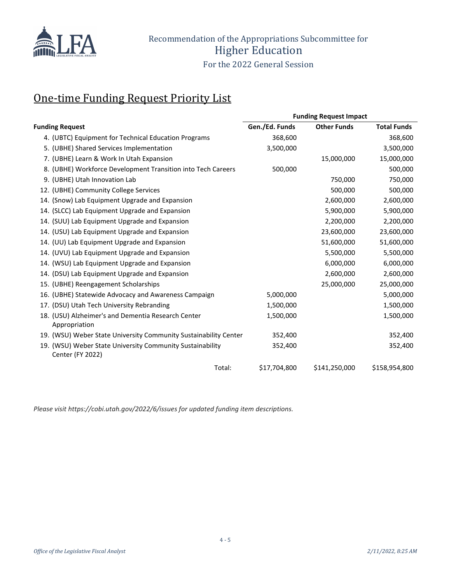

## One-time Funding Request Priority List

|                                                                               |                | <b>Funding Request Impact</b> |                    |  |  |
|-------------------------------------------------------------------------------|----------------|-------------------------------|--------------------|--|--|
| <b>Funding Request</b>                                                        | Gen./Ed. Funds | <b>Other Funds</b>            | <b>Total Funds</b> |  |  |
| 4. (UBTC) Equipment for Technical Education Programs                          | 368,600        |                               | 368,600            |  |  |
| 5. (UBHE) Shared Services Implementation                                      | 3,500,000      |                               | 3,500,000          |  |  |
| 7. (UBHE) Learn & Work In Utah Expansion                                      |                | 15,000,000                    | 15,000,000         |  |  |
| 8. (UBHE) Workforce Development Transition into Tech Careers                  | 500,000        |                               | 500,000            |  |  |
| 9. (UBHE) Utah Innovation Lab                                                 |                | 750,000                       | 750,000            |  |  |
| 12. (UBHE) Community College Services                                         |                | 500,000                       | 500,000            |  |  |
| 14. (Snow) Lab Equipment Upgrade and Expansion                                |                | 2,600,000                     | 2,600,000          |  |  |
| 14. (SLCC) Lab Equipment Upgrade and Expansion                                |                | 5,900,000                     | 5,900,000          |  |  |
| 14. (SUU) Lab Equipment Upgrade and Expansion                                 |                | 2,200,000                     | 2,200,000          |  |  |
| 14. (USU) Lab Equipment Upgrade and Expansion                                 |                | 23,600,000                    | 23,600,000         |  |  |
| 14. (UU) Lab Equipment Upgrade and Expansion                                  |                | 51,600,000                    | 51,600,000         |  |  |
| 14. (UVU) Lab Equipment Upgrade and Expansion                                 |                | 5,500,000                     | 5,500,000          |  |  |
| 14. (WSU) Lab Equipment Upgrade and Expansion                                 |                | 6,000,000                     | 6,000,000          |  |  |
| 14. (DSU) Lab Equipment Upgrade and Expansion                                 |                | 2,600,000                     | 2,600,000          |  |  |
| 15. (UBHE) Reengagement Scholarships                                          |                | 25,000,000                    | 25,000,000         |  |  |
| 16. (UBHE) Statewide Advocacy and Awareness Campaign                          | 5,000,000      |                               | 5,000,000          |  |  |
| 17. (DSU) Utah Tech University Rebranding                                     | 1,500,000      |                               | 1,500,000          |  |  |
| 18. (USU) Alzheimer's and Dementia Research Center<br>Appropriation           | 1,500,000      |                               | 1,500,000          |  |  |
| 19. (WSU) Weber State University Community Sustainability Center              | 352,400        |                               | 352,400            |  |  |
| 19. (WSU) Weber State University Community Sustainability<br>Center (FY 2022) | 352,400        |                               | 352,400            |  |  |
| Total:                                                                        | \$17,704,800   | \$141,250,000                 | \$158,954,800      |  |  |

*Please visit https://cobi.utah.gov/2022/6/issues for updated funding item descriptions.*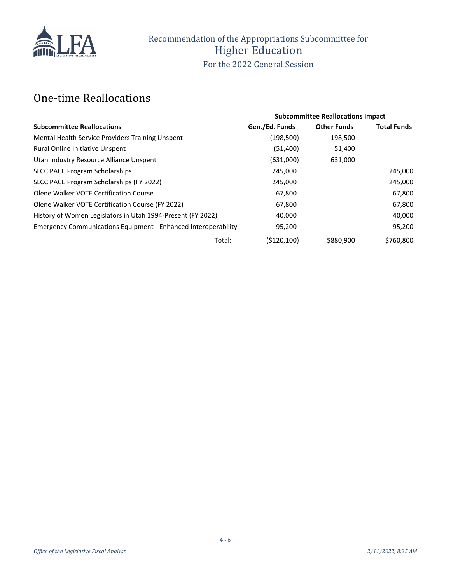

### Recommendation of the Appropriations Subcommittee for Higher Education For the 2022 General Session

## One-time Reallocations

|                                                                       | <b>Subcommittee Reallocations Impact</b> |                    |                    |  |
|-----------------------------------------------------------------------|------------------------------------------|--------------------|--------------------|--|
| <b>Subcommittee Reallocations</b>                                     | Gen./Ed. Funds                           | <b>Other Funds</b> | <b>Total Funds</b> |  |
| Mental Health Service Providers Training Unspent                      | (198, 500)                               | 198,500            |                    |  |
| <b>Rural Online Initiative Unspent</b>                                | (51,400)                                 | 51,400             |                    |  |
| Utah Industry Resource Alliance Unspent                               | (631,000)                                | 631,000            |                    |  |
| <b>SLCC PACE Program Scholarships</b>                                 | 245,000                                  |                    | 245,000            |  |
| SLCC PACE Program Scholarships (FY 2022)                              | 245,000                                  |                    | 245,000            |  |
| Olene Walker VOTE Certification Course                                | 67,800                                   |                    | 67,800             |  |
| Olene Walker VOTE Certification Course (FY 2022)                      | 67,800                                   |                    | 67,800             |  |
| History of Women Legislators in Utah 1994-Present (FY 2022)           | 40,000                                   |                    | 40,000             |  |
| <b>Emergency Communications Equipment - Enhanced Interoperability</b> | 95,200                                   |                    | 95,200             |  |
| Total:                                                                | ( \$120, 100)                            | \$880,900          | \$760,800          |  |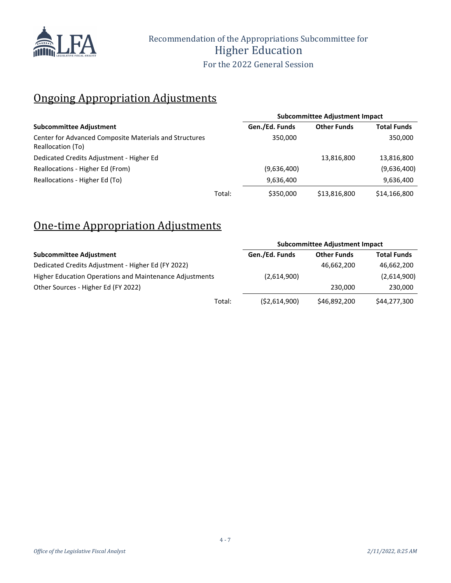

### Ongoing Appropriation Adjustments

|                                                                                    |        | <b>Subcommittee Adjustment Impact</b> |                    |                    |  |
|------------------------------------------------------------------------------------|--------|---------------------------------------|--------------------|--------------------|--|
| <b>Subcommittee Adjustment</b>                                                     |        | Gen./Ed. Funds                        | <b>Other Funds</b> | <b>Total Funds</b> |  |
| <b>Center for Advanced Composite Materials and Structures</b><br>Reallocation (To) |        | 350,000                               |                    | 350,000            |  |
| Dedicated Credits Adjustment - Higher Ed                                           |        |                                       | 13,816,800         | 13,816,800         |  |
| Reallocations - Higher Ed (From)                                                   |        | (9,636,400)                           |                    | (9,636,400)        |  |
| Reallocations - Higher Ed (To)                                                     |        | 9,636,400                             |                    | 9,636,400          |  |
|                                                                                    | Total: | \$350,000                             | \$13,816,800       | \$14,166,800       |  |

## One-time Appropriation Adjustments

|                                                         | <b>Subcommittee Adjustment Impact</b> |                    |                    |  |
|---------------------------------------------------------|---------------------------------------|--------------------|--------------------|--|
| <b>Subcommittee Adjustment</b>                          | Gen./Ed. Funds                        | <b>Other Funds</b> | <b>Total Funds</b> |  |
| Dedicated Credits Adjustment - Higher Ed (FY 2022)      |                                       | 46,662,200         | 46,662,200         |  |
| Higher Education Operations and Maintenance Adjustments | (2,614,900)                           |                    | (2,614,900)        |  |
| Other Sources - Higher Ed (FY 2022)                     |                                       | 230,000            | 230,000            |  |
| Total:                                                  | ( \$2,614,900)                        | \$46,892,200       | \$44,277,300       |  |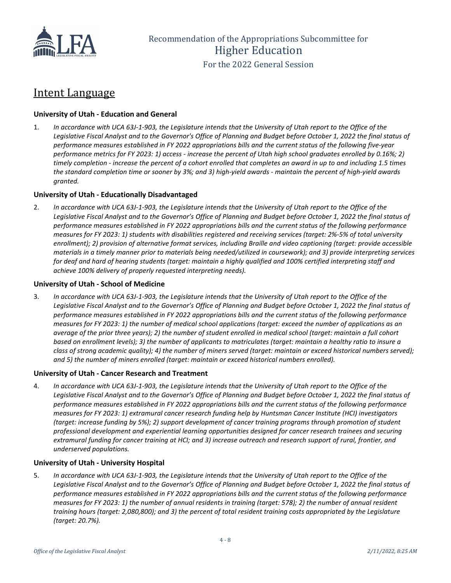

Recommendation of the Appropriations Subcommittee for Higher Education For the 2022 General Session

### Intent Language

#### **University of Utah ‐ Education and General**

In accordance with UCA 63J-1-903, the Legislature intends that the University of Utah report to the Office of the Legislative Fiscal Analyst and to the Governor's Office of Planning and Budget before October 1, 2022 the final status of performance measures established in FY 2022 appropriations bills and the current status of the following five-year performance metrics for FY 2023: 1) access - increase the percent of Utah high school graduates enrolled by 0.16%; 2) timely completion - increase the percent of a cohort enrolled that completes an award in up to and including 1.5 times the standard completion time or sooner by 3%; and 3) high-yield awards - maintain the percent of high-yield awards *granted.* 1.

#### **University of Utah ‐ Educationally Disadvantaged**

In accordance with UCA 63J-1-903, the Legislature intends that the University of Utah report to the Office of the Legislative Fiscal Analyst and to the Governor's Office of Planning and Budget before October 1, 2022 the final status of performance measures established in FY 2022 appropriations bills and the current status of the following performance measures for FY 2023: 1) students with disabilities registered and receiving services (target: 2%-5% of total university enrollment); 2) provision of alternative format services, including Braille and video captioning (target: provide accessible materials in a timely manner prior to materials being needed/utilized in coursework); and 3) provide interpreting services for deaf and hard of hearing students (target: maintain a highly qualified and 100% certified interpreting staff and *achieve 100% delivery of properly requested interpreting needs).* 2.

#### **University of Utah ‐ School of Medicine**

In accordance with UCA 63J-1-903, the Legislature intends that the University of Utah report to the Office of the Legislative Fiscal Analyst and to the Governor's Office of Planning and Budget before October 1, 2022 the final status of performance measures established in FY 2022 appropriations bills and the current status of the following performance measures for FY 2023: 1) the number of medical school applications (target: exceed the number of applications as an average of the prior three years); 2) the number of student enrolled in medical school (target: maintain a full cohort based on enrollment levels); 3) the number of applicants to matriculates (target: maintain a healthy ratio to insure a class of strong academic quality); 4) the number of miners served (target: maintain or exceed historical numbers served); *and 5) the number of miners enrolled (target: maintain or exceed historical numbers enrolled).* 3.

#### **University of Utah ‐ Cancer Research and Treatment**

In accordance with UCA 63J-1-903, the Legislature intends that the University of Utah report to the Office of the Legislative Fiscal Analyst and to the Governor's Office of Planning and Budget before October 1, 2022 the final status of performance measures established in FY 2022 appropriations bills and the current status of the following performance measures for FY 2023: 1) extramural cancer research funding help by Huntsman Cancer Institute (HCI) investigators (target: increase funding by 5%); 2) support development of cancer training programs through promotion of student *professional development and experiential learning opportunities designed for cancer research trainees and securing* extramural funding for cancer training at HCI; and 3) increase outreach and research support of rural, frontier, and *underserved populations.* 4.

#### **University of Utah ‐ University Hospital**

In accordance with UCA 63J-1-903, the Legislature intends that the University of Utah report to the Office of the Legislative Fiscal Analyst and to the Governor's Office of Planning and Budget before October 1, 2022 the final status of performance measures established in FY 2022 appropriations bills and the current status of the following performance measures for FY 2023: 1) the number of annual residents in training (target: 578); 2) the number of annual resident training hours (target: 2,080,800); and 3) the percent of total resident training costs appropriated by the Legislature *(target: 20.7%).* 5.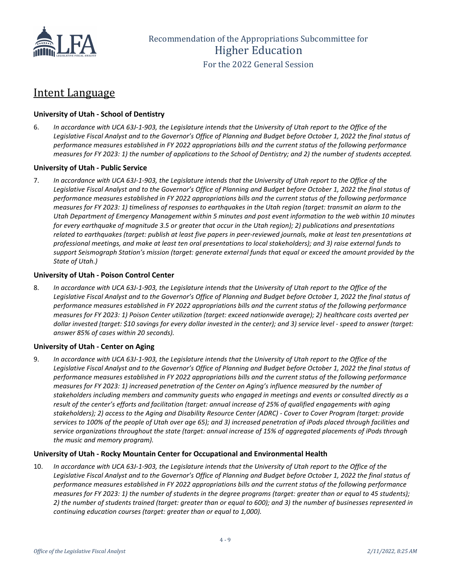

#### **University of Utah ‐ School of Dentistry**

In accordance with UCA 63J-1-903, the Legislature intends that the University of Utah report to the Office of the Legislative Fiscal Analyst and to the Governor's Office of Planning and Budget before October 1, 2022 the final status of performance measures established in FY 2022 appropriations bills and the current status of the following performance measures for FY 2023: 1) the number of applications to the School of Dentistry; and 2) the number of students accepted. 6.

#### **University of Utah ‐ Public Service**

In accordance with UCA 63J-1-903, the Legislature intends that the University of Utah report to the Office of the Legislative Fiscal Analyst and to the Governor's Office of Planning and Budget before October 1, 2022 the final status of performance measures established in FY 2022 appropriations bills and the current status of the following performance measures for FY 2023: 1) timeliness of responses to earthquakes in the Utah region (target: transmit an alarm to the Utah Department of Emergency Management within 5 minutes and post event information to the web within 10 minutes for every earthquake of magnitude 3.5 or greater that occur in the Utah region); 2) publications and presentations related to earthquakes (target: publish at least five papers in peer-reviewed journals, make at least ten presentations at professional meetings, and make at least ten oral presentations to local stakeholders); and 3) raise external funds to support Seismograph Station's mission (target: generate external funds that equal or exceed the amount provided by the *State of Utah.)* 7.

#### **University of Utah ‐ Poison Control Center**

In accordance with UCA 63J-1-903, the Legislature intends that the University of Utah report to the Office of the Legislative Fiscal Analyst and to the Governor's Office of Planning and Budget before October 1, 2022 the final status of performance measures established in FY 2022 appropriations bills and the current status of the following performance measures for FY 2023: 1) Poison Center utilization (target: exceed nationwide average); 2) healthcare costs averted per dollar invested (target: \$10 savings for every dollar invested in the center); and 3) service level - speed to answer (target: *answer 85% of cases within 20 seconds).* 8.

#### **University of Utah ‐ Center on Aging**

In accordance with UCA 63J-1-903, the Legislature intends that the University of Utah report to the Office of the Legislative Fiscal Analyst and to the Governor's Office of Planning and Budget before October 1, 2022 the final status of performance measures established in FY 2022 appropriations bills and the current status of the following performance measures for FY 2023: 1) increased penetration of the Center on Aging's influence measured by the number of stakeholders including members and community guests who engaged in meetings and events or consulted directly as a result of the center's efforts and facilitation (target: annual increase of 25% of qualified engagements with aging stakeholders); 2) access to the Aging and Disability Resource Center (ADRC) - Cover to Cover Program (target: provide services to 100% of the people of Utah over age 65); and 3) increased penetration of iPods placed through facilities and service organizations throughout the state (target: annual increase of 15% of aggregated placements of iPods through *the music and memory program).* 9.

#### **University of Utah ‐ Rocky Mountain Center for Occupational and Environmental Health**

In accordance with UCA 63J-1-903, the Legislature intends that the University of Utah report to the Office of the Legislative Fiscal Analyst and to the Governor's Office of Planning and Budget before October 1, 2022 the final status of performance measures established in FY 2022 appropriations bills and the current status of the following performance measures for FY 2023: 1) the number of students in the degree programs (target: greater than or equal to 45 students); 2) the number of students trained (target: greater than or equal to 600); and 3) the number of businesses represented in *continuing education courses (target: greater than or equal to 1,000).* 10.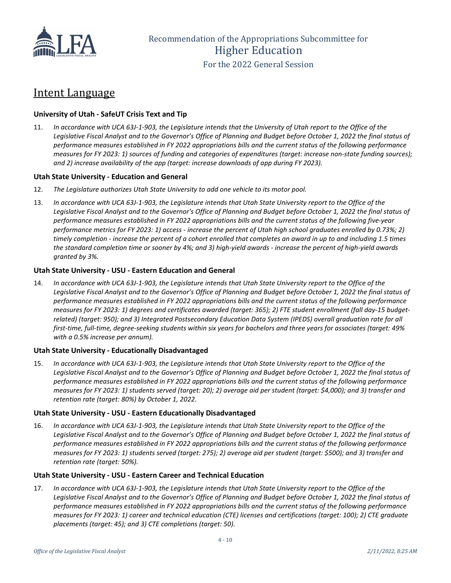

#### **University of Utah ‐ SafeUT Crisis Text and Tip**

In accordance with UCA 63J-1-903, the Legislature intends that the University of Utah report to the Office of the Legislative Fiscal Analyst and to the Governor's Office of Planning and Budget before October 1, 2022 the final status of performance measures established in FY 2022 appropriations bills and the current status of the following performance measures for FY 2023: 1) sources of funding and categories of expenditures (target: increase non-state funding sources); *and 2) increase availability of the app (target: increase downloads of app during FY 2023).* 11.

#### **Utah State University ‐ Education and General**

- 12. *The Legislature authorizes Utah State University to add one vehicle to its motor pool.*
- In accordance with UCA 63J-1-903, the Legislature intends that Utah State University report to the Office of the Legislative Fiscal Analyst and to the Governor's Office of Planning and Budget before October 1, 2022 the final status of performance measures established in FY 2022 appropriations bills and the current status of the following five-year performance metrics for FY 2023: 1) access - increase the percent of Utah high school graduates enrolled by 0.73%; 2) timely completion - increase the percent of a cohort enrolled that completes an award in up to and including 1.5 times the standard completion time or sooner by 4%; and 3) high-yield awards - increase the percent of high-yield awards *granted by 3%.* 13.

#### **Utah State University ‐ USU ‐ Eastern Education and General**

In accordance with UCA 63J-1-903, the Legislature intends that Utah State University report to the Office of the Legislative Fiscal Analyst and to the Governor's Office of Planning and Budget before October 1, 2022 the final status of performance measures established in FY 2022 appropriations bills and the current status of the following performance measures for FY 2023: 1) degrees and certificates awarded (target: 365); 2) FTE student enrollment (fall day-15 budgetrelated) (target: 950); and 3) Integrated Postsecondary Education Data System (IPEDS) overall graduation rate for all first-time, full-time, degree-seeking students within six years for bachelors and three years for associates (target: 49% *with a 0.5% increase per annum).* 14.

#### **Utah State University ‐ Educationally Disadvantaged**

In accordance with UCA 63J-1-903, the Legislature intends that Utah State University report to the Office of the Legislative Fiscal Analyst and to the Governor's Office of Planning and Budget before October 1, 2022 the final status of performance measures established in FY 2022 appropriations bills and the current status of the following performance measures for FY 2023: 1) students served (target: 20); 2) average aid per student (target: \$4,000); and 3) transfer and *retention rate (target: 80%) by October 1, 2022.* 15.

#### **Utah State University ‐ USU ‐ Eastern Educationally Disadvantaged**

In accordance with UCA 63J-1-903, the Legislature intends that Utah State University report to the Office of the Legislative Fiscal Analyst and to the Governor's Office of Planning and Budget before October 1, 2022 the final status of performance measures established in FY 2022 appropriations bills and the current status of the following performance measures for FY 2023: 1) students served (target: 275); 2) average aid per student (target: \$500); and 3) transfer and *retention rate (target: 50%).* 16.

#### **Utah State University ‐ USU ‐ Eastern Career and Technical Education**

In accordance with UCA 63J-1-903, the Legislature intends that Utah State University report to the Office of the Legislative Fiscal Analyst and to the Governor's Office of Planning and Budget before October 1, 2022 the final status of performance measures established in FY 2022 appropriations bills and the current status of the following performance measures for FY 2023: 1) career and technical education (CTE) licenses and certifications (target: 100); 2) CTE graduate *placements (target: 45); and 3) CTE completions (target: 50).* 17.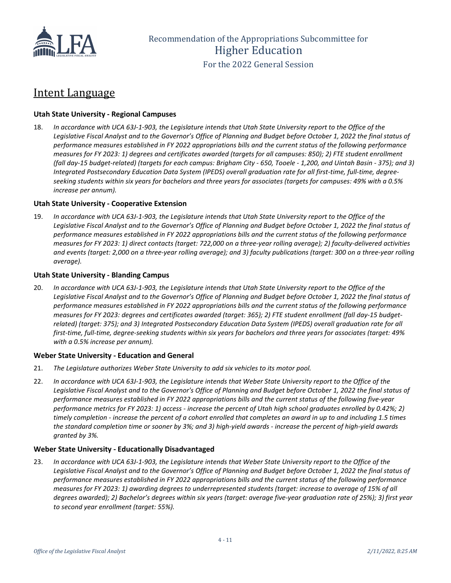

#### **Utah State University ‐ Regional Campuses**

In accordance with UCA 63J-1-903, the Legislature intends that Utah State University report to the Office of the Legislative Fiscal Analyst and to the Governor's Office of Planning and Budget before October 1, 2022 the final status of performance measures established in FY 2022 appropriations bills and the current status of the following performance measures for FY 2023: 1) degrees and certificates awarded (targets for all campuses: 850); 2) FTE student enrollment (fall day-15 budget-related) (targets for each campus: Brigham City - 650, Tooele - 1,200, and Uintah Basin - 375); and 3) Integrated Postsecondary Education Data System (IPEDS) overall graduation rate for all first-time, full-time, degreeseeking students within six years for bachelors and three years for associates (targets for campuses: 49% with a 0.5% *increase per annum).* 18.

#### **Utah State University ‐ Cooperative Extension**

In accordance with UCA 63J-1-903, the Legislature intends that Utah State University report to the Office of the Legislative Fiscal Analyst and to the Governor's Office of Planning and Budget before October 1, 2022 the final status of performance measures established in FY 2022 appropriations bills and the current status of the following performance measures for FY 2023: 1) direct contacts (target: 722,000 on a three-year rolling average); 2) faculty-delivered activities and events (target: 2,000 on a three-year rolling average); and 3) faculty publications (target: 300 on a three-year rolling *average).* 19.

#### **Utah State University ‐ Blanding Campus**

In accordance with UCA 63J-1-903, the Legislature intends that Utah State University report to the Office of the Legislative Fiscal Analyst and to the Governor's Office of Planning and Budget before October 1, 2022 the final status of performance measures established in FY 2022 appropriations bills and the current status of the following performance measures for FY 2023: degrees and certificates awarded (target: 365); 2) FTE student enrollment (fall day-15 budgetrelated) (target: 375); and 3) Integrated Postsecondary Education Data System (IPEDS) overall graduation rate for all first-time, full-time, degree-seeking students within six years for bachelors and three years for associates (target: 49% *with a 0.5% increase per annum).* 20.

#### **Weber State University ‐ Education and General**

- 21. *The Legislature authorizes Weber State University to add six vehicles to its motor pool.*
- In accordance with UCA 63J-1-903, the Legislature intends that Weber State University report to the Office of the Legislative Fiscal Analyst and to the Governor's Office of Planning and Budget before October 1, 2022 the final status of performance measures established in FY 2022 appropriations bills and the current status of the following five-year performance metrics for FY 2023: 1) access - increase the percent of Utah high school graduates enrolled by 0.42%; 2) timely completion - increase the percent of a cohort enrolled that completes an award in up to and including 1.5 times the standard completion time or sooner by 3%; and 3) high-yield awards - increase the percent of high-yield awards *granted by 3%.* 22.

#### **Weber State University ‐ Educationally Disadvantaged**

In accordance with UCA 63J-1-903, the Legislature intends that Weber State University report to the Office of the Legislative Fiscal Analyst and to the Governor's Office of Planning and Budget before October 1, 2022 the final status of performance measures established in FY 2022 appropriations bills and the current status of the following performance measures for FY 2023: 1) awarding degrees to underrepresented students (target: increase to average of 15% of all degrees awarded); 2) Bachelor's degrees within six years (target: average five-year graduation rate of 25%); 3) first year *to second year enrollment (target: 55%).* 23.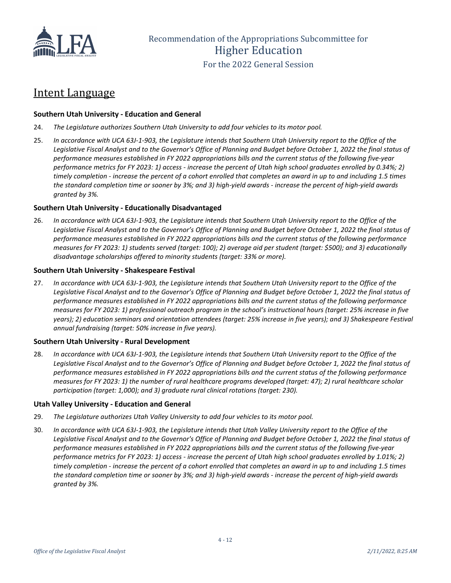

Recommendation of the Appropriations Subcommittee for Higher Education For the 2022 General Session

### Intent Language

#### **Southern Utah University ‐ Education and General**

- 24. *The Legislature authorizes Southern Utah University to add four vehicles to its motor pool.*
- In accordance with UCA 63J-1-903, the Legislature intends that Southern Utah University report to the Office of the Legislative Fiscal Analyst and to the Governor's Office of Planning and Budget before October 1, 2022 the final status of performance measures established in FY 2022 appropriations bills and the current status of the following five-year performance metrics for FY 2023: 1) access - increase the percent of Utah high school graduates enrolled by 0.34%; 2) timely completion - increase the percent of a cohort enrolled that completes an award in up to and including 1.5 times the standard completion time or sooner by 3%; and 3) high-yield awards - increase the percent of high-yield awards *granted by 3%.* 25.

#### **Southern Utah University ‐ Educationally Disadvantaged**

In accordance with UCA 63J-1-903, the Legislature intends that Southern Utah University report to the Office of the Legislative Fiscal Analyst and to the Governor's Office of Planning and Budget before October 1, 2022 the final status of performance measures established in FY 2022 appropriations bills and the current status of the following performance measures for FY 2023: 1) students served (target: 100); 2) average aid per student (target: \$500); and 3) educationally *disadvantage scholarships offered to minority students (target: 33% or more).* 26.

#### **Southern Utah University ‐ Shakespeare Festival**

In accordance with UCA 63J-1-903, the Legislature intends that Southern Utah University report to the Office of the Legislative Fiscal Analyst and to the Governor's Office of Planning and Budget before October 1, 2022 the final status of performance measures established in FY 2022 appropriations bills and the current status of the following performance measures for FY 2023: 1) professional outreach program in the school's instructional hours (target: 25% increase in five years); 2) education seminars and orientation attendees (target: 25% increase in five years); and 3) Shakespeare Festival *annual fundraising (target: 50% increase in five years).* 27.

#### **Southern Utah University ‐ Rural Development**

In accordance with UCA 63J-1-903, the Legislature intends that Southern Utah University report to the Office of the Legislative Fiscal Analyst and to the Governor's Office of Planning and Budget before October 1, 2022 the final status of performance measures established in FY 2022 appropriations bills and the current status of the following performance measures for FY 2023: 1) the number of rural healthcare programs developed (target: 47); 2) rural healthcare scholar *participation (target: 1,000); and 3) graduate rural clinical rotations (target: 230).* 28.

#### **Utah Valley University ‐ Education and General**

- 29. *The Legislature authorizes Utah Valley University to add four vehicles to its motor pool.*
- In accordance with UCA 63J-1-903, the Legislature intends that Utah Valley University report to the Office of the Legislative Fiscal Analyst and to the Governor's Office of Planning and Budget before October 1, 2022 the final status of performance measures established in FY 2022 appropriations bills and the current status of the following five-year performance metrics for FY 2023: 1) access - increase the percent of Utah high school graduates enrolled by 1.01%; 2) timely completion - increase the percent of a cohort enrolled that completes an award in up to and including 1.5 times the standard completion time or sooner by 3%; and 3) high-yield awards - increase the percent of high-yield awards *granted by 3%.* 30.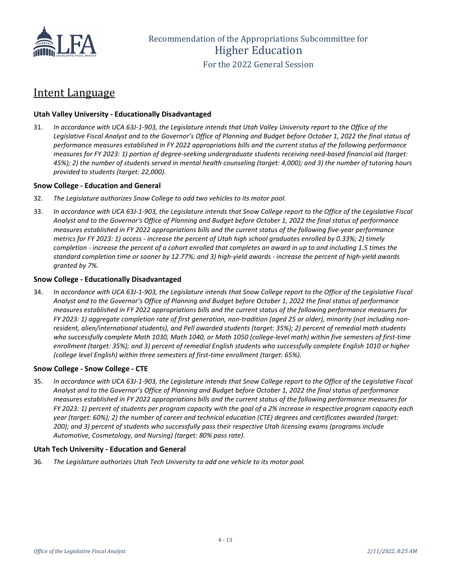

#### **Utah Valley University ‐ Educationally Disadvantaged**

In accordance with UCA 63J-1-903, the Legislature intends that Utah Valley University report to the Office of the Legislative Fiscal Analyst and to the Governor's Office of Planning and Budget before October 1, 2022 the final status of performance measures established in FY 2022 appropriations bills and the current status of the following performance measures for FY 2023: 1) portion of degree-seeking undergraduate students receiving need-based financial aid (target: 45%); 2) the number of students served in mental health counseling (target: 4,000); and 3) the number of tutoring hours *provided to students (target: 22,000).* 31.

#### **Snow College ‐ Education and General**

- 32. *The Legislature authorizes Snow College to add two vehicles to its motor pool.*
- In accordance with UCA 63J-1-903, the Legislature intends that Snow College report to the Office of the Legislative Fiscal Analyst and to the Governor's Office of Planning and Budget before October 1, 2022 the final status of performance measures established in FY 2022 appropriations bills and the current status of the following five-year performance metrics for FY 2023: 1) access - increase the percent of Utah high school graduates enrolled by 0.33%; 2) timely completion - increase the percent of a cohort enrolled that completes an award in up to and including 1.5 times the standard completion time or sooner by 12.77%; and 3) high-yield awards - increase the percent of high-yield awards *granted by 7%.* 33.

#### **Snow College ‐ Educationally Disadvantaged**

In accordance with UCA 63J-1-903, the Legislature intends that Snow College report to the Office of the Legislative Fiscal Analyst and to the Governor's Office of Planning and Budget before October 1, 2022 the final status of performance measures established in FY 2022 appropriations bills and the current status of the following performance measures for FY 2023: 1) aggregate completion rate of first generation, non-tradition (aged 25 or older), minority (not including non*resident, alien/international students), and Pell awarded students (target: 35%); 2) percent of remedial math students* who successfully complete Math 1030, Math 1040, or Math 1050 (college-level math) within five semesters of first-time enrollment (target: 35%); and 3) percent of remedial English students who successfully complete English 1010 or higher *(college level English) within three semesters of first‐time enrollment (target: 65%).* 34.

#### **Snow College ‐ Snow College ‐ CTE**

In accordance with UCA 63J-1-903, the Legislature intends that Snow College report to the Office of the Legislative Fiscal Analyst and to the Governor's Office of Planning and Budget before October 1, 2022 the final status of performance measures established in FY 2022 appropriations bills and the current status of the following performance measures for FY 2023: 1) percent of students per program capacity with the goal of a 2% increase in respective program capacity each year (target: 60%); 2) the number of career and technical education (CTE) degrees and certificates awarded (target: *200); and 3) percent of students who successfully pass their respective Utah licensing exams (programs include Automotive, Cosmetology, and Nursing) (target: 80% pass rate).* 35.

#### **Utah Tech University ‐ Education and General**

36. *The Legislature authorizes Utah Tech University to add one vehicle to its motor pool.*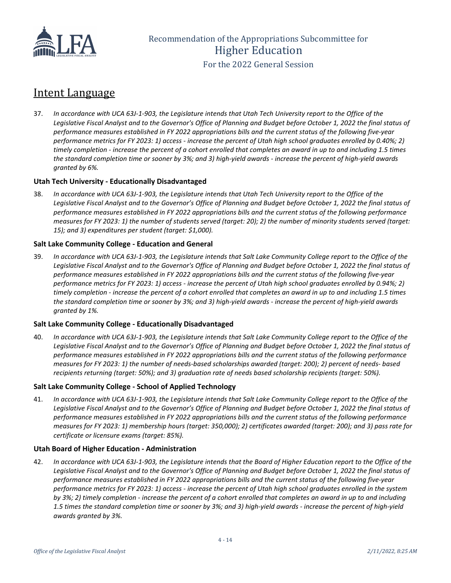

### For the 2022 General Session

### Intent Language

In accordance with UCA 63J-1-903, the Legislature intends that Utah Tech University report to the Office of the Legislative Fiscal Analyst and to the Governor's Office of Planning and Budget before October 1, 2022 the final status of performance measures established in FY 2022 appropriations bills and the current status of the following five-year performance metrics for FY 2023: 1) access - increase the percent of Utah high school graduates enrolled by 0.40%; 2) timely completion - increase the percent of a cohort enrolled that completes an award in up to and including 1.5 times the standard completion time or sooner by 3%; and 3) high-yield awards - increase the percent of high-yield awards *granted by 6%.* 37.

#### **Utah Tech University ‐ Educationally Disadvantaged**

In accordance with UCA 63J-1-903, the Legislature intends that Utah Tech University report to the Office of the Legislative Fiscal Analyst and to the Governor's Office of Planning and Budget before October 1, 2022 the final status of performance measures established in FY 2022 appropriations bills and the current status of the following performance measures for FY 2023: 1) the number of students served (target: 20); 2) the number of minority students served (target: *15); and 3) expenditures per student (target: \$1,000).* 38.

#### **Salt Lake Community College ‐ Education and General**

In accordance with UCA 63J-1-903, the Legislature intends that Salt Lake Community College report to the Office of the Legislative Fiscal Analyst and to the Governor's Office of Planning and Budget before October 1, 2022 the final status of performance measures established in FY 2022 appropriations bills and the current status of the following five-year performance metrics for FY 2023: 1) access - increase the percent of Utah high school graduates enrolled by 0.94%; 2) timely completion - increase the percent of a cohort enrolled that completes an award in up to and including 1.5 times the standard completion time or sooner by 3%; and 3) high-yield awards - increase the percent of high-yield awards *granted by 1%.* 39.

#### **Salt Lake Community College ‐ Educationally Disadvantaged**

In accordance with UCA 63J-1-903, the Legislature intends that Salt Lake Community College report to the Office of the Legislative Fiscal Analyst and to the Governor's Office of Planning and Budget before October 1, 2022 the final status of performance measures established in FY 2022 appropriations bills and the current status of the following performance measures for FY 2023: 1) the number of needs-based scholarships awarded (target: 200); 2) percent of needs- based *recipients returning (target: 50%); and 3) graduation rate of needs based scholarship recipients (target: 50%).* 40.

#### **Salt Lake Community College ‐ School of Applied Technology**

In accordance with UCA 63J-1-903, the Legislature intends that Salt Lake Community College report to the Office of the Legislative Fiscal Analyst and to the Governor's Office of Planning and Budget before October 1, 2022 the final status of performance measures established in FY 2022 appropriations bills and the current status of the following performance measures for FY 2023: 1) membership hours (target: 350,000); 2) certificates awarded (target: 200); and 3) pass rate for *certificate or licensure exams (target: 85%).* 41.

#### **Utah Board of Higher Education ‐ Administration**

In accordance with UCA 63J-1-903, the Legislature intends that the Board of Higher Education report to the Office of the Legislative Fiscal Analyst and to the Governor's Office of Planning and Budget before October 1, 2022 the final status of performance measures established in FY 2022 appropriations bills and the current status of the following five-year performance metrics for FY 2023: 1) access - increase the percent of Utah high school graduates enrolled in the system by 3%; 2) timely completion - increase the percent of a cohort enrolled that completes an award in up to and including 1.5 times the standard completion time or sooner by 3%; and 3) high-yield awards - increase the percent of high-yield *awards granted by 3%.* 42.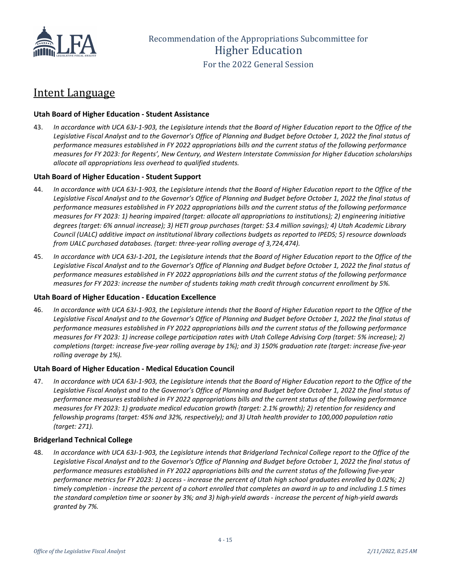

#### **Utah Board of Higher Education ‐ Student Assistance**

In accordance with UCA 63J-1-903, the Legislature intends that the Board of Higher Education report to the Office of the Legislative Fiscal Analyst and to the Governor's Office of Planning and Budget before October 1, 2022 the final status of performance measures established in FY 2022 appropriations bills and the current status of the following performance measures for FY 2023: for Regents', New Century, and Western Interstate Commission for Higher Education scholarships *allocate all appropriations less overhead to qualified students.* 43.

#### **Utah Board of Higher Education ‐ Student Support**

- In accordance with UCA 63J-1-903, the Legislature intends that the Board of Higher Education report to the Office of the Legislative Fiscal Analyst and to the Governor's Office of Planning and Budget before October 1, 2022 the final status of performance measures established in FY 2022 appropriations bills and the current status of the following performance measures for FY 2023: 1) hearing impaired (target: allocate all appropriations to institutions); 2) engineering initiative degrees (target: 6% annual increase); 3) HETI group purchases (target: \$3.4 million savings); 4) Utah Academic Library Council (UALC) additive impact on institutional library collections budgets as reported to IPEDS; 5) resource downloads *from UALC purchased databases. (target: three‐year rolling average of 3,724,474).* 44.
- In accordance with UCA 63J-1-201, the Legislature intends that the Board of Higher Education report to the Office of the Legislative Fiscal Analyst and to the Governor's Office of Planning and Budget before October 1, 2022 the final status of performance measures established in FY 2022 appropriations bills and the current status of the following performance measures for FY 2023: increase the number of students taking math credit through concurrent enrollment by 5%. 45.

#### **Utah Board of Higher Education ‐ Education Excellence**

In accordance with UCA 63J-1-903, the Legislature intends that the Board of Higher Education report to the Office of the Legislative Fiscal Analyst and to the Governor's Office of Planning and Budget before October 1, 2022 the final status of performance measures established in FY 2022 appropriations bills and the current status of the following performance measures for FY 2023: 1) increase college participation rates with Utah College Advising Corp (target: 5% increase); 2) completions (target: increase five-year rolling average by 1%); and 3) 150% graduation rate (target: increase five-year *rolling average by 1%).* 46.

#### **Utah Board of Higher Education ‐ Medical Education Council**

In accordance with UCA 63J-1-903, the Legislature intends that the Board of Higher Education report to the Office of the Legislative Fiscal Analyst and to the Governor's Office of Planning and Budget before October 1, 2022 the final status of performance measures established in FY 2022 appropriations bills and the current status of the following performance measures for FY 2023: 1) graduate medical education growth (target: 2.1% growth); 2) retention for residency and *fellowship programs (target: 45% and 32%, respectively); and 3) Utah health provider to 100,000 population ratio (target: 271).* 47.

#### **Bridgerland Technical College**

In accordance with UCA 63J-1-903, the Legislature intends that Bridgerland Technical College report to the Office of the Legislative Fiscal Analyst and to the Governor's Office of Planning and Budget before October 1, 2022 the final status of performance measures established in FY 2022 appropriations bills and the current status of the following five-year performance metrics for FY 2023: 1) access - increase the percent of Utah high school graduates enrolled by 0.02%; 2) timely completion - increase the percent of a cohort enrolled that completes an award in up to and including 1.5 times the standard completion time or sooner by 3%; and 3) high-yield awards - increase the percent of high-yield awards *granted by 7%.* 48.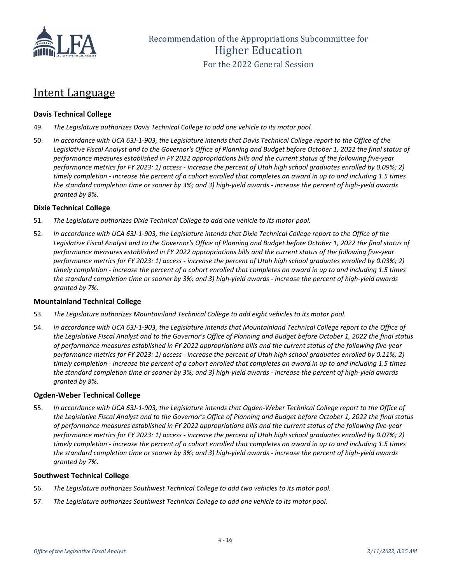

Recommendation of the Appropriations Subcommittee for Higher Education For the 2022 General Session

### Intent Language

#### **Davis Technical College**

- 49. *The Legislature authorizes Davis Technical College to add one vehicle to its motor pool.*
- In accordance with UCA 63J-1-903, the Legislature intends that Davis Technical College report to the Office of the Legislative Fiscal Analyst and to the Governor's Office of Planning and Budget before October 1, 2022 the final status of performance measures established in FY 2022 appropriations bills and the current status of the following five-year performance metrics for FY 2023: 1) access - increase the percent of Utah high school graduates enrolled by 0.09%; 2) timely completion - increase the percent of a cohort enrolled that completes an award in up to and including 1.5 times the standard completion time or sooner by 3%; and 3) high-yield awards - increase the percent of high-yield awards *granted by 8%.* 50.

#### **Dixie Technical College**

- 51. *The Legislature authorizes Dixie Technical College to add one vehicle to its motor pool.*
- In accordance with UCA 63J-1-903, the Legislature intends that Dixie Technical College report to the Office of the Legislative Fiscal Analyst and to the Governor's Office of Planning and Budget before October 1, 2022 the final status of performance measures established in FY 2022 appropriations bills and the current status of the following five-year performance metrics for FY 2023: 1) access - increase the percent of Utah high school graduates enrolled by 0.03%; 2) timely completion - increase the percent of a cohort enrolled that completes an award in up to and including 1.5 times the standard completion time or sooner by 3%; and 3) high-yield awards - increase the percent of high-yield awards *granted by 7%.* 52.

#### **Mountainland Technical College**

- 53. *The Legislature authorizes Mountainland Technical College to add eight vehicles to its motor pool.*
- In accordance with UCA 63J-1-903, the Legislature intends that Mountainland Technical College report to the Office of the Legislative Fiscal Analyst and to the Governor's Office of Planning and Budget before October 1, 2022 the final status of performance measures established in FY 2022 appropriations bills and the current status of the following five-year performance metrics for FY 2023: 1) access - increase the percent of Utah high school graduates enrolled by 0.11%; 2) timely completion - increase the percent of a cohort enrolled that completes an award in up to and including 1.5 times the standard completion time or sooner by 3%; and 3) high-yield awards - increase the percent of high-yield awards *granted by 8%.* 54.

#### **Ogden‐Weber Technical College**

In accordance with UCA 63J-1-903, the Legislature intends that Ogden-Weber Technical College report to the Office of the Legislative Fiscal Analyst and to the Governor's Office of Planning and Budget before October 1, 2022 the final status of performance measures established in FY 2022 appropriations bills and the current status of the following five-year performance metrics for FY 2023: 1) access - increase the percent of Utah high school graduates enrolled by 0.07%; 2) timely completion - increase the percent of a cohort enrolled that completes an award in up to and including 1.5 times the standard completion time or sooner by 3%; and 3) high-yield awards - increase the percent of high-yield awards *granted by 7%.* 55.

#### **Southwest Technical College**

- 56. *The Legislature authorizes Southwest Technical College to add two vehicles to its motor pool.*
- 57. *The Legislature authorizes Southwest Technical College to add one vehicle to its motor pool.*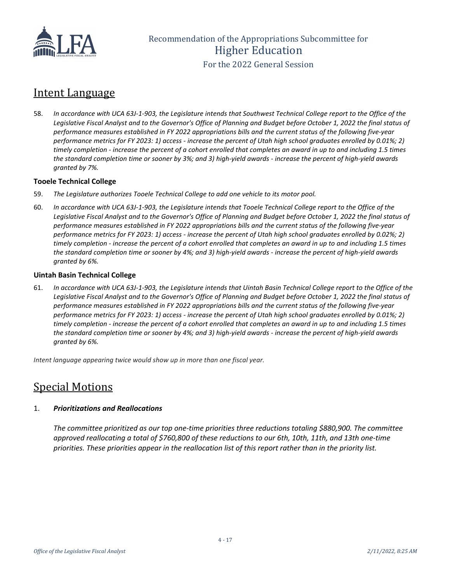

### For the 2022 General Session

### Intent Language

In accordance with UCA 63J-1-903, the Legislature intends that Southwest Technical College report to the Office of the Legislative Fiscal Analyst and to the Governor's Office of Planning and Budget before October 1, 2022 the final status of performance measures established in FY 2022 appropriations bills and the current status of the following five-year performance metrics for FY 2023: 1) access - increase the percent of Utah high school graduates enrolled by 0.01%; 2) timely completion - increase the percent of a cohort enrolled that completes an award in up to and including 1.5 times the standard completion time or sooner by 3%; and 3) high-yield awards - increase the percent of high-yield awards *granted by 7%.* 58.

#### **Tooele Technical College**

- 59. *The Legislature authorizes Tooele Technical College to add one vehicle to its motor pool.*
- In accordance with UCA 63J-1-903, the Legislature intends that Tooele Technical College report to the Office of the Legislative Fiscal Analyst and to the Governor's Office of Planning and Budget before October 1, 2022 the final status of performance measures established in FY 2022 appropriations bills and the current status of the following five-year performance metrics for FY 2023: 1) access - increase the percent of Utah high school graduates enrolled by 0.02%; 2) timely completion - increase the percent of a cohort enrolled that completes an award in up to and including 1.5 times the standard completion time or sooner by 4%; and 3) high-yield awards - increase the percent of high-yield awards *granted by 6%.* 60.

#### **Uintah Basin Technical College**

In accordance with UCA 63J-1-903, the Legislature intends that Uintah Basin Technical College report to the Office of the Legislative Fiscal Analyst and to the Governor's Office of Planning and Budget before October 1, 2022 the final status of performance measures established in FY 2022 appropriations bills and the current status of the following five-year performance metrics for FY 2023: 1) access - increase the percent of Utah high school graduates enrolled by 0.01%; 2) timely completion - increase the percent of a cohort enrolled that completes an award in up to and including 1.5 times the standard completion time or sooner by 4%; and 3) high-yield awards - increase the percent of high-yield awards *granted by 6%.* 61.

*Intent language appearing twice would show up in more than one fiscal year.*

### Special Motions

#### *Prioritizations and Reallocations* 1.

*The committee prioritized as our top one‐time priorities three reductions totaling \$880,900. The committee* approved reallocating a total of \$760,800 of these reductions to our 6th, 10th, 11th, and 13th one-time priorities. These priorities appear in the reallocation list of this report rather than in the priority list.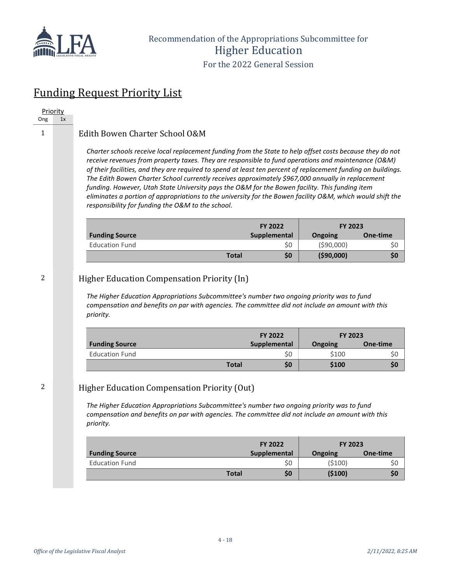

### Funding Request Priority List

### 1 Edith Bowen Charter School O&M

*Charter schools receive local replacement funding from the State to help offset costs because they do not receive revenues from property taxes. They are responsible to fund operations and maintenance (O&M)* of their facilities, and they are required to spend at least ten percent of replacement funding on buildings. *The Edith Bowen Charter School currently receives approximately \$967,000 annually in replacement funding. However, Utah State University pays the O&M for the Bowen facility. This funding item* eliminates a portion of appropriations to the university for the Bowen facility O&M, which would shift the *responsibility for funding the O&M to the school.*

|                       |              | <b>FY 2022</b> | <b>FY 2023</b> |          |
|-----------------------|--------------|----------------|----------------|----------|
| <b>Funding Source</b> |              | Supplemental   | Ongoing        | One-time |
| <b>Education Fund</b> |              | \$0            | ( \$90,000)    | ŚС       |
|                       | <b>Total</b> | \$0            | ( \$90,000]    | \$0      |

### 2 Higher Education Compensation Priority (In)

*The Higher Education Appropriations Subcommittee's number two ongoing priority was to fund compensation and benefits on par with agencies. The committee did not include an amount with this priority.*

|                       |              | FY 2022      | <b>FY 2023</b> |          |
|-----------------------|--------------|--------------|----------------|----------|
| <b>Funding Source</b> |              | Supplemental | Ongoing        | One-time |
| <b>Education Fund</b> |              | S0           | \$100          | Ś0       |
|                       | <b>Total</b> | \$0          | \$100          | \$0      |

### 2 Higher Education Compensation Priority (Out)

*The Higher Education Appropriations Subcommittee's number two ongoing priority was to fund compensation and benefits on par with agencies. The committee did not include an amount with this priority.*

|                       |              | <b>FY 2022</b> | <b>FY 2023</b> |          |
|-----------------------|--------------|----------------|----------------|----------|
| <b>Funding Source</b> |              | Supplemental   | Ongoing        | One-time |
| <b>Education Fund</b> |              | Ś0             | (5100)         | \$C      |
|                       | <b>Total</b> | \$0            | (5100)         | \$0      |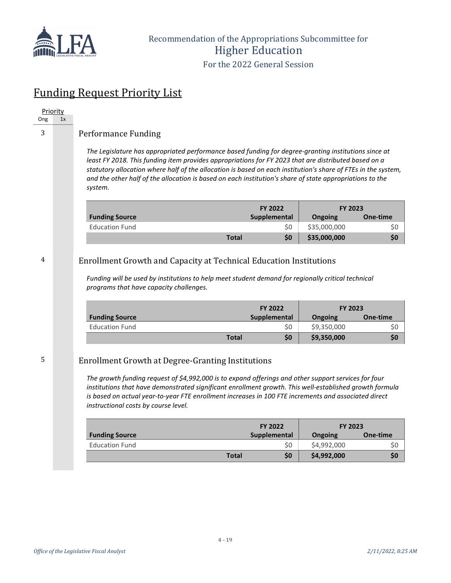

 $\overline{\phantom{0}}$ 

## Funding Request Priority List

|          | Priority<br>1x |                                                                                                                                                                                                                                                                                                                                                                                                                                                                             |              |              |                |          |
|----------|----------------|-----------------------------------------------------------------------------------------------------------------------------------------------------------------------------------------------------------------------------------------------------------------------------------------------------------------------------------------------------------------------------------------------------------------------------------------------------------------------------|--------------|--------------|----------------|----------|
| Ong<br>3 |                | Performance Funding<br>The Legislature has appropriated performance based funding for degree-granting institutions since at<br>least FY 2018. This funding item provides appropriations for FY 2023 that are distributed based on a<br>statutory allocation where half of the allocation is based on each institution's share of FTEs in the system,<br>and the other half of the allocation is based on each institution's share of state appropriations to the<br>system. |              |              |                |          |
|          |                |                                                                                                                                                                                                                                                                                                                                                                                                                                                                             |              | FY 2022      | <b>FY 2023</b> |          |
|          |                | <b>Funding Source</b>                                                                                                                                                                                                                                                                                                                                                                                                                                                       |              | Supplemental | Ongoing        | One-time |
|          |                | <b>Education Fund</b>                                                                                                                                                                                                                                                                                                                                                                                                                                                       |              | \$0          | \$35,000,000   | \$0      |
|          |                |                                                                                                                                                                                                                                                                                                                                                                                                                                                                             | <b>Total</b> | \$0          | \$35,000,000   | \$0      |
|          |                | Funding will be used by institutions to help meet student demand for regionally critical technical<br>programs that have capacity challenges.                                                                                                                                                                                                                                                                                                                               |              | FY 2022      | FY 2023        |          |
|          |                | <b>Funding Source</b>                                                                                                                                                                                                                                                                                                                                                                                                                                                       |              | Supplemental | Ongoing        | One-time |
|          |                | <b>Education Fund</b>                                                                                                                                                                                                                                                                                                                                                                                                                                                       |              | \$0          | \$9,350,000    | \$0      |
|          |                |                                                                                                                                                                                                                                                                                                                                                                                                                                                                             | <b>Total</b> | \$0          | \$9,350,000    | \$0      |
| 5        |                | <b>Enrollment Growth at Degree-Granting Institutions</b>                                                                                                                                                                                                                                                                                                                                                                                                                    |              |              |                |          |
|          |                | The growth funding request of \$4,992,000 is to expand offerings and other support services for four<br>institutions that have demonstrated significant enrollment growth. This well-established growth formula<br>is based on actual year-to-year FTE enrollment increases in 100 FTE increments and associated direct<br>instructional costs by course level.                                                                                                             |              |              |                |          |

|                       |              | <b>FY 2022</b><br><b>FY 2023</b> |             |          |
|-----------------------|--------------|----------------------------------|-------------|----------|
| <b>Funding Source</b> |              | Supplemental                     | Ongoing     | One-time |
| <b>Education Fund</b> |              | \$0                              | \$4,992,000 | \$C      |
|                       | <b>Total</b> | \$0                              | \$4,992,000 | \$0      |

 $\overline{\phantom{0}}$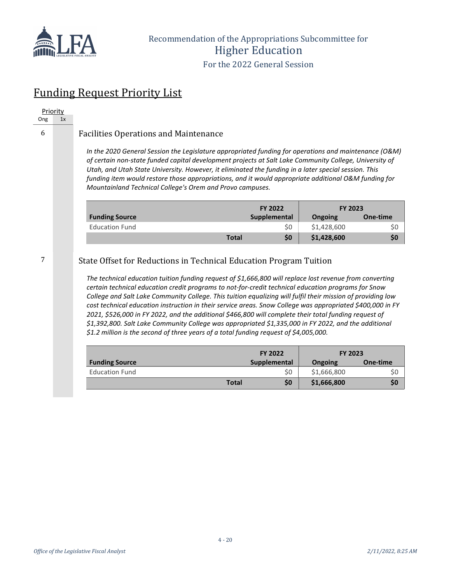

## Funding Request Priority List

# 6 Facilities Operations and Maintenance

*In the 2020 General Session the Legislature appropriated funding for operations and maintenance (O&M) of certain non‐state funded capital development projects at Salt Lake Community College, University of Utah, and Utah State University. However, it eliminated the funding in a later special session. This funding item would restore those appropriations, and it would appropriate additional O&M funding for Mountainland Technical College's Orem and Provo campuses.*

|                       | <b>FY 2022</b> | <b>FY 2023</b> |          |
|-----------------------|----------------|----------------|----------|
| <b>Funding Source</b> | Supplemental   | Ongoing        | One-time |
| <b>Education Fund</b> | \$0            | \$1,428,600    | \$0      |
|                       | Total<br>\$0   | \$1,428,600    | \$0      |

### 7 State Offset for Reductions in Technical Education Program Tuition

*The technical education tuition funding request of \$1,666,800 will replace lost revenue from converting certain technical education credit programs to not‐for‐credit technical education programs for Snow College and Salt Lake Community College. This tuition equalizing will fulfil their mission of providing low cost technical education instruction in their service areas. Snow College was appropriated \$400,000 in FY 2021, \$526,000 in FY 2022, and the additional \$466,800 will complete their total funding request of \$1,392,800. Salt Lake Community College was appropriated \$1,335,000 in FY 2022, and the additional \$1.2 million is the second of three years of a total funding request of \$4,005,000.*

|                       |              | <b>FY 2022</b> | <b>FY 2023</b> |          |  |
|-----------------------|--------------|----------------|----------------|----------|--|
| <b>Funding Source</b> |              | Supplemental   | Ongoing        | One-time |  |
| <b>Education Fund</b> |              | \$0            | \$1,666,800    | \$0      |  |
|                       | <b>Total</b> | \$0            | \$1,666,800    | \$0      |  |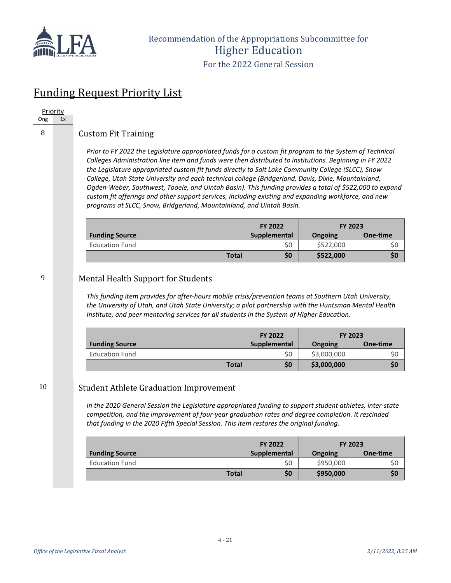

## Funding Request Priority List

### 8 Custom Fit Training

Prior to FY 2022 the Legislature appropriated funds for a custom fit program to the System of Technical *Colleges Administration line item and funds were then distributed to institutions. Beginning in FY 2022 the Legislature appropriated custom fit funds directly to Salt Lake Community College (SLCC), Snow College, Utah State University and each technical college (Bridgerland, Davis, Dixie, Mountainland, Ogden‐Weber, Southwest, Tooele, and Uintah Basin). This funding provides a total of \$522,000 to expand custom fit offerings and other support services, including existing and expanding workforce, and new programs at SLCC, Snow, Bridgerland, Mountainland, and Uintah Basin.*

|                       |              | <b>FY 2022</b> | <b>FY 2023</b> |          |
|-----------------------|--------------|----------------|----------------|----------|
| <b>Funding Source</b> |              | Supplemental   | Ongoing        | One-time |
| <b>Education Fund</b> |              | \$0            | \$522,000      | \$0      |
|                       | <b>Total</b> | \$0            | \$522,000      | \$0      |

### 9 Mental Health Support for Students

*This funding item provides for after‐hours mobile crisis/prevention teams at Southern Utah University, the University of Utah, and Utah State University; a pilot partnership with the Huntsman Mental Health Institute; and peer mentoring services for all students in the System of Higher Education.*

|                       |              | <b>FY 2022</b> | <b>FY 2023</b> |          |
|-----------------------|--------------|----------------|----------------|----------|
| <b>Funding Source</b> |              | Supplemental   | Ongoing        | One-time |
| <b>Education Fund</b> |              | \$0            | \$3,000,000    |          |
|                       | <b>Total</b> | \$0            | \$3,000,000    | \$0      |

#### 10 Student Athlete Graduation Improvement

*In the 2020 General Session the Legislature appropriated funding to support student athletes, inter‐state competition, and the improvement of four‐year graduation rates and degree completion. It rescinded that funding in the 2020 Fifth Special Session. This item restores the original funding.*

|                       |       | <b>FY 2022</b> | <b>FY 2023</b> |          |
|-----------------------|-------|----------------|----------------|----------|
| <b>Funding Source</b> |       | Supplemental   | Ongoing        | One-time |
| <b>Education Fund</b> |       | \$0            | \$950,000      | ŚС       |
|                       | Total | \$0            | \$950,000      | \$0      |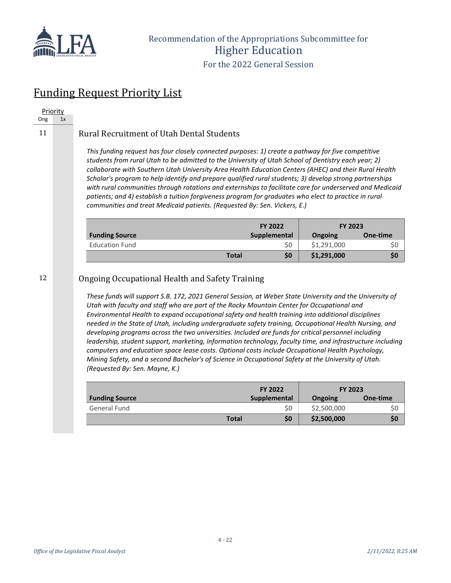

## Funding Request Priority List

### 11 Rural Recruitment of Utah Dental Students

*This funding request has four closely connected purposes: 1) create a pathway for five competitive* students from rural Utah to be admitted to the University of Utah School of Dentistry each year; 2) *collaborate with Southern Utah University Area Health Education Centers (AHEC) and their Rural Health Scholar's program to help identify and prepare qualified rural students; 3) develop strong partnerships with rural communities through rotations and externships to facilitate care for underserved and Medicaid patients; and 4) establish a tuition forgiveness program for graduates who elect to practice in rural communities and treat Medicaid patients. (Requested By: Sen. Vickers, E.)*

|                       |              | <b>FY 2022</b> | <b>FY 2023</b> |          |
|-----------------------|--------------|----------------|----------------|----------|
| <b>Funding Source</b> |              | Supplemental   | Ongoing        | One-time |
| <b>Education Fund</b> |              | \$0            | \$1,291,000    | \$0      |
|                       | <b>Total</b> | \$0            | \$1,291,000    | \$0      |

### 12 Ongoing Occupational Health and Safety Training

*These funds will support S.B. 172, 2021 General Session, at Weber State University and the University of Utah with faculty and staff who are part of the Rocky Mountain Center for Occupational and Environmental Health to expand occupational safety and health training into additional disciplines needed in the State of Utah, including undergraduate safety training, Occupational Health Nursing, and developing programs across the two universities. Included are funds for critical personnel including leadership, student support, marketing, information technology, faculty time, and infrastructure including computers and education space lease costs. Optional costs include Occupational Health Psychology, Mining Safety, and a second Bachelor's of Science in Occupational Safety at the University of Utah. (Requested By: Sen. Mayne, K.)*

|                       |              | <b>FY 2022</b> | <b>FY 2023</b> |          |
|-----------------------|--------------|----------------|----------------|----------|
| <b>Funding Source</b> |              | Supplemental   | Ongoing        | One-time |
| General Fund          |              | \$0            | \$2,500,000    | \$0      |
|                       | <b>Total</b> | \$0            | \$2,500,000    | \$0      |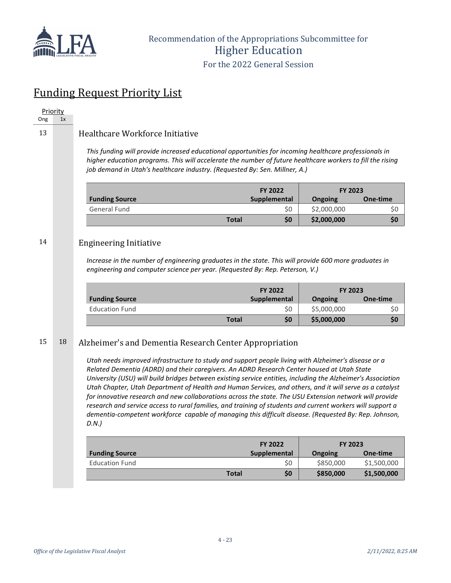

#### Ong 1x **Priority**

### 13 Healthcare Workforce Initiative

*This funding will provide increased educational opportunities for incoming healthcare professionals in higher education programs. This will accelerate the number of future healthcare workers to fill the rising job demand in Utah's healthcare industry. (Requested By: Sen. Millner, A.)*

|                       |              | <b>FY 2022</b> | <b>FY 2023</b> |          |
|-----------------------|--------------|----------------|----------------|----------|
| <b>Funding Source</b> |              | Supplemental   | Ongoing        | One-time |
| General Fund          |              | \$0            | \$2,000,000    | Ś0       |
|                       | <b>Total</b> | \$0            | \$2,000,000    | \$0      |

### 14 Engineering Initiative

*Increase in the number of engineering graduates in the state. This will provide 600 more graduates in engineering and computer science per year. (Requested By: Rep. Peterson, V.)*

|                       |       | <b>FY 2022</b> | <b>FY 2023</b> |          |
|-----------------------|-------|----------------|----------------|----------|
| <b>Funding Source</b> |       | Supplemental   | Ongoing        | One-time |
| <b>Education Fund</b> |       | \$0            | \$5,000,000    | Ś0       |
|                       | Total | \$0            | \$5,000,000    | \$0      |

### 15 18 Alzheimer's and Dementia Research Center Appropriation

*Utah needs improved infrastructure to study and support people living with Alzheimer's disease or a Related Dementia (ADRD) and their caregivers. An ADRD Research Center housed at Utah State University (USU) will build bridges between existing service entities, including the Alzheimer's Association* Utah Chapter, Utah Department of Health and Human Services, and others, and it will serve as a catalyst *for innovative research and new collaborations across the state. The USU Extension network will provide* research and service access to rural families, and training of students and current workers will support a *dementia‐competent workforce capable of managing this difficult disease. (Requested By: Rep. Johnson, D.N.)*

|                       |       | <b>FY 2022</b> | <b>FY 2023</b> |             |
|-----------------------|-------|----------------|----------------|-------------|
| <b>Funding Source</b> |       | Supplemental   | Ongoing        | One-time    |
| <b>Education Fund</b> |       | \$0            | \$850,000      | \$1,500,000 |
|                       | Total | \$0            | \$850,000      | \$1,500,000 |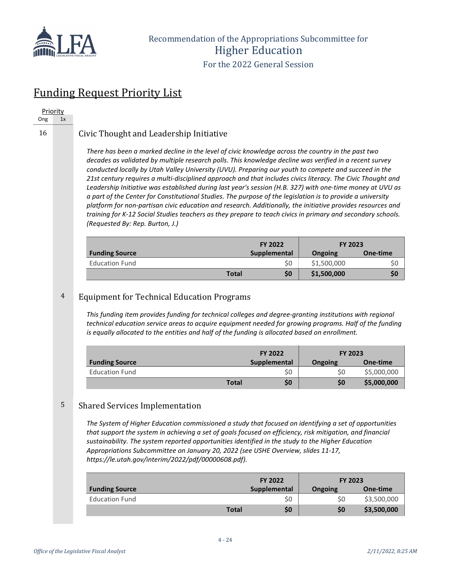

## Funding Request Priority List

## 16 Civic Thought and Leadership Initiative

There has been a marked decline in the level of civic knowledge across the country in the past two *decades as validated by multiple research polls. This knowledge decline was verified in a recent survey conducted locally by Utah Valley University (UVU). Preparing our youth to compete and succeed in the* 21st century requires a multi-disciplined approach and that includes civics literacy. The Civic Thought and Leadership Initiative was established during last year's session (H.B. 327) with one-time money at UVU as a part of the Center for Constitutional Studies. The purpose of the legislation is to provide a university *platform for non‐partisan civic education and research. Additionally, the initiative provides resources and* training for K-12 Social Studies teachers as they prepare to teach civics in primary and secondary schools. *(Requested By: Rep. Burton, J.)*

|                       |       | <b>FY 2022</b> | FY 2023     |          |
|-----------------------|-------|----------------|-------------|----------|
| <b>Funding Source</b> |       | Supplemental   | Ongoing     | One-time |
| <b>Education Fund</b> |       | SO.            | \$1,500,000 | \$0      |
|                       | Total | \$0            | \$1,500,000 | \$0      |

### 4 Equipment for Technical Education Programs

*This funding item provides funding for technical colleges and degree‐granting institutions with regional technical education service areas to acquire equipment needed for growing programs. Half of the funding is equally allocated to the entities and half of the funding is allocated based on enrollment.*

|                       |              | <b>FY 2022</b> | <b>FY 2023</b> |             |
|-----------------------|--------------|----------------|----------------|-------------|
| <b>Funding Source</b> |              | Supplemental   | Ongoing        | One-time    |
| <b>Education Fund</b> |              | Ś0             | S0             | \$5,000,000 |
|                       | <b>Total</b> | \$0            | \$0            | \$5,000,000 |

### 5 Shared Services Implementation

*The System of Higher Education commissioned a study that focused on identifying a set of opportunities that support the system in achieving a set of goals focused on efficiency, risk mitigation, and financial sustainability. The system reported opportunities identified in the study to the Higher Education Appropriations Subcommittee on January 20, 2022 (see USHE Overview, slides 11‐17, https://le.utah.gov/interim/2022/pdf/00000608.pdf).*

|                       |              | <b>FY 2022</b> | <b>FY 2023</b> |             |
|-----------------------|--------------|----------------|----------------|-------------|
| <b>Funding Source</b> |              | Supplemental   | Ongoing        | One-time    |
| <b>Education Fund</b> |              | \$0            | S0             | \$3,500,000 |
|                       | <b>Total</b> | \$0            | \$0            | \$3,500,000 |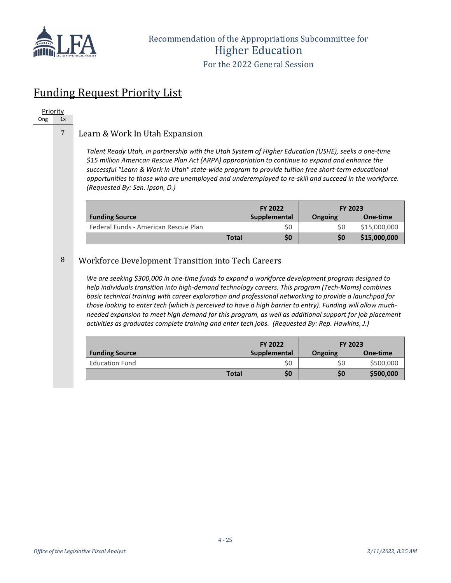

#### Ong 1x **Priority**

### 7 Learn & Work In Utah Expansion

Talent Ready Utah, in partnership with the Utah System of Higher Education (USHE), seeks a one-time *\$15 million American Rescue Plan Act (ARPA) appropriation to continue to expand and enhance the* successful "Learn & Work In Utah" state-wide program to provide tuition free short-term educational *opportunities to those who are unemployed and underemployed to re‐skill and succeed in the workforce. (Requested By: Sen. Ipson, D.)*

|                                      |       | <b>FY 2022</b> | <b>FY 2023</b> |              |
|--------------------------------------|-------|----------------|----------------|--------------|
| <b>Funding Source</b>                |       | Supplemental   | Ongoing        | One-time     |
| Federal Funds - American Rescue Plan |       | Ś0             |                | \$15,000,000 |
|                                      | Total | \$0            | S0             | \$15,000,000 |

### 8 Workforce Development Transition into Tech Careers

*We are seeking \$300,000 in one‐time funds to expand a workforce development program designed to help individuals transition into high‐demand technology careers. This program (Tech‐Moms) combines basic technical training with career exploration and professional networking to provide a launchpad for* those looking to enter tech (which is perceived to have a high barrier to entry). Funding will allow much*needed expansion to meet high demand for this program, as well as additional support for job placement activities as graduates complete training and enter tech jobs. (Requested By: Rep. Hawkins, J.)*

|                       |       | <b>FY 2022</b> | <b>FY 2023</b> |           |
|-----------------------|-------|----------------|----------------|-----------|
| <b>Funding Source</b> |       | Supplemental   | Ongoing        | One-time  |
| <b>Education Fund</b> |       | Ś0             | S0             | \$500,000 |
|                       | Total | \$0            | \$0            | \$500,000 |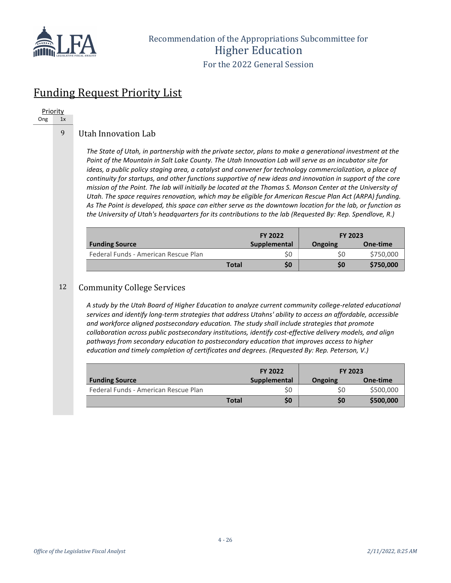

#### Ong 1x **Priority**

### 9 Utah Innovation Lab

The State of Utah, in partnership with the private sector, plans to make a generational investment at the Point of the Mountain in Salt Lake County. The Utah Innovation Lab will serve as an incubator site for *ideas, a public policy staging area, a catalyst and convener for technology commercialization, a place of* continuity for startups, and other functions supportive of new ideas and innovation in support of the core mission of the Point. The lab will initially be located at the Thomas S. Monson Center at the University of *Utah. The space requires renovation, which may be eligible for American Rescue Plan Act (ARPA) funding.* As The Point is developed, this space can either serve as the downtown location for the lab, or function as *the University of Utah's headquarters for its contributions to the lab (Requested By: Rep. Spendlove, R.)*

|                                      |              | <b>FY 2022</b> | <b>FY 2023</b> |           |
|--------------------------------------|--------------|----------------|----------------|-----------|
| <b>Funding Source</b>                |              | Supplemental   | Ongoing        | One-time  |
| Federal Funds - American Rescue Plan |              | Ś0             | S0             | \$750,000 |
|                                      | <b>Total</b> | SO             | \$0            | \$750,000 |

### 12 Community College Services

*A study by the Utah Board of Higher Education to analyze current community college‐related educational services and identify long‐term strategies that address Utahns' ability to access an affordable, accessible and workforce aligned postsecondary education. The study shall include strategies that promote collaboration across public postsecondary institutions, identify cost‐effective delivery models, and align pathways from secondary education to postsecondary education that improves access to higher education and timely completion of certificates and degrees. (Requested By: Rep. Peterson, V.)*

|                                      |              | <b>FY 2022</b> | <b>FY 2023</b> |           |
|--------------------------------------|--------------|----------------|----------------|-----------|
| <b>Funding Source</b>                |              | Supplemental   | Ongoing        | One-time  |
| Federal Funds - American Rescue Plan |              | \$0            | Ś0             | \$500,000 |
|                                      | <b>Total</b> | \$0            | \$0            | \$500,000 |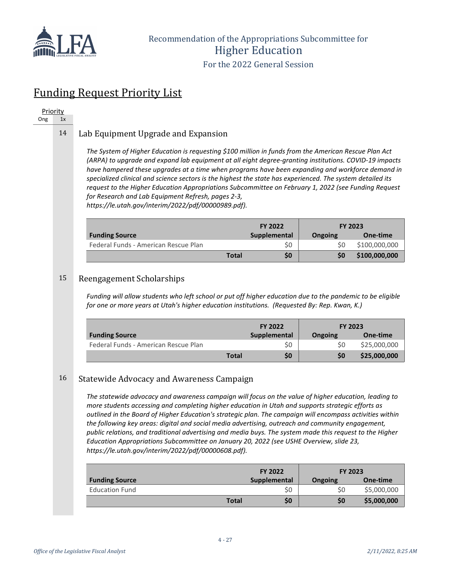

 $Ong$  1x **Priority** 

### 14 Lab Equipment Upgrade and Expansion

*The System of Higher Education is requesting \$100 million in funds from the American Rescue Plan Act* (ARPA) to upgrade and expand lab equipment at all eight degree-granting institutions. COVID-19 impacts *have hampered these upgrades at a time when programs have been expanding and workforce demand in specialized clinical and science sectors is the highest the state has experienced. The system detailed its request to the Higher Education Appropriations Subcommittee on February 1, 2022 (see Funding Request for Research and Lab Equipment Refresh, pages 2‐3, https://le.utah.gov/interim/2022/pdf/00000989.pdf).*

|                                      |       | <b>FY 2022</b> | <b>FY 2023</b> |               |
|--------------------------------------|-------|----------------|----------------|---------------|
| <b>Funding Source</b>                |       | Supplemental   | Ongoing        | One-time      |
| Federal Funds - American Rescue Plan |       | S0             |                | \$100,000,000 |
|                                      | Total | SO             | SO.            | \$100,000,000 |

#### 15 Reengagement Scholarships

Funding will allow students who left school or put off higher education due to the pandemic to be eligible *for one or more years at Utah's higher education institutions. (Requested By: Rep. Kwan, K.)*

|                                      |       | <b>FY 2022</b> | <b>FY 2023</b> |              |
|--------------------------------------|-------|----------------|----------------|--------------|
| <b>Funding Source</b>                |       | Supplemental   | Ongoing        | One-time     |
| Federal Funds - American Rescue Plan |       | SO.            | S0             | \$25,000,000 |
|                                      | Total | S0             | \$0            | \$25,000,000 |

### 16 Statewide Advocacy and Awareness Campaign

*The statewide advocacy and awareness campaign will focus on the value of higher education, leading to more students accessing and completing higher education in Utah and supports strategic efforts as outlined in the Board of Higher Education's strategic plan. The campaign will encompass activities within the following key areas: digital and social media advertising, outreach and community engagement, public relations, and traditional advertising and media buys. The system made this request to the Higher Education Appropriations Subcommittee on January 20, 2022 (see USHE Overview, slide 23, https://le.utah.gov/interim/2022/pdf/00000608.pdf).*

|                       | <b>FY 2022</b>      | <b>FY 2023</b> |             |
|-----------------------|---------------------|----------------|-------------|
| <b>Funding Source</b> | Supplemental        | Ongoing        | One-time    |
| <b>Education Fund</b> | S0                  | S0             | \$5,000,000 |
|                       | <b>Total</b><br>\$0 | \$0            | \$5,000,000 |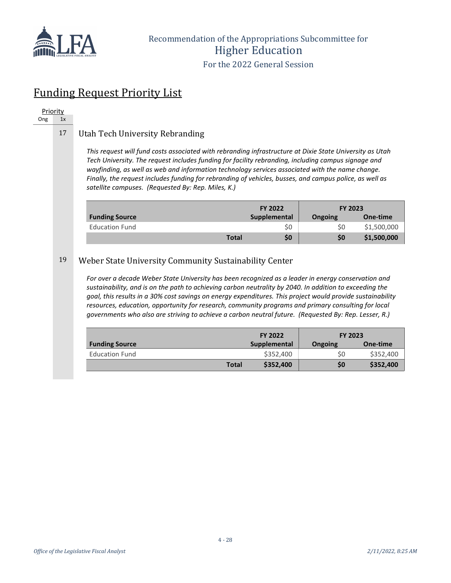

#### Ong 1x **Priority**

### 17 Utah Tech University Rebranding

*This request will fund costs associated with rebranding infrastructure at Dixie State University as Utah Tech University. The request includes funding for facility rebranding, including campus signage and wayfinding, as well as web and information technology services associated with the name change. Finally, the request includes funding for rebranding of vehicles, busses, and campus police, as well as satellite campuses. (Requested By: Rep. Miles, K.)*

|                       |       | <b>FY 2022</b> | <b>FY 2023</b> |             |
|-----------------------|-------|----------------|----------------|-------------|
| <b>Funding Source</b> |       | Supplemental   | Ongoing        | One-time    |
| <b>Education Fund</b> |       | S0             | S0             | \$1,500,000 |
|                       | Total | \$0            | \$0            | \$1,500,000 |

### 19 Weber State University Community Sustainability Center

*For over a decade Weber State University has been recognized as a leader in energy conservation and sustainability, and is on the path to achieving carbon neutrality by 2040. In addition to exceeding the goal, this results in a 30% cost savings on energy expenditures. This project would provide sustainability resources, education, opportunity for research, community programs and primary consulting for local governments who also are striving to achieve a carbon neutral future. (Requested By: Rep. Lesser, R.)*

|                       |       | <b>FY 2022</b> | <b>FY 2023</b> |           |
|-----------------------|-------|----------------|----------------|-----------|
| <b>Funding Source</b> |       | Supplemental   | Ongoing        | One-time  |
| <b>Education Fund</b> |       | \$352,400      | S0             | \$352,400 |
|                       | Total | \$352,400      | \$0            | \$352,400 |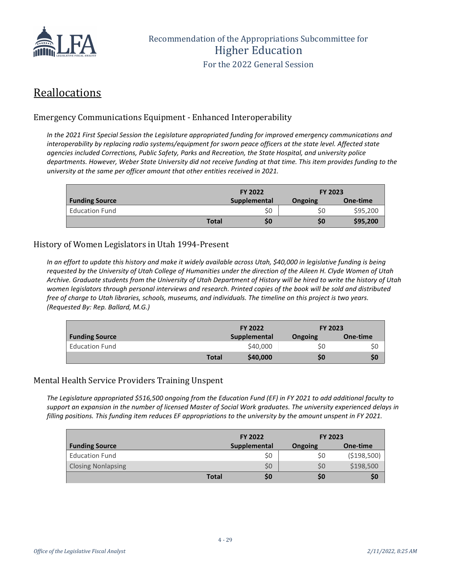

### Reallocations

### Emergency Communications Equipment - Enhanced Interoperability

*In the 2021 First Special Session the Legislature appropriated funding for improved emergency communications and interoperability by replacing radio systems/equipment for sworn peace officers at the state level. Affected state agencies included Corrections, Public Safety, Parks and Recreation, the State Hospital, and university police* departments. However, Weber State University did not receive funding at that time. This item provides funding to the *university at the same per officer amount that other entities received in 2021.*

|                       |              | <b>FY 2022</b> |         | <b>FY 2023</b> |
|-----------------------|--------------|----------------|---------|----------------|
| <b>Funding Source</b> |              | Supplemental   | Ongoing | One-time       |
| <b>Education Fund</b> |              | \$0            | SΟ      | \$95,200       |
|                       | <b>Total</b> | \$0            | \$0     | \$95,200       |

### History of Women Legislators in Utah 1994-Present

In an effort to update this history and make it widely available across Utah, \$40,000 in legislative funding is being requested by the University of Utah College of Humanities under the direction of the Aileen H. Clyde Women of Utah Archive. Graduate students from the University of Utah Department of History will be hired to write the history of Utah women legislators through personal interviews and research. Printed copies of the book will be sold and distributed free of charge to Utah libraries, schools, museums, and individuals. The timeline on this project is two years. *(Requested By: Rep. Ballard, M.G.)*

|                       |       | <b>FY 2022</b> | <b>FY 2023</b> |          |
|-----------------------|-------|----------------|----------------|----------|
| <b>Funding Source</b> |       | Supplemental   | Ongoing        | One-time |
| <b>Education Fund</b> |       | \$40,000       | S0             |          |
|                       | Total | \$40,000       | \$0            |          |

### Mental Health Service Providers Training Unspent

The Legislature appropriated \$516,500 ongoing from the Education Fund (EF) in FY 2021 to add additional faculty to support an expansion in the number of licensed Master of Social Work graduates. The university experienced delays in filling positions. This funding item reduces EF appropriations to the university by the amount unspent in FY 2021.

|                           |              | <b>FY 2022</b> | <b>FY 2023</b> |              |
|---------------------------|--------------|----------------|----------------|--------------|
| <b>Funding Source</b>     |              | Supplemental   | Ongoing        | One-time     |
| <b>Education Fund</b>     |              | \$0            | \$0            | ( \$198,500) |
| <b>Closing Nonlapsing</b> |              | \$0            | S0             | \$198,500    |
|                           | <b>Total</b> | S0             | \$0            | \$0          |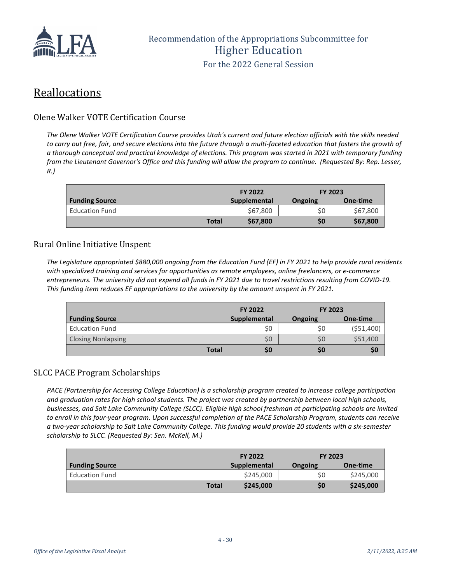

### Reallocations

### Olene Walker VOTE Certification Course

The Olene Walker VOTE Certification Course provides Utah's current and future election officials with the skills needed to carry out free, fair, and secure elections into the future through a multi-faceted education that fosters the growth of a thorough conceptual and practical knowledge of elections. This program was started in 2021 with temporary funding from the Lieutenant Governor's Office and this funding will allow the program to continue. (Requested By: Rep. Lesser, *R.)*

|                       |              | <b>FY 2022</b> | <b>FY 2023</b> |          |
|-----------------------|--------------|----------------|----------------|----------|
| <b>Funding Source</b> |              | Supplemental   | Ongoing        | One-time |
| <b>Education Fund</b> |              | \$67,800       | Ś0             | \$67,800 |
|                       | <b>Total</b> | \$67,800       | \$0            | \$67,800 |

### Rural Online Initiative Unspent

The Legislature appropriated \$880,000 ongoing from the Education Fund (EF) in FY 2021 to help provide rural residents *with specialized training and services for opportunities as remote employees, online freelancers, or e‐commerce* entrepreneurs. The university did not expend all funds in FY 2021 due to travel restrictions resulting from COVID-19. *This funding item reduces EF appropriations to the university by the amount unspent in FY 2021.*

|                           |              | <b>FY 2022</b> |         | <b>FY 2023</b> |
|---------------------------|--------------|----------------|---------|----------------|
| <b>Funding Source</b>     |              | Supplemental   | Ongoing | One-time       |
| <b>Education Fund</b>     |              | \$0            | S0      | ( \$51,400)    |
| <b>Closing Nonlapsing</b> |              | \$0            | S0      | \$51,400       |
|                           | <b>Total</b> | S0             | Ş0      |                |

### SLCC PACE Program Scholarships

*PACE (Partnership for Accessing College Education) is a scholarship program created to increase college participation* and graduation rates for high school students. The project was created by partnership between local high schools, businesses, and Salt Lake Community College (SLCC). Eligible high school freshman at participating schools are invited to enroll in this four-year program. Upon successful completion of the PACE Scholarship Program, students can receive a two-year scholarship to Salt Lake Community College. This funding would provide 20 students with a six-semester *scholarship to SLCC. (Requested By: Sen. McKell, M.)*

|                       |       | <b>FY 2022</b> | <b>FY 2023</b> |           |
|-----------------------|-------|----------------|----------------|-----------|
| <b>Funding Source</b> |       | Supplemental   | Ongoing        | One-time  |
| <b>Education Fund</b> |       | \$245,000      | S0             | \$245,000 |
|                       | Total | \$245,000      | \$0            | \$245,000 |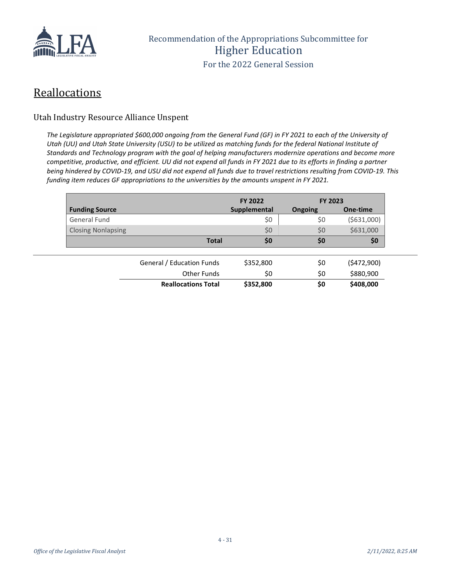

### Reallocations

### Utah Industry Resource Alliance Unspent

The Legislature appropriated \$600,000 ongoing from the General Fund (GF) in FY 2021 to each of the University of Utah (UU) and Utah State University (USU) to be utilized as matching funds for the federal National Institute of *Standards and Technology program with the goal of helping manufacturers modernize operations and become more* competitive, productive, and efficient. UU did not expend all funds in FY 2021 due to its efforts in finding a partner being hindered by COVID-19, and USU did not expend all funds due to travel restrictions resulting from COVID-19. This *funding item reduces GF appropriations to the universities by the amounts unspent in FY 2021.*

|                           |                            | <b>FY 2022</b> | <b>FY 2023</b> |              |
|---------------------------|----------------------------|----------------|----------------|--------------|
| <b>Funding Source</b>     |                            | Supplemental   | Ongoing        | One-time     |
| General Fund              |                            | \$0            | \$0            | ( \$631,000) |
| <b>Closing Nonlapsing</b> |                            | \$0            | \$0            | \$631,000    |
|                           | <b>Total</b>               | \$0            | \$0            | \$0          |
|                           |                            |                |                |              |
|                           | General / Education Funds  | \$352,800      | \$0            | (5472,900)   |
|                           | <b>Other Funds</b>         | \$0            | \$0            | \$880,900    |
|                           | <b>Reallocations Total</b> | \$352,800      | \$0            | \$408,000    |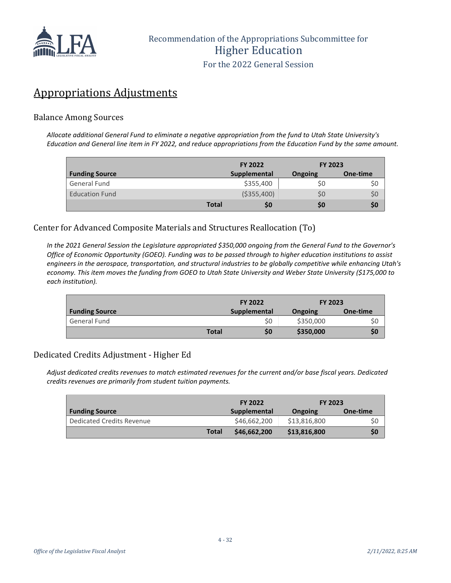

### Appropriations Adjustments

### Balance Among Sources

*Allocate additional General Fund to eliminate a negative appropriation from the fund to Utah State University's* Education and General line item in FY 2022, and reduce appropriations from the Education Fund by the same amount.

|                       |       | FY 2022      | <b>FY 2023</b> |          |
|-----------------------|-------|--------------|----------------|----------|
| <b>Funding Source</b> |       | Supplemental | Ongoing        | One-time |
| General Fund          |       | \$355,400    | S0             | \$0      |
| <b>Education Fund</b> |       | ( \$355,400) | \$0            | \$0      |
|                       | Total | \$0          | \$0            | \$0      |

### Center for Advanced Composite Materials and Structures Reallocation (To)

In the 2021 General Session the Legislature appropriated \$350,000 ongoing from the General Fund to the Governor's Office of Economic Opportunity (GOEO). Funding was to be passed through to higher education institutions to assist *engineers in the aerospace, transportation, and structural industries to be globally competitive while enhancing Utah's* economy. This item moves the funding from GOEO to Utah State University and Weber State University (\$175,000 to *each institution).*

|                       |              | <b>FY 2022</b> | <b>FY 2023</b> |           |
|-----------------------|--------------|----------------|----------------|-----------|
| <b>Funding Source</b> |              | Supplemental   | Ongoing        | One-time  |
| General Fund          |              | \$0            | \$350,000      | ŚС        |
|                       | <b>Total</b> | \$0            | \$350,000      | <b>SC</b> |

### Dedicated Credits Adjustment - Higher Ed

Adjust dedicated credits revenues to match estimated revenues for the current and/or base fiscal years. Dedicated *credits revenues are primarily from student tuition payments.*

|                           | <b>FY 2022</b> | <b>FY 2023</b> |          |
|---------------------------|----------------|----------------|----------|
| <b>Funding Source</b>     | Supplemental   | Ongoing        | One-time |
| Dedicated Credits Revenue | \$46,662,200   | \$13,816,800   |          |
| <b>Total</b>              | \$46,662,200   | \$13,816,800   | S0       |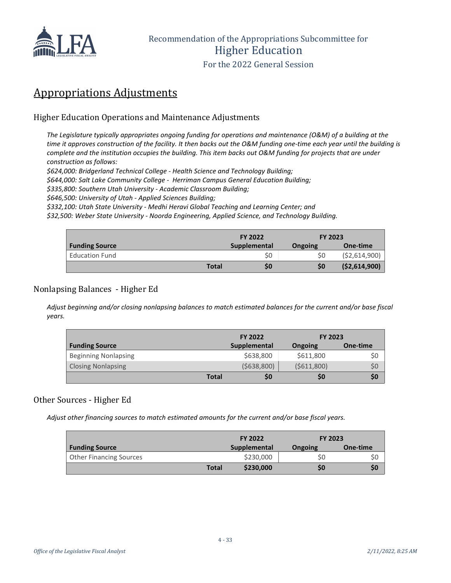

## Appropriations Adjustments

### Higher Education Operations and Maintenance Adjustments

*The Legislature typically appropriates ongoing funding for operations and maintenance (O&M) of a building at the* time it approves construction of the facility. It then backs out the O&M funding one-time each year until the building is complete and the institution occupies the building. This item backs out O&M funding for projects that are under *construction as follows:*

*\$624,000: Bridgerland Technical College ‐ Health Science and Technology Building;*

*\$644,000: Salt Lake Community College ‐ Herriman Campus General Education Building;*

*\$335,800: Southern Utah University ‐ Academic Classroom Building;*

*\$646,500: University of Utah ‐ Applied Sciences Building;*

*\$332,100: Utah State University ‐ Medhi Heravi Global Teaching and Learning Center; and*

*\$32,500: Weber State University ‐ Noorda Engineering, Applied Science, and Technology Building.*

|                       |       | <b>FY 2022</b> |         | <b>FY 2023</b> |
|-----------------------|-------|----------------|---------|----------------|
| <b>Funding Source</b> |       | Supplemental   | Ongoing | One-time       |
| <b>Education Fund</b> |       | Ś0             | Ś0      | ( \$2,614,900) |
|                       | Total | S0             | \$0     | ( \$2,614,900) |

### Nonlapsing Balances - Higher Ed

Adjust beginning and/or closing nonlapsing balances to match estimated balances for the current and/or base fiscal *years.*

|                             | <b>FY 2022</b> | <b>FY 2023</b> |          |
|-----------------------------|----------------|----------------|----------|
| <b>Funding Source</b>       | Supplemental   | Ongoing        | One-time |
| <b>Beginning Nonlapsing</b> | \$638,800      | \$611,800      | \$0      |
| <b>Closing Nonlapsing</b>   | (5638,800)     | ( \$611, 800)  | \$0      |
|                             | Total<br>S0    | \$0            | \$0      |

### Other Sources - Higher Ed

*Adjust other financing sources to match estimated amounts for the current and/or base fiscal years.*

|                                |              | <b>FY 2022</b> | <b>FY 2023</b> |          |
|--------------------------------|--------------|----------------|----------------|----------|
| <b>Funding Source</b>          |              | Supplemental   | Ongoing        | One-time |
| <b>Other Financing Sources</b> |              | \$230,000      | S0             | S0       |
|                                | <b>Total</b> | \$230,000      | \$0            | \$0      |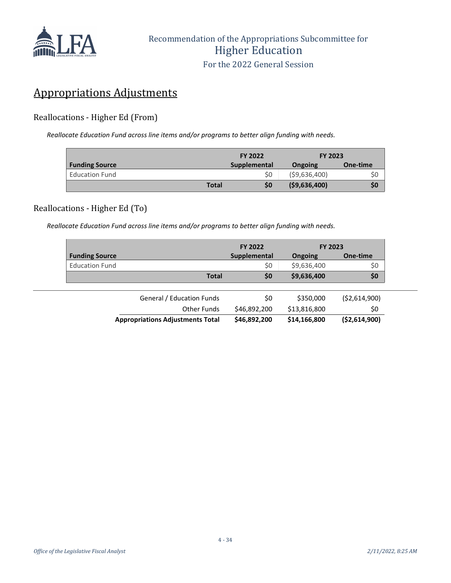

## Appropriations Adjustments

### Reallocations - Higher Ed (From)

*Reallocate Education Fund across line items and/or programs to better align funding with needs.*

|                       |       | <b>FY 2022</b> | <b>FY 2023</b> |          |
|-----------------------|-------|----------------|----------------|----------|
| <b>Funding Source</b> |       | Supplemental   | Ongoing        | One-time |
| <b>Education Fund</b> |       | \$0            | (59,636,400)   | SΟ       |
|                       | Total | \$0            | ( \$9,636,400) | \$0      |

### Reallocations - Higher Ed (To)

*Reallocate Education Fund across line items and/or programs to better align funding with needs.*

|                       |                                         | <b>FY 2022</b> | <b>FY 2023</b> |                |
|-----------------------|-----------------------------------------|----------------|----------------|----------------|
| <b>Funding Source</b> |                                         | Supplemental   | Ongoing        | One-time       |
| <b>Education Fund</b> |                                         | \$0            | \$9,636,400    | \$0            |
|                       | <b>Total</b>                            | \$0            | \$9,636,400    | \$0            |
|                       | General / Education Funds               | \$0            | \$350,000      | ( \$2,614,900) |
|                       | <b>Other Funds</b>                      | \$46,892,200   | \$13,816,800   | \$0            |
|                       | <b>Appropriations Adjustments Total</b> | \$46,892,200   | \$14,166,800   | ( \$2,614,900) |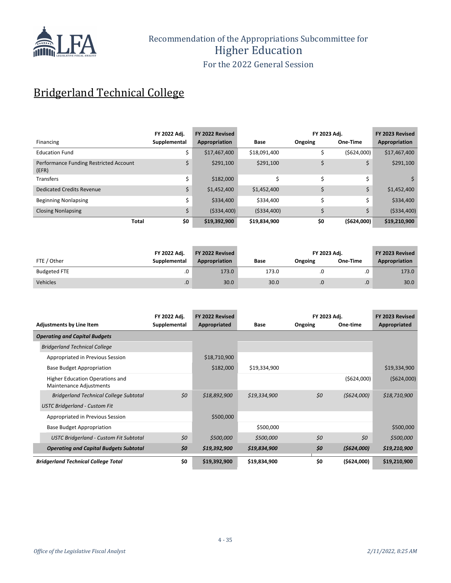

For the 2022 General Session

# Bridgerland Technical College

|                                                 | FY 2022 Adj. | FY 2022 Revised |              |         | FY 2023 Adj. | FY 2023 Revised |
|-------------------------------------------------|--------------|-----------------|--------------|---------|--------------|-----------------|
| Financing                                       | Supplemental | Appropriation   | Base         | Ongoing | One-Time     | Appropriation   |
| <b>Education Fund</b>                           | Ś.           | \$17,467,400    | \$18,091,400 |         | ( \$624,000] | \$17,467,400    |
| Performance Funding Restricted Account<br>(EFR) | \$           | \$291,100       | \$291,100    | \$      |              | \$291,100       |
| <b>Transfers</b>                                | \$           | \$182,000       |              | \$      |              |                 |
| <b>Dedicated Credits Revenue</b>                | \$           | \$1,452,400     | \$1,452,400  | \$      | \$           | \$1,452,400     |
| <b>Beginning Nonlapsing</b>                     | \$           | \$334,400       | \$334,400    | \$      |              | \$334,400       |
| <b>Closing Nonlapsing</b>                       | \$           | (5334,400)      | ( \$334,400) | \$      | \$           | ( \$334,400)    |
| <b>Total</b>                                    | \$0          | \$19,392,900    | \$19,834,900 | \$0     | (5624.000)   | \$19,210,900    |

|                     | FY 2022 Adj. | FY 2022 Revised |       | FY 2023 Adj. |          | FY 2023 Revised |
|---------------------|--------------|-----------------|-------|--------------|----------|-----------------|
| FTE / Other         | Supplemental | Appropriation   | Base  | Ongoing      | One Time | Appropriation   |
| <b>Budgeted FTE</b> | .0           | 173.0           | 173.0 | .0           | .0       | 173.0           |
| Vehicles            |              | 30.0            | 30.0  | .0           | .0       | 30.0            |

|                                                            | FY 2022 Adj. | FY 2022 Revised |              | FY 2023 Adj. |            | FY 2023 Revised |
|------------------------------------------------------------|--------------|-----------------|--------------|--------------|------------|-----------------|
| <b>Adjustments by Line Item</b>                            | Supplemental | Appropriated    | <b>Base</b>  | Ongoing      | One-time   | Appropriated    |
| <b>Operating and Capital Budgets</b>                       |              |                 |              |              |            |                 |
| <b>Bridgerland Technical College</b>                       |              |                 |              |              |            |                 |
| Appropriated in Previous Session                           |              | \$18,710,900    |              |              |            |                 |
| <b>Base Budget Appropriation</b>                           |              | \$182,000       | \$19,334,900 |              |            | \$19,334,900    |
| Higher Education Operations and<br>Maintenance Adjustments |              |                 |              |              | (5624,000) | ( \$624,000)    |
| <b>Bridgerland Technical College Subtotal</b>              | SO           | \$18,892,900    | \$19,334,900 | SO           | (5624,000) | \$18,710,900    |
| <b>USTC Bridgerland - Custom Fit</b>                       |              |                 |              |              |            |                 |
| Appropriated in Previous Session                           |              | \$500,000       |              |              |            |                 |
| <b>Base Budget Appropriation</b>                           |              |                 | \$500,000    |              |            | \$500,000       |
| <b>USTC Bridgerland - Custom Fit Subtotal</b>              | \$0          | \$500,000       | \$500,000    | 50           | \$0        | \$500,000       |
| <b>Operating and Capital Budgets Subtotal</b>              | \$0          | \$19,392,900    | \$19,834,900 | \$0          | (5624,000) | \$19,210,900    |
| <b>Bridgerland Technical College Total</b>                 | \$0          | \$19,392,900    | \$19,834,900 | \$0          | (5624,000) | \$19,210,900    |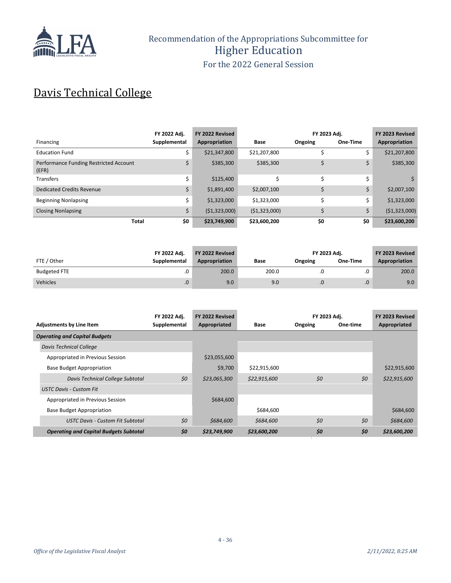

For the 2022 General Session

# Davis Technical College

| Financing                                       | FY 2022 Adj.<br>Supplemental | FY 2022 Revised<br>Appropriation | Base         | FY 2023 Adj.<br>Ongoing | One-Time | FY 2023 Revised<br>Appropriation |
|-------------------------------------------------|------------------------------|----------------------------------|--------------|-------------------------|----------|----------------------------------|
| <b>Education Fund</b>                           | Ś.                           | \$21,347,800                     | \$21,207,800 |                         |          | \$21,207,800                     |
| Performance Funding Restricted Account<br>(EFR) | Ś.                           | \$385,300                        | \$385,300    | \$                      | \$       | \$385,300                        |
| <b>Transfers</b>                                | Ś.                           | \$125,400                        |              | Ś                       |          |                                  |
| <b>Dedicated Credits Revenue</b>                | Ś.                           | \$1,891,400                      | \$2,007,100  | \$                      | \$       | \$2,007,100                      |
| <b>Beginning Nonlapsing</b>                     | Ś.                           | \$1,323,000                      | \$1,323,000  | \$                      |          | \$1,323,000                      |
| <b>Closing Nonlapsing</b>                       | Ś.                           | (51,323,000)                     | (51,323,000) | \$                      | \$       | ( \$1,323,000)                   |
| <b>Total</b>                                    | \$0                          | \$23,749,900                     | \$23,600,200 | \$0                     | \$0      | \$23,600,200                     |

|                     | FY 2022 Adj. | FY 2022 Revised |       | FY 2023 Adj. |          | FY 2023 Revised |
|---------------------|--------------|-----------------|-------|--------------|----------|-----------------|
| FTE / Other         | Supplemental | Appropriation   | Base  | Ongoing      | One-Time | Appropriation   |
| <b>Budgeted FTE</b> | ۰.           | 200.0           | 200.0 |              | .u       | 200.0           |
| Vehicles            |              | 9.0             | 9.0   |              | ٠υ       | 9.0             |

|                                               | FY 2022 Adj. | FY 2022 Revised |              | FY 2023 Adj. |          | FY 2023 Revised |
|-----------------------------------------------|--------------|-----------------|--------------|--------------|----------|-----------------|
| <b>Adjustments by Line Item</b>               | Supplemental | Appropriated    | Base         | Ongoing      | One-time | Appropriated    |
| <b>Operating and Capital Budgets</b>          |              |                 |              |              |          |                 |
| <b>Davis Technical College</b>                |              |                 |              |              |          |                 |
| Appropriated in Previous Session              |              | \$23,055,600    |              |              |          |                 |
| <b>Base Budget Appropriation</b>              |              | \$9,700         | \$22,915,600 |              |          | \$22,915,600    |
| Davis Technical College Subtotal              | \$0          | \$23,065,300    | \$22,915,600 | \$0          | \$0      | \$22,915,600    |
| <b>USTC Davis - Custom Fit</b>                |              |                 |              |              |          |                 |
| Appropriated in Previous Session              |              | \$684,600       |              |              |          |                 |
| <b>Base Budget Appropriation</b>              |              |                 | \$684,600    |              |          | \$684,600       |
| USTC Davis - Custom Fit Subtotal              | \$0          | \$684,600       | \$684,600    | \$0          | \$0      | \$684,600       |
| <b>Operating and Capital Budgets Subtotal</b> | \$0          | \$23,749,900    | \$23,600,200 | \$0          | \$0      | \$23,600,200    |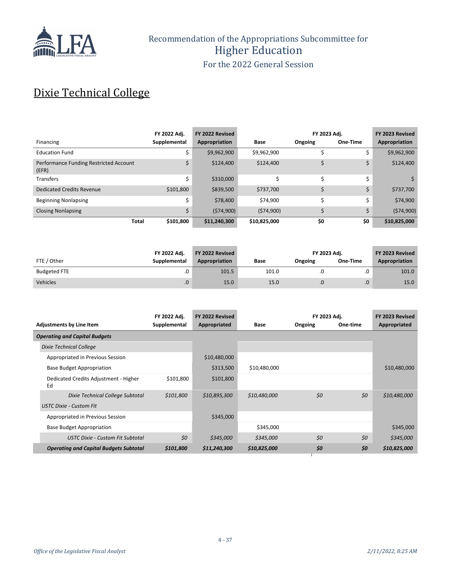

For the 2022 General Session

# Dixie Technical College

| Financing                                       | FY 2022 Adj.<br>Supplemental | FY 2022 Revised<br>Appropriation | Base         | FY 2023 Adj.<br>Ongoing | One-Time | FY 2023 Revised<br>Appropriation |
|-------------------------------------------------|------------------------------|----------------------------------|--------------|-------------------------|----------|----------------------------------|
| <b>Education Fund</b>                           |                              | \$9,962,900                      | \$9,962,900  |                         |          | \$9,962,900                      |
| Performance Funding Restricted Account<br>(EFR) | Ś.                           | \$124,400                        | \$124,400    | \$                      | \$       | \$124,400                        |
| <b>Transfers</b>                                | Ś.                           | \$310,000                        |              | Ś                       |          |                                  |
| <b>Dedicated Credits Revenue</b>                | \$101,800                    | \$839,500                        | \$737,700    | \$                      | Ś        | \$737,700                        |
| <b>Beginning Nonlapsing</b>                     |                              | \$78,400                         | \$74,900     | Ś                       |          | \$74,900                         |
| <b>Closing Nonlapsing</b>                       | Ś.                           | (574,900)                        | (574,900)    | \$                      | \$       | (574,900)                        |
| <b>Total</b>                                    | \$101,800                    | \$11,240,300                     | \$10,825,000 | \$0                     | \$0      | \$10,825,000                     |

|                     | FY 2022 Adj. | FY 2022 Revised |       | FY 2023 Adj. |                 | FY 2023 Revised |
|---------------------|--------------|-----------------|-------|--------------|-----------------|-----------------|
| FTE / Other         | Supplemental | Appropriation   | Base  | Ongoing      | One Time        | Appropriation   |
| <b>Budgeted FTE</b> | .0           | 101.5           | 101.0 | .0           | .0              | 101.0           |
| Vehicles            |              | 15.0            | 15.0  | .0           | .0 <sub>1</sub> | 15.0            |

|                                               | FY 2022 Adj. | FY 2022 Revised |              | FY 2023 Adj. |          | FY 2023 Revised |
|-----------------------------------------------|--------------|-----------------|--------------|--------------|----------|-----------------|
| <b>Adjustments by Line Item</b>               | Supplemental | Appropriated    | <b>Base</b>  | Ongoing      | One-time | Appropriated    |
| <b>Operating and Capital Budgets</b>          |              |                 |              |              |          |                 |
| Dixie Technical College                       |              |                 |              |              |          |                 |
| Appropriated in Previous Session              |              | \$10,480,000    |              |              |          |                 |
| <b>Base Budget Appropriation</b>              |              | \$313,500       | \$10,480,000 |              |          | \$10,480,000    |
| Dedicated Credits Adjustment - Higher<br>Ed   | \$101,800    | \$101,800       |              |              |          |                 |
| Dixie Technical College Subtotal              | \$101,800    | \$10,895,300    | \$10,480,000 | 50           | 50       | \$10,480,000    |
| <b>USTC Dixie - Custom Fit</b>                |              |                 |              |              |          |                 |
| Appropriated in Previous Session              |              | \$345,000       |              |              |          |                 |
| <b>Base Budget Appropriation</b>              |              |                 | \$345,000    |              |          | \$345,000       |
| <b>USTC Dixie - Custom Fit Subtotal</b>       | 50           | \$345,000       | \$345,000    | 50           | 50       | \$345,000       |
| <b>Operating and Capital Budgets Subtotal</b> | \$101,800    | \$11,240,300    | \$10,825,000 | \$0          | \$0      | \$10,825,000    |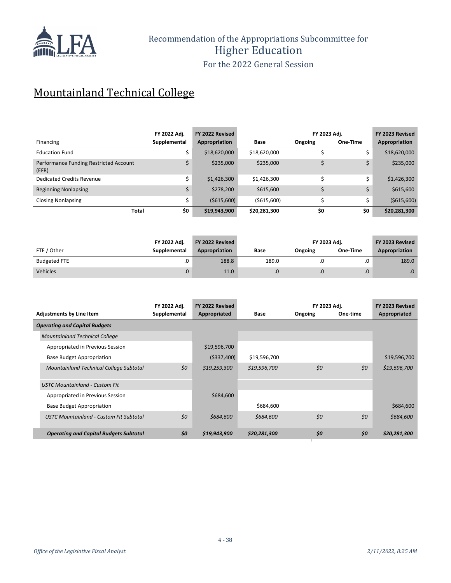

For the 2022 General Session

# Mountainland Technical College

| Financing                                       | FY 2022 Adj.<br>Supplemental | FY 2022 Revised<br>Appropriation | <b>Base</b>  | FY 2023 Adj.<br>Ongoing | One-Time | FY 2023 Revised<br>Appropriation |
|-------------------------------------------------|------------------------------|----------------------------------|--------------|-------------------------|----------|----------------------------------|
| <b>Education Fund</b>                           | Ś.                           | \$18,620,000                     | \$18,620,000 |                         |          | \$18,620,000                     |
| Performance Funding Restricted Account<br>(EFR) | Ś.                           | \$235,000                        | \$235,000    |                         | \$       | \$235,000                        |
| Dedicated Credits Revenue                       | Ś.                           | \$1,426,300                      | \$1,426,300  | \$                      |          | \$1,426,300                      |
| <b>Beginning Nonlapsing</b>                     | \$                           | \$278,200                        | \$615,600    | \$                      | \$       | \$615,600                        |
| <b>Closing Nonlapsing</b>                       | Ś.                           | (5615,600)                       | ( \$615,600) | Ś                       |          | ( \$615,600)                     |
| <b>Total</b>                                    | \$0                          | \$19,943,900                     | \$20,281,300 | \$0                     | \$0      | \$20,281,300                     |

|                     | FY 2022 Adj. | FY 2022 Revised | FY 2023 Adj. |         |          | FY 2023 Revised |
|---------------------|--------------|-----------------|--------------|---------|----------|-----------------|
| FTE / Other         | Supplemental | Appropriation   | <b>Base</b>  | Ongoing | One Time | Appropriation   |
| <b>Budgeted FTE</b> | .0           | 188.8           | 189.0        | .v      | .0       | 189.0           |
| Vehicles            |              | 11.0            |              | .0      | $\cdot$  | $.0 \cdot$      |

|                                                | FY 2022 Adj. | FY 2022 Revised |              | FY 2023 Adj. |          | FY 2023 Revised |
|------------------------------------------------|--------------|-----------------|--------------|--------------|----------|-----------------|
| <b>Adjustments by Line Item</b>                | Supplemental | Appropriated    | <b>Base</b>  | Ongoing      | One-time | Appropriated    |
| <b>Operating and Capital Budgets</b>           |              |                 |              |              |          |                 |
| <b>Mountainland Technical College</b>          |              |                 |              |              |          |                 |
| Appropriated in Previous Session               |              | \$19,596,700    |              |              |          |                 |
| <b>Base Budget Appropriation</b>               |              | ( \$337,400)    | \$19,596,700 |              |          | \$19,596,700    |
| Mountainland Technical College Subtotal        | 50           | \$19,259,300    | \$19,596,700 | 50           | 50       | \$19,596,700    |
| <b>USTC Mountainland - Custom Fit</b>          |              |                 |              |              |          |                 |
| Appropriated in Previous Session               |              | \$684,600       |              |              |          |                 |
| <b>Base Budget Appropriation</b>               |              |                 | \$684,600    |              |          | \$684,600       |
| <b>USTC Mountainland - Custom Fit Subtotal</b> | 50           | \$684,600       | \$684,600    | 50           | \$0      | \$684,600       |
| <b>Operating and Capital Budgets Subtotal</b>  | \$0          | \$19,943,900    | \$20,281,300 | \$0          | \$0      | \$20,281,300    |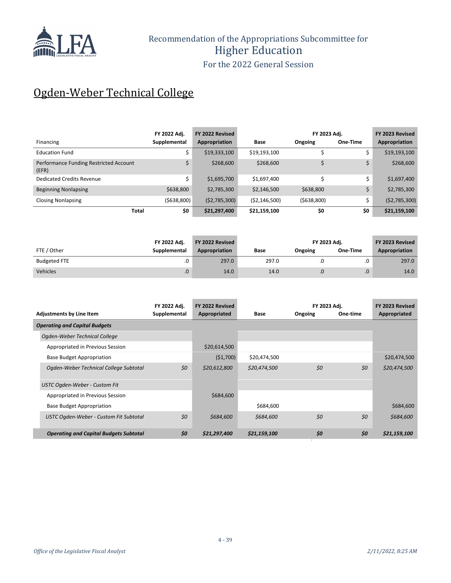

For the 2022 General Session

# Ogden-Weber Technical College

| Financing                                       | FY 2022 Adj.<br>Supplemental | FY 2022 Revised<br>Appropriation | <b>Base</b>    | FY 2023 Adj.<br>Ongoing | One-Time | FY 2023 Revised<br>Appropriation |
|-------------------------------------------------|------------------------------|----------------------------------|----------------|-------------------------|----------|----------------------------------|
| <b>Education Fund</b>                           | Ś                            | \$19,333,100                     | \$19,193,100   |                         |          | \$19,193,100                     |
| Performance Funding Restricted Account<br>(EFR) | Ś.                           | \$268,600                        | \$268,600      | \$                      |          | \$268,600                        |
| Dedicated Credits Revenue                       | \$                           | \$1,695,700                      | \$1,697,400    | \$                      |          | \$1,697,400                      |
| <b>Beginning Nonlapsing</b>                     | \$638,800                    | \$2,785,300                      | \$2,146,500    | \$638,800               | \$       | \$2,785,300                      |
| <b>Closing Nonlapsing</b>                       | (5638,800)                   | (52,785,300)                     | (52, 146, 500) | (5638,800)              |          | (52,785,300)                     |
| <b>Total</b>                                    | \$0                          | \$21,297,400                     | \$21,159,100   | \$0                     | \$0      | \$21,159,100                     |

|                     | FY 2022 Adj.    | FY 2022 Revised | FY 2023 Adj. |         |                 | FY 2023 Revised |
|---------------------|-----------------|-----------------|--------------|---------|-----------------|-----------------|
| FTE / Other         | Supplemental    | Appropriation   | Base         | Ongoing | One Time        | Appropriation   |
| <b>Budgeted FTE</b> | .0              | 297.0           | 297.0        | .U      | .0              | 297.0           |
| Vehicles            | .0 <sub>1</sub> | 14.0            | 14.0         | .0      | .0 <sub>1</sub> | 14.0            |

|                                               | FY 2022 Adj. | FY 2022 Revised |              | FY 2023 Adj. |          | FY 2023 Revised |
|-----------------------------------------------|--------------|-----------------|--------------|--------------|----------|-----------------|
| <b>Adjustments by Line Item</b>               | Supplemental | Appropriated    | <b>Base</b>  | Ongoing      | One-time | Appropriated    |
| <b>Operating and Capital Budgets</b>          |              |                 |              |              |          |                 |
| Ogden-Weber Technical College                 |              |                 |              |              |          |                 |
| Appropriated in Previous Session              |              | \$20,614,500    |              |              |          |                 |
| <b>Base Budget Appropriation</b>              |              | (51,700)        | \$20,474,500 |              |          | \$20,474,500    |
| Ogden-Weber Technical College Subtotal        | 50           | \$20,612,800    | \$20,474,500 | \$0          | \$0      | \$20,474,500    |
| USTC Ogden-Weber - Custom Fit                 |              |                 |              |              |          |                 |
| Appropriated in Previous Session              |              | \$684,600       |              |              |          |                 |
| <b>Base Budget Appropriation</b>              |              |                 | \$684,600    |              |          | \$684,600       |
| USTC Ogden-Weber - Custom Fit Subtotal        | 50           | \$684,600       | \$684,600    | \$0          | \$0      | \$684,600       |
| <b>Operating and Capital Budgets Subtotal</b> | \$0          | \$21,297,400    | \$21,159,100 | \$0          | \$0      | \$21,159,100    |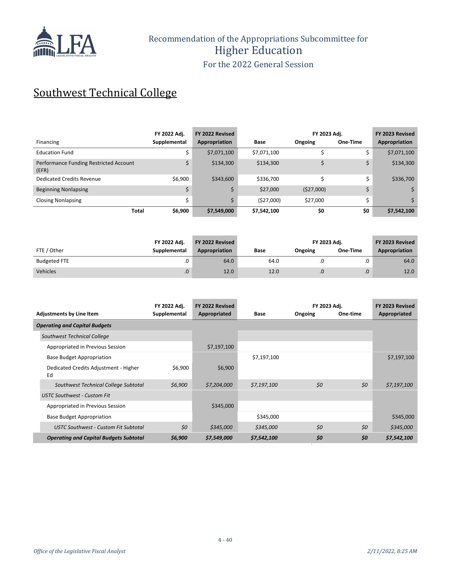

For the 2022 General Session

# Southwest Technical College

| Financing                                       | FY 2022 Adj.<br>Supplemental | FY 2022 Revised<br>Appropriation | <b>Base</b> | FY 2023 Adj.<br>Ongoing | One-Time | FY 2023 Revised<br>Appropriation |
|-------------------------------------------------|------------------------------|----------------------------------|-------------|-------------------------|----------|----------------------------------|
| <b>Education Fund</b>                           |                              | \$7,071,100                      | \$7,071,100 |                         |          | \$7,071,100                      |
| Performance Funding Restricted Account<br>(EFR) | Ś.                           | \$134,300                        | \$134,300   |                         | \$       | \$134,300                        |
| Dedicated Credits Revenue                       | \$6,900                      | \$343,600                        | \$336,700   |                         |          | \$336,700                        |
| <b>Beginning Nonlapsing</b>                     |                              |                                  | \$27,000    | (527,000)               |          |                                  |
| <b>Closing Nonlapsing</b>                       |                              |                                  | (527,000)   | \$27,000                |          |                                  |
| <b>Total</b>                                    | \$6,900                      | \$7,549,000                      | \$7,542,100 | \$0                     | \$0      | \$7,542,100                      |

|                     | FY 2022 Adj. | FY 2022 Revised | FY 2023 Adj. |         |          | FY 2023 Revised |
|---------------------|--------------|-----------------|--------------|---------|----------|-----------------|
| FTE / Other         | Supplemental | Appropriation   | <b>Base</b>  | Ongoing | One Time | Appropriation   |
| <b>Budgeted FTE</b> | .O           | 64.0            | 64.0         | ٠.      | .0       | 64.0            |
| Vehicles            |              | 12.0            | 12.0         | .0      | .0       | 12.0            |

|                                               | FY 2022 Adj. | FY 2022 Revised |             | FY 2023 Adj. |          | FY 2023 Revised |
|-----------------------------------------------|--------------|-----------------|-------------|--------------|----------|-----------------|
| <b>Adjustments by Line Item</b>               | Supplemental | Appropriated    | <b>Base</b> | Ongoing      | One-time | Appropriated    |
| <b>Operating and Capital Budgets</b>          |              |                 |             |              |          |                 |
| Southwest Technical College                   |              |                 |             |              |          |                 |
| Appropriated in Previous Session              |              | \$7,197,100     |             |              |          |                 |
| <b>Base Budget Appropriation</b>              |              |                 | \$7,197,100 |              |          | \$7,197,100     |
| Dedicated Credits Adjustment - Higher<br>Ed   | \$6,900      | \$6,900         |             |              |          |                 |
| Southwest Technical College Subtotal          | \$6,900      | \$7,204,000     | \$7,197,100 | \$0          | \$0      | \$7,197,100     |
| <b>USTC Southwest - Custom Fit</b>            |              |                 |             |              |          |                 |
| Appropriated in Previous Session              |              | \$345,000       |             |              |          |                 |
| <b>Base Budget Appropriation</b>              |              |                 | \$345,000   |              |          | \$345,000       |
| USTC Southwest - Custom Fit Subtotal          | \$0          | \$345,000       | \$345,000   | \$0          | \$0      | \$345,000       |
| <b>Operating and Capital Budgets Subtotal</b> | \$6,900      | \$7,549,000     | \$7,542,100 | \$0          | \$0      | \$7,542,100     |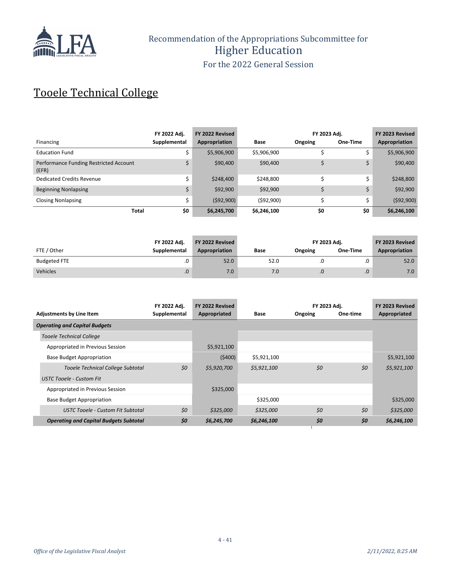

For the 2022 General Session

# Tooele Technical College

| Financing                                       | FY 2022 Adj.<br>Supplemental | FY 2022 Revised<br>Appropriation | Base        | Ongoing | FY 2023 Adj.<br>One-Time | FY 2023 Revised<br>Appropriation |
|-------------------------------------------------|------------------------------|----------------------------------|-------------|---------|--------------------------|----------------------------------|
| <b>Education Fund</b>                           |                              | \$5,906,900                      | \$5,906,900 |         |                          | \$5,906,900                      |
| Performance Funding Restricted Account<br>(EFR) | \$                           | \$90,400                         | \$90,400    |         |                          | \$90,400                         |
| Dedicated Credits Revenue                       | \$                           | \$248,400                        | \$248,800   | \$      |                          | \$248,800                        |
| <b>Beginning Nonlapsing</b>                     | \$                           | \$92,900                         | \$92,900    | \$      |                          | \$92,900                         |
| <b>Closing Nonlapsing</b>                       |                              | (592,900)                        | (592,900)   | Ś       |                          | (592,900)                        |
| <b>Total</b>                                    | \$0                          | \$6,245,700                      | \$6,246,100 | \$0     | \$0                      | \$6,246,100                      |

|                     | FY 2022 Adj. | FY 2022 Revised |             | FY 2023 Adj. |          |               |
|---------------------|--------------|-----------------|-------------|--------------|----------|---------------|
| FTE / Other         | Supplemental | Appropriation   | <b>Base</b> | Ongoing      | One Time | Appropriation |
| <b>Budgeted FTE</b> | .O           | 52.0            | 52.0        | .v           | .0       | 52.0          |
| Vehicles            |              | 7.0             | 7.0         | .0           | .0       | 7.0           |

|                                               | FY 2022 Adj. | FY 2022 Revised |             | FY 2023 Adj. |          | FY 2023 Revised |
|-----------------------------------------------|--------------|-----------------|-------------|--------------|----------|-----------------|
| <b>Adjustments by Line Item</b>               | Supplemental | Appropriated    | Base        | Ongoing      | One-time | Appropriated    |
| <b>Operating and Capital Budgets</b>          |              |                 |             |              |          |                 |
| <b>Tooele Technical College</b>               |              |                 |             |              |          |                 |
| Appropriated in Previous Session              |              | \$5,921,100     |             |              |          |                 |
| <b>Base Budget Appropriation</b>              |              | (5400)          | \$5,921,100 |              |          | \$5,921,100     |
| <b>Tooele Technical College Subtotal</b>      | 50           | \$5,920,700     | \$5,921,100 | 50           | \$0      | \$5,921,100     |
| <b>USTC Tooele - Custom Fit</b>               |              |                 |             |              |          |                 |
| Appropriated in Previous Session              |              | \$325,000       |             |              |          |                 |
| <b>Base Budget Appropriation</b>              |              |                 | \$325,000   |              |          | \$325,000       |
| USTC Tooele - Custom Fit Subtotal             | \$0          | \$325,000       | \$325,000   | 50           | \$0      | \$325,000       |
| <b>Operating and Capital Budgets Subtotal</b> | \$0          | \$6,245,700     | \$6,246,100 | \$0          | \$0      | \$6,246,100     |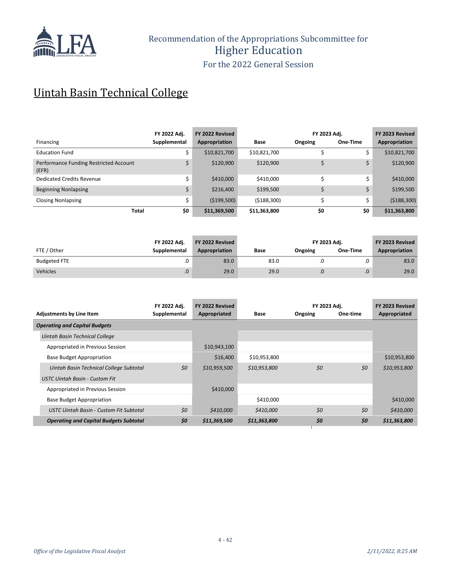

For the 2022 General Session

## Uintah Basin Technical College

| Financing                                       | FY 2022 Adj.<br>Supplemental | FY 2022 Revised<br>Appropriation | <b>Base</b>  | FY 2023 Adj.<br>Ongoing | One-Time | FY 2023 Revised<br>Appropriation |
|-------------------------------------------------|------------------------------|----------------------------------|--------------|-------------------------|----------|----------------------------------|
| <b>Education Fund</b>                           |                              | \$10,821,700                     | \$10,821,700 |                         |          | \$10,821,700                     |
| Performance Funding Restricted Account<br>(EFR) | \$                           | \$120.900                        | \$120,900    | \$                      |          | \$120,900                        |
| Dedicated Credits Revenue                       | Ś                            | \$410,000                        | \$410,000    | ⋏                       |          | \$410,000                        |
| <b>Beginning Nonlapsing</b>                     | \$                           | \$216,400                        | \$199,500    | \$                      | \$       | \$199,500                        |
| <b>Closing Nonlapsing</b>                       | Ś.                           | (5199,500)                       | (5188, 300)  | ⋏                       |          | ( \$188, 300)                    |
| <b>Total</b>                                    | \$0                          | \$11,369,500                     | \$11,363,800 | \$0                     | \$0      | \$11,363,800                     |

|                     | FY 2022 Adj. | FY 2022 Revised |             | FY 2023 Adj. |                 | FY 2023 Revised |
|---------------------|--------------|-----------------|-------------|--------------|-----------------|-----------------|
| FTE / Other         | Supplemental | Appropriation   | <b>Base</b> | Ongoing      | One Time        | Appropriation   |
| <b>Budgeted FTE</b> | .O           | 83.0            | 83.0        | .u           | .0              | 83.0            |
| Vehicles            |              | 29.0            | 29.0        | .0           | .0 <sub>1</sub> | 29.0            |

|                                               | FY 2022 Adj. | FY 2022 Revised |              | FY 2023 Adj. |          | FY 2023 Revised |
|-----------------------------------------------|--------------|-----------------|--------------|--------------|----------|-----------------|
| <b>Adjustments by Line Item</b>               | Supplemental | Appropriated    | Base         | Ongoing      | One-time | Appropriated    |
| <b>Operating and Capital Budgets</b>          |              |                 |              |              |          |                 |
| Uintah Basin Technical College                |              |                 |              |              |          |                 |
| Appropriated in Previous Session              |              | \$10,943,100    |              |              |          |                 |
| <b>Base Budget Appropriation</b>              |              | \$16,400        | \$10,953,800 |              |          | \$10,953,800    |
| Uintah Basin Technical College Subtotal       | SO           | \$10,959,500    | \$10,953,800 | 50           | \$0      | \$10,953,800    |
| USTC Uintah Basin - Custom Fit                |              |                 |              |              |          |                 |
| Appropriated in Previous Session              |              | \$410,000       |              |              |          |                 |
| <b>Base Budget Appropriation</b>              |              |                 | \$410,000    |              |          | \$410,000       |
| USTC Uintah Basin - Custom Fit Subtotal       | \$0          | \$410,000       | \$410,000    | 50           | \$0      | \$410,000       |
| <b>Operating and Capital Budgets Subtotal</b> | \$0          | \$11,369,500    | \$11,363,800 | \$0          | \$0      | \$11,363,800    |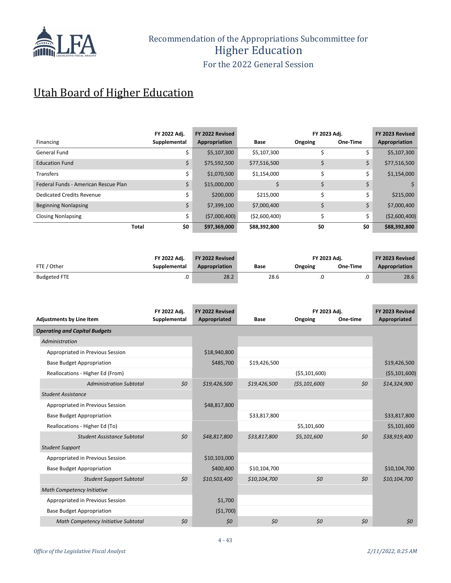

Ī

## Recommendation of the Appropriations Subcommittee for Higher Education

For the 2022 General Session

# Utah Board of Higher Education

| Financing                            | FY 2022 Adj.<br>Supplemental | FY 2022 Revised<br>Appropriation | Base           | FY 2023 Adj.<br>Ongoing | One-Time | FY 2023 Revised<br>Appropriation |
|--------------------------------------|------------------------------|----------------------------------|----------------|-------------------------|----------|----------------------------------|
| General Fund                         | \$                           | \$5,107,300                      | \$5,107,300    |                         |          | \$5,107,300                      |
| <b>Education Fund</b>                | \$                           | \$75,592,500                     | \$77,516,500   |                         | \$       | \$77,516,500                     |
| <b>Transfers</b>                     | \$                           | \$1,070,500                      | \$1,154,000    | \$                      |          | \$1,154,000                      |
| Federal Funds - American Rescue Plan | \$                           | \$15,000,000                     |                | \$                      |          |                                  |
| Dedicated Credits Revenue            | \$                           | \$200,000                        | \$215,000      | \$                      |          | \$215,000                        |
| <b>Beginning Nonlapsing</b>          | \$                           | \$7,399,100                      | \$7,000,400    | \$                      | \$       | \$7,000,400                      |
| <b>Closing Nonlapsing</b>            | \$                           | (57,000,400)                     | ( \$2,600,400) |                         |          | ( \$2,600,400)                   |
| <b>Total</b>                         | \$0                          | \$97,369,000                     | \$88,392,800   | \$0                     | \$0      | \$88,392,800                     |

|              | FY 2022 Adi. | FY 2022 Revised |      | FY 2023 Adi. |          | FY 2023 Revised |
|--------------|--------------|-----------------|------|--------------|----------|-----------------|
| FTE / Other  | Supplemental | Appropriation   | Base | Ongoing      | One-Time | Appropriation   |
| Budgeted FTE |              | 28.2            | 28.6 |              |          | 28.6            |

|                                      | FY 2022 Adj. | FY 2022 Revised |              | FY 2023 Adj.   |          | FY 2023 Revised |
|--------------------------------------|--------------|-----------------|--------------|----------------|----------|-----------------|
| <b>Adjustments by Line Item</b>      | Supplemental | Appropriated    | <b>Base</b>  | Ongoing        | One-time | Appropriated    |
| <b>Operating and Capital Budgets</b> |              |                 |              |                |          |                 |
| Administration                       |              |                 |              |                |          |                 |
| Appropriated in Previous Session     |              | \$18,940,800    |              |                |          |                 |
| <b>Base Budget Appropriation</b>     |              | \$485,700       | \$19,426,500 |                |          | \$19,426,500    |
| Reallocations - Higher Ed (From)     |              |                 |              | ( \$5,101,600) |          | ( \$5,101,600)  |
| <b>Administration Subtotal</b>       | SO           | \$19,426,500    | \$19,426,500 | (55, 101, 600) | \$0      | \$14,324,900    |
| <b>Student Assistance</b>            |              |                 |              |                |          |                 |
| Appropriated in Previous Session     |              | \$48,817,800    |              |                |          |                 |
| <b>Base Budget Appropriation</b>     |              |                 | \$33,817,800 |                |          | \$33,817,800    |
| Reallocations - Higher Ed (To)       |              |                 |              | \$5,101,600    |          | \$5,101,600     |
| <b>Student Assistance Subtotal</b>   | 50           | \$48,817,800    | \$33,817,800 | \$5,101,600    | \$0      | \$38,919,400    |
| <b>Student Support</b>               |              |                 |              |                |          |                 |
| Appropriated in Previous Session     |              | \$10,103,000    |              |                |          |                 |
| <b>Base Budget Appropriation</b>     |              | \$400,400       | \$10,104,700 |                |          | \$10,104,700    |
| <b>Student Support Subtotal</b>      | SO           | \$10,503,400    | \$10,104,700 | 50             | 50       | \$10,104,700    |
| <b>Math Competency Initiative</b>    |              |                 |              |                |          |                 |
| Appropriated in Previous Session     |              | \$1,700         |              |                |          |                 |
| <b>Base Budget Appropriation</b>     |              | (\$1,700)       |              |                |          |                 |
| Math Competency Initiative Subtotal  | 50           | \$0             | 50           | 50             | \$0      | \$0             |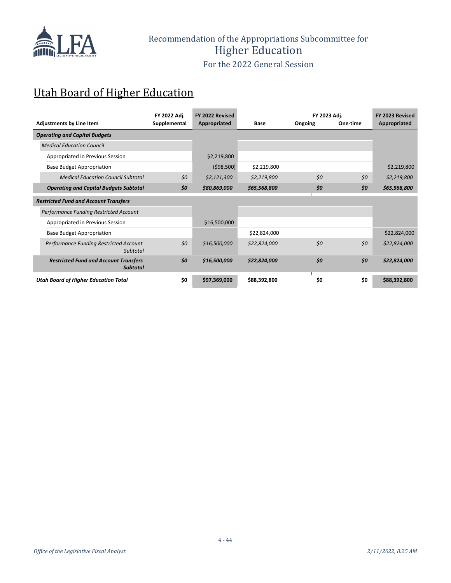

For the 2022 General Session

# Utah Board of Higher Education

|                                                                 | FY 2022 Adj. | FY 2022 Revised |              | FY 2023 Adj. |          | FY 2023 Revised |
|-----------------------------------------------------------------|--------------|-----------------|--------------|--------------|----------|-----------------|
| <b>Adjustments by Line Item</b>                                 | Supplemental | Appropriated    | <b>Base</b>  | Ongoing      | One-time | Appropriated    |
| <b>Operating and Capital Budgets</b>                            |              |                 |              |              |          |                 |
| <b>Medical Education Council</b>                                |              |                 |              |              |          |                 |
| Appropriated in Previous Session                                |              | \$2,219,800     |              |              |          |                 |
| <b>Base Budget Appropriation</b>                                |              | (598,500)       | \$2,219,800  |              |          | \$2,219,800     |
| <b>Medical Education Council Subtotal</b>                       | SO           | \$2,121,300     | \$2,219,800  | 50           | \$0      | \$2,219,800     |
| <b>Operating and Capital Budgets Subtotal</b>                   | \$0          | \$80,869,000    | \$65,568,800 | \$0          | \$0      | \$65,568,800    |
| <b>Restricted Fund and Account Transfers</b>                    |              |                 |              |              |          |                 |
| Performance Funding Restricted Account                          |              |                 |              |              |          |                 |
| Appropriated in Previous Session                                |              | \$16,500,000    |              |              |          |                 |
| <b>Base Budget Appropriation</b>                                |              |                 | \$22,824,000 |              |          | \$22,824,000    |
| Performance Funding Restricted Account<br>Subtotal              | SO           | \$16,500,000    | \$22,824,000 | SO           | \$0      | \$22,824,000    |
| <b>Restricted Fund and Account Transfers</b><br><b>Subtotal</b> | \$0          | \$16,500,000    | \$22,824,000 | \$0          | \$0      | \$22,824,000    |
| Utah Board of Higher Education Total                            | \$0          | \$97,369,000    | \$88,392,800 | \$0          | \$0      | \$88,392,800    |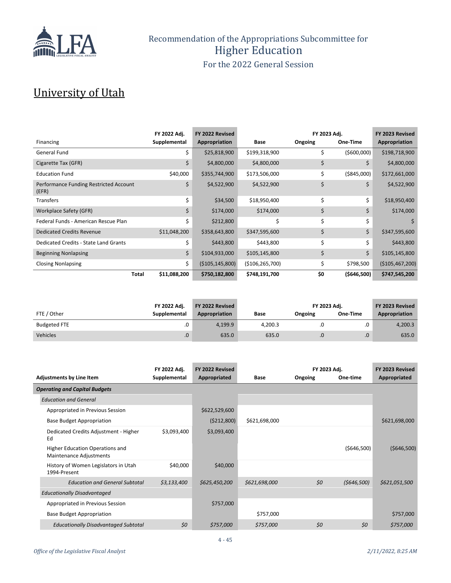

### For the 2022 General Session

# University of Utah

|                                                 | FY 2022 Adj.          | FY 2022 Revised    |                    |         | FY 2023 Adj. | FY 2023 Revised  |
|-------------------------------------------------|-----------------------|--------------------|--------------------|---------|--------------|------------------|
| Financing                                       | Supplemental          | Appropriation      | Base               | Ongoing | One-Time     | Appropriation    |
| General Fund                                    | \$                    | \$25,818,900       | \$199,318,900      | \$      | (5600,000)   | \$198,718,900    |
| Cigarette Tax (GFR)                             | \$                    | \$4,800,000        | \$4,800,000        | \$      | \$           | \$4,800,000      |
| <b>Education Fund</b>                           | \$40,000              | \$355,744,900      | \$173,506,000      | \$      | ( \$845,000) | \$172,661,000    |
| Performance Funding Restricted Account<br>(EFR) | \$                    | \$4,522,900        | \$4,522,900        | \$      | \$           | \$4,522,900      |
| <b>Transfers</b>                                | \$                    | \$34,500           | \$18,950,400       | \$      | \$           | \$18,950,400     |
| Workplace Safety (GFR)                          | \$                    | \$174,000          | \$174,000          | \$      | \$           | \$174,000        |
| Federal Funds - American Rescue Plan            | \$                    | \$212,800          | \$                 | \$      | \$           | Ś                |
| <b>Dedicated Credits Revenue</b>                | \$11,048,200          | \$358,643,800      | \$347,595,600      | \$      | \$           | \$347,595,600    |
| Dedicated Credits - State Land Grants           | \$                    | \$443,800          | \$443,800          | \$      | \$           | \$443,800        |
| <b>Beginning Nonlapsing</b>                     | \$                    | \$104,933,000      | \$105,145,800      | \$      | \$           | \$105,145,800    |
| <b>Closing Nonlapsing</b>                       | \$                    | ( \$105, 145, 800) | ( \$106, 265, 700) | \$      | \$798,500    | ( \$105,467,200) |
|                                                 | Total<br>\$11,088,200 | \$750,182,800      | \$748,191,700      | \$0     | (5646,500)   | \$747,545,200    |

|                     | FY 2022 Adj. | FY 2022 Revised |         | FY 2023 Adj. |                 | FY 2023 Revised |
|---------------------|--------------|-----------------|---------|--------------|-----------------|-----------------|
| FTE / Other         | Supplemental | Appropriation   | Base    | Ongoing      | One-Time        | Appropriation   |
| <b>Budgeted FTE</b> | .0           | 4,199.9         | 4,200.3 |              | .v              | 4,200.3         |
| Vehicles            |              | 635.0           | 635.0   |              | .0 <sub>1</sub> | 635.0           |

|                                                            | FY 2022 Adj. | FY 2022 Revised |               | FY 2023 Adj. |            | FY 2023 Revised |
|------------------------------------------------------------|--------------|-----------------|---------------|--------------|------------|-----------------|
| <b>Adjustments by Line Item</b>                            | Supplemental | Appropriated    | <b>Base</b>   | Ongoing      | One-time   | Appropriated    |
| <b>Operating and Capital Budgets</b>                       |              |                 |               |              |            |                 |
| <b>Education and General</b>                               |              |                 |               |              |            |                 |
| Appropriated in Previous Session                           |              | \$622,529,600   |               |              |            |                 |
| <b>Base Budget Appropriation</b>                           |              | (5212,800)      | \$621,698,000 |              |            | \$621,698,000   |
| Dedicated Credits Adjustment - Higher<br>Ed                | \$3,093,400  | \$3,093,400     |               |              |            |                 |
| Higher Education Operations and<br>Maintenance Adjustments |              |                 |               |              | (5646,500) | ( \$646, 500)   |
| History of Women Legislators in Utah<br>1994-Present       | \$40,000     | \$40,000        |               |              |            |                 |
| <b>Education and General Subtotal</b>                      | \$3,133,400  | \$625,450,200   | \$621,698,000 | SO           | (5646,500) | \$621,051,500   |
| <b>Educationally Disadvantaged</b>                         |              |                 |               |              |            |                 |
| Appropriated in Previous Session                           |              | \$757,000       |               |              |            |                 |
| <b>Base Budget Appropriation</b>                           |              |                 | \$757,000     |              |            | \$757,000       |
| <b>Educationally Disadvantaged Subtotal</b>                | \$0          | \$757,000       | \$757,000     | 50           | \$0        | \$757,000       |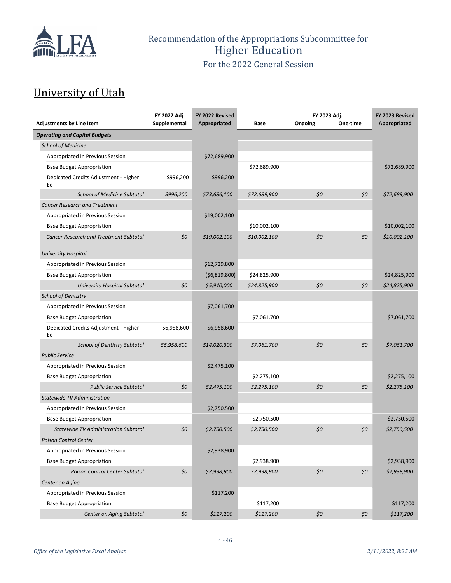

### For the 2022 General Session

# University of Utah

|                                               | FY 2022 Adj. | FY 2022 Revised |              | FY 2023 Adj.               |          | FY 2023 Revised |
|-----------------------------------------------|--------------|-----------------|--------------|----------------------------|----------|-----------------|
| <b>Adjustments by Line Item</b>               | Supplemental | Appropriated    | Base         | Ongoing                    | One-time | Appropriated    |
| <b>Operating and Capital Budgets</b>          |              |                 |              |                            |          |                 |
| <b>School of Medicine</b>                     |              |                 |              |                            |          |                 |
| Appropriated in Previous Session              |              | \$72,689,900    |              |                            |          |                 |
| <b>Base Budget Appropriation</b>              |              |                 | \$72,689,900 |                            |          | \$72,689,900    |
| Dedicated Credits Adjustment - Higher<br>Ed   | \$996,200    | \$996,200       |              |                            |          |                 |
| <b>School of Medicine Subtotal</b>            | \$996,200    | \$73,686,100    | \$72,689,900 | \$0                        | \$0      | \$72,689,900    |
| <b>Cancer Research and Treatment</b>          |              |                 |              |                            |          |                 |
| Appropriated in Previous Session              |              | \$19,002,100    |              |                            |          |                 |
| <b>Base Budget Appropriation</b>              |              |                 | \$10,002,100 |                            |          | \$10,002,100    |
| <b>Cancer Research and Treatment Subtotal</b> | \$0          | \$19,002,100    | \$10,002,100 | \$0                        | \$0      | \$10,002,100    |
| <b>University Hospital</b>                    |              |                 |              |                            |          |                 |
| Appropriated in Previous Session              |              | \$12,729,800    |              |                            |          |                 |
| <b>Base Budget Appropriation</b>              |              | (56, 819, 800)  | \$24,825,900 |                            |          | \$24,825,900    |
| <b>University Hospital Subtotal</b>           | \$0          | \$5,910,000     | \$24,825,900 | \$0                        | \$0      | \$24,825,900    |
| School of Dentistry                           |              |                 |              |                            |          |                 |
| Appropriated in Previous Session              |              | \$7,061,700     |              |                            |          |                 |
| <b>Base Budget Appropriation</b>              |              |                 | \$7,061,700  |                            |          | \$7,061,700     |
| Dedicated Credits Adjustment - Higher<br>Ed   | \$6,958,600  | \$6,958,600     |              |                            |          |                 |
| <b>School of Dentistry Subtotal</b>           | \$6,958,600  | \$14,020,300    | \$7,061,700  | \$0                        | \$0      | \$7,061,700     |
| <b>Public Service</b>                         |              |                 |              |                            |          |                 |
| Appropriated in Previous Session              |              | \$2,475,100     |              |                            |          |                 |
| <b>Base Budget Appropriation</b>              |              |                 | \$2,275,100  |                            |          | \$2,275,100     |
| <b>Public Service Subtotal</b>                | \$0          | \$2,475,100     | \$2,275,100  | \$0                        | \$0      | \$2,275,100     |
| <b>Statewide TV Administration</b>            |              |                 |              |                            |          |                 |
| Appropriated in Previous Session              |              | \$2,750,500     |              |                            |          |                 |
| <b>Base Budget Appropriation</b>              |              |                 | \$2,750,500  |                            |          | \$2,750,500     |
| <b>Statewide TV Administration Subtotal</b>   | \$0          | \$2,750,500     | \$2,750,500  | \$0                        | \$0      | \$2,750,500     |
| Poison Control Center                         |              |                 |              |                            |          |                 |
| Appropriated in Previous Session              |              | \$2,938,900     |              |                            |          |                 |
| <b>Base Budget Appropriation</b>              |              |                 | \$2,938,900  |                            |          | \$2,938,900     |
| Poison Control Center Subtotal                | \$0          | \$2,938,900     | \$2,938,900  | $\boldsymbol{\mathit{50}}$ | \$0      | \$2,938,900     |
| Center on Aging                               |              |                 |              |                            |          |                 |
| Appropriated in Previous Session              |              | \$117,200       |              |                            |          |                 |
| <b>Base Budget Appropriation</b>              |              |                 | \$117,200    |                            |          | \$117,200       |
| Center on Aging Subtotal                      | $50$         | \$117,200       | \$117,200    | 50                         | \$0      | \$117,200       |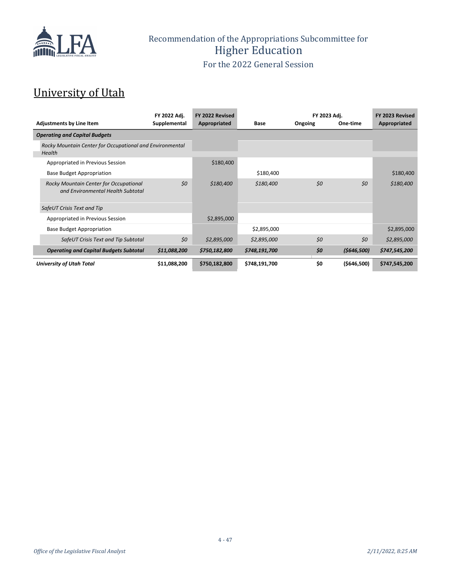

### For the 2022 General Session

# University of Utah

|                                                                             | FY 2022 Adj. | FY 2022 Revised |               | FY 2023 Adj. |             | FY 2023 Revised |
|-----------------------------------------------------------------------------|--------------|-----------------|---------------|--------------|-------------|-----------------|
| <b>Adjustments by Line Item</b>                                             | Supplemental | Appropriated    | <b>Base</b>   | Ongoing      | One-time    | Appropriated    |
| <b>Operating and Capital Budgets</b>                                        |              |                 |               |              |             |                 |
| Rocky Mountain Center for Occupational and Environmental<br><b>Health</b>   |              |                 |               |              |             |                 |
| Appropriated in Previous Session                                            |              | \$180,400       |               |              |             |                 |
| <b>Base Budget Appropriation</b>                                            |              |                 | \$180,400     |              |             | \$180,400       |
| Rocky Mountain Center for Occupational<br>and Environmental Health Subtotal | 50           | \$180,400       | \$180,400     | 50           | \$0         | \$180,400       |
| SafeUT Crisis Text and Tip                                                  |              |                 |               |              |             |                 |
| Appropriated in Previous Session                                            |              | \$2,895,000     |               |              |             |                 |
| <b>Base Budget Appropriation</b>                                            |              |                 | \$2,895,000   |              |             | \$2,895,000     |
| SafeUT Crisis Text and Tip Subtotal                                         | \$0          | \$2,895,000     | \$2,895,000   | SO           | \$0         | \$2,895,000     |
| <b>Operating and Capital Budgets Subtotal</b>                               | \$11,088,200 | \$750,182,800   | \$748,191,700 | \$0          | (5646,500)  | \$747,545,200   |
| <b>University of Utah Total</b>                                             | \$11,088,200 | \$750,182,800   | \$748,191,700 | \$0          | (\$646,500) | \$747,545,200   |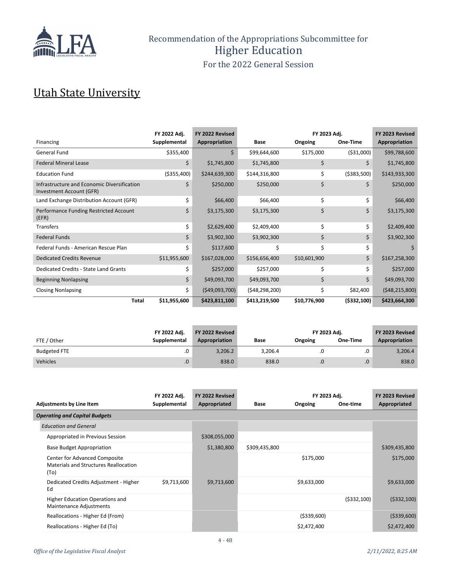

### For the 2022 General Session

|                                                                         | FY 2022 Adj. | FY 2022 Revised |                 | FY 2023 Adj. |               | FY 2023 Revised |
|-------------------------------------------------------------------------|--------------|-----------------|-----------------|--------------|---------------|-----------------|
| Financing                                                               | Supplemental | Appropriation   | Base            | Ongoing      | One-Time      | Appropriation   |
| General Fund                                                            | \$355,400    | Ś.              | \$99,644,600    | \$175,000    | ( \$31,000)   | \$99,788,600    |
| <b>Federal Mineral Lease</b>                                            | \$           | \$1,745,800     | \$1,745,800     | \$           | \$            | \$1,745,800     |
| <b>Education Fund</b>                                                   | ( \$355,400) | \$244,639,300   | \$144,316,800   | \$           | ( \$383,500)  | \$143,933,300   |
| Infrastructure and Economic Diversification<br>Investment Account (GFR) | \$           | \$250,000       | \$250,000       | \$           | \$            | \$250,000       |
| Land Exchange Distribution Account (GFR)                                | \$           | \$66,400        | \$66,400        | \$           | \$            | \$66,400        |
| Performance Funding Restricted Account<br>(EFR)                         | \$           | \$3,175,300     | \$3,175,300     | \$           | \$            | \$3,175,300     |
| <b>Transfers</b>                                                        | \$           | \$2,629,400     | \$2,409,400     | \$           | \$            | \$2,409,400     |
| <b>Federal Funds</b>                                                    | \$           | \$3,902,300     | \$3,902,300     | \$           | \$            | \$3,902,300     |
| Federal Funds - American Rescue Plan                                    | \$           | \$117,600       | \$              | \$           | Ś.            | Ś               |
| <b>Dedicated Credits Revenue</b>                                        | \$11,955,600 | \$167,028,000   | \$156,656,400   | \$10,601,900 | \$            | \$167,258,300   |
| Dedicated Credits - State Land Grants                                   | \$           | \$257,000       | \$257,000       | \$           | \$            | \$257,000       |
| <b>Beginning Nonlapsing</b>                                             | \$           | \$49,093,700    | \$49,093,700    | \$           | \$            | \$49,093,700    |
| <b>Closing Nonlapsing</b>                                               | \$           | (549,093,700)   | (548, 298, 200) | \$           | \$82,400      | (548, 215, 800) |
| <b>Total</b>                                                            | \$11,955,600 | \$423,811,100   | \$413,219,500   | \$10,776,900 | ( \$332, 100) | \$423,664,300   |

|                     | FY 2022 Adj. | FY 2022 Revised |             | FY 2023 Adj. |                 | FY 2023 Revised |
|---------------------|--------------|-----------------|-------------|--------------|-----------------|-----------------|
| FTE / Other         | Supplemental | Appropriation   | <b>Base</b> | Ongoing      | One-Time        | Appropriation   |
| <b>Budgeted FTE</b> | .0           | 3,206.2         | 3.206.4     | .0           | .∪              | 3,206.4         |
| Vehicles            |              | 838.0           | 838.0       | .0           | .0 <sub>1</sub> | 838.0           |

| <b>Adjustments by Line Item</b>                                                              | FY 2022 Adj.<br>Supplemental | FY 2022 Revised<br>Appropriated | <b>Base</b>   | FY 2023 Adj.<br>Ongoing | One-time    | FY 2023 Revised<br>Appropriated |
|----------------------------------------------------------------------------------------------|------------------------------|---------------------------------|---------------|-------------------------|-------------|---------------------------------|
| <b>Operating and Capital Budgets</b>                                                         |                              |                                 |               |                         |             |                                 |
| <b>Education and General</b>                                                                 |                              |                                 |               |                         |             |                                 |
| Appropriated in Previous Session                                                             |                              | \$308,055,000                   |               |                         |             |                                 |
| <b>Base Budget Appropriation</b>                                                             |                              | \$1,380,800                     | \$309,435,800 |                         |             | \$309,435,800                   |
| <b>Center for Advanced Composite</b><br><b>Materials and Structures Reallocation</b><br>(To) |                              |                                 |               | \$175,000               |             | \$175,000                       |
| Dedicated Credits Adjustment - Higher<br>Ed                                                  | \$9,713,600                  | \$9,713,600                     |               | \$9,633,000             |             | \$9,633,000                     |
| Higher Education Operations and<br>Maintenance Adjustments                                   |                              |                                 |               |                         | (5332, 100) | ( \$332, 100)                   |
| Reallocations - Higher Ed (From)                                                             |                              |                                 |               | ( \$339,600)            |             | ( \$339,600)                    |
| Reallocations - Higher Ed (To)                                                               |                              |                                 |               | \$2,472,400             |             | \$2,472,400                     |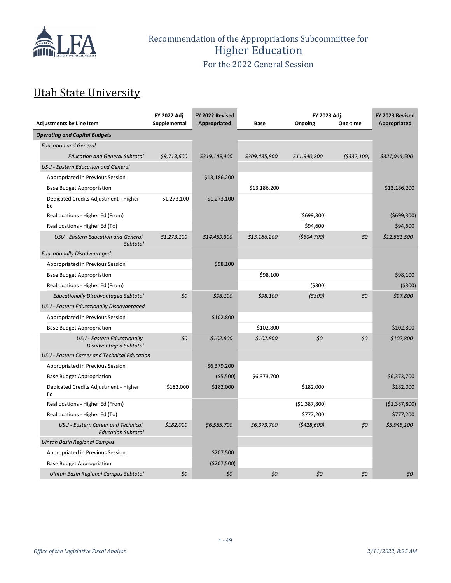

Ī

# Recommendation of the Appropriations Subcommittee for Higher Education

### For the 2022 General Session

|                                                                 | FY 2022 Adj. | FY 2022 Revised |               | FY 2023 Adj.   |             | FY 2023 Revised |
|-----------------------------------------------------------------|--------------|-----------------|---------------|----------------|-------------|-----------------|
| <b>Adjustments by Line Item</b>                                 | Supplemental | Appropriated    | Base          | Ongoing        | One-time    | Appropriated    |
| <b>Operating and Capital Budgets</b>                            |              |                 |               |                |             |                 |
| <b>Education and General</b>                                    |              |                 |               |                |             |                 |
| <b>Education and General Subtotal</b>                           | \$9,713,600  | \$319,149,400   | \$309,435,800 | \$11,940,800   | (5332, 100) | \$321,044,500   |
| <b>USU - Eastern Education and General</b>                      |              |                 |               |                |             |                 |
| Appropriated in Previous Session                                |              | \$13,186,200    |               |                |             |                 |
| <b>Base Budget Appropriation</b>                                |              |                 | \$13,186,200  |                |             | \$13,186,200    |
| Dedicated Credits Adjustment - Higher<br>Ed                     | \$1,273,100  | \$1,273,100     |               |                |             |                 |
| Reallocations - Higher Ed (From)                                |              |                 |               | (5699,300)     |             | ( \$699, 300)   |
| Reallocations - Higher Ed (To)                                  |              |                 |               | \$94,600       |             | \$94,600        |
| <b>USU - Eastern Education and General</b><br>Subtotal          | \$1,273,100  | \$14,459,300    | \$13,186,200  | (5604, 700)    | \$0         | \$12,581,500    |
| <b>Educationally Disadvantaged</b>                              |              |                 |               |                |             |                 |
| Appropriated in Previous Session                                |              | \$98,100        |               |                |             |                 |
| <b>Base Budget Appropriation</b>                                |              |                 | \$98,100      |                |             | \$98,100        |
| Reallocations - Higher Ed (From)                                |              |                 |               | (5300)         |             | ( \$300)        |
| <b>Educationally Disadvantaged Subtotal</b>                     | 50           | \$98,100        | \$98,100      | (5300)         | \$0         | \$97,800        |
| USU - Eastern Educationally Disadvantaged                       |              |                 |               |                |             |                 |
| Appropriated in Previous Session                                |              | \$102,800       |               |                |             |                 |
| <b>Base Budget Appropriation</b>                                |              |                 | \$102,800     |                |             | \$102,800       |
| USU - Eastern Educationally<br><b>Disadvantaged Subtotal</b>    | \$0          | \$102,800       | \$102,800     | \$0            | \$0         | \$102,800       |
| USU - Eastern Career and Technical Education                    |              |                 |               |                |             |                 |
| Appropriated in Previous Session                                |              | \$6,379,200     |               |                |             |                 |
| <b>Base Budget Appropriation</b>                                |              | ( \$5,500)      | \$6,373,700   |                |             | \$6,373,700     |
| Dedicated Credits Adjustment - Higher<br>Ed                     | \$182,000    | \$182,000       |               | \$182,000      |             | \$182,000       |
| Reallocations - Higher Ed (From)                                |              |                 |               | ( \$1,387,800) |             | (\$1,387,800)   |
| Reallocations - Higher Ed (To)                                  |              |                 |               | \$777,200      |             | \$777,200       |
| USU - Eastern Career and Technical<br><b>Education Subtotal</b> | \$182,000    | \$6,555,700     | \$6,373,700   | (5428,600)     | \$0         | \$5,945,100     |
| <b>Uintah Basin Regional Campus</b>                             |              |                 |               |                |             |                 |
| Appropriated in Previous Session                                |              | \$207,500       |               |                |             |                 |
| <b>Base Budget Appropriation</b>                                |              | (\$207,500)     |               |                |             |                 |
| Uintah Basin Regional Campus Subtotal                           | \$0          | \$0             | \$0           | \$0            | \$0         | \$0             |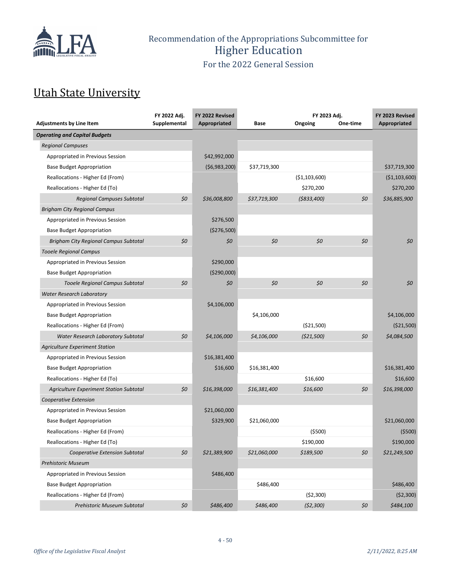

### Recommendation of the Appropriations Subcommittee for Higher Education For the 2022 General Session

| Adjustments by Line Item                     | FY 2022 Adj.<br>Supplemental | FY 2022 Revised<br>Appropriated | Base         | FY 2023 Adj.<br>Ongoing | One-time | FY 2023 Revised<br>Appropriated |
|----------------------------------------------|------------------------------|---------------------------------|--------------|-------------------------|----------|---------------------------------|
| <b>Operating and Capital Budgets</b>         |                              |                                 |              |                         |          |                                 |
| <b>Regional Campuses</b>                     |                              |                                 |              |                         |          |                                 |
| Appropriated in Previous Session             |                              | \$42,992,000                    |              |                         |          |                                 |
| <b>Base Budget Appropriation</b>             |                              | (56,983,200)                    | \$37,719,300 |                         |          | \$37,719,300                    |
| Reallocations - Higher Ed (From)             |                              |                                 |              | ( \$1,103,600)          |          | ( \$1,103,600)                  |
| Reallocations - Higher Ed (To)               |                              |                                 |              | \$270,200               |          | \$270,200                       |
| Regional Campuses Subtotal                   | \$0                          | \$36,008,800                    | \$37,719,300 | ( \$833, 400)           | \$0      | \$36,885,900                    |
| <b>Brigham City Regional Campus</b>          |                              |                                 |              |                         |          |                                 |
| Appropriated in Previous Session             |                              | \$276,500                       |              |                         |          |                                 |
| <b>Base Budget Appropriation</b>             |                              | (\$276,500)                     |              |                         |          |                                 |
| <b>Brigham City Regional Campus Subtotal</b> | \$0                          | \$0                             | $50$         | \$0                     | \$0      | \$0                             |
| <b>Tooele Regional Campus</b>                |                              |                                 |              |                         |          |                                 |
| Appropriated in Previous Session             |                              | \$290,000                       |              |                         |          |                                 |
| <b>Base Budget Appropriation</b>             |                              | ( \$290,000)                    |              |                         |          |                                 |
| <b>Tooele Regional Campus Subtotal</b>       | \$0                          | \$0                             | \$0          | \$0                     | \$0      | \$0                             |
| <b>Water Research Laboratory</b>             |                              |                                 |              |                         |          |                                 |
| Appropriated in Previous Session             |                              | \$4,106,000                     |              |                         |          |                                 |
| <b>Base Budget Appropriation</b>             |                              |                                 | \$4,106,000  |                         |          | \$4,106,000                     |
| Reallocations - Higher Ed (From)             |                              |                                 |              | ( \$21,500)             |          | ( \$21,500)                     |
| <b>Water Research Laboratory Subtotal</b>    | \$0                          | \$4,106,000                     | \$4,106,000  | (521, 500)              | \$0      | \$4,084,500                     |
| <b>Agriculture Experiment Station</b>        |                              |                                 |              |                         |          |                                 |
| Appropriated in Previous Session             |                              | \$16,381,400                    |              |                         |          |                                 |
| <b>Base Budget Appropriation</b>             |                              | \$16,600                        | \$16,381,400 |                         |          | \$16,381,400                    |
| Reallocations - Higher Ed (To)               |                              |                                 |              | \$16,600                |          | \$16,600                        |
| Agriculture Experiment Station Subtotal      | \$0                          | \$16,398,000                    | \$16,381,400 | \$16,600                | \$0      | \$16,398,000                    |
| Cooperative Extension                        |                              |                                 |              |                         |          |                                 |
| Appropriated in Previous Session             |                              | \$21,060,000                    |              |                         |          |                                 |
| <b>Base Budget Appropriation</b>             |                              | \$329,900                       | \$21,060,000 |                         |          | \$21,060,000                    |
| Reallocations - Higher Ed (From)             |                              |                                 |              | ( \$500)                |          | ( \$500)                        |
| Reallocations - Higher Ed (To)               |                              |                                 |              | \$190,000               |          | \$190,000                       |
| Cooperative Extension Subtotal               | \$0                          | \$21,389,900                    | \$21,060,000 | \$189,500               | \$0      | \$21,249,500                    |
| <b>Prehistoric Museum</b>                    |                              |                                 |              |                         |          |                                 |
| Appropriated in Previous Session             |                              | \$486,400                       |              |                         |          |                                 |
| <b>Base Budget Appropriation</b>             |                              |                                 | \$486,400    |                         |          | \$486,400                       |
| Reallocations - Higher Ed (From)             |                              |                                 |              | ( \$2,300)              |          | (52,300)                        |
| Prehistoric Museum Subtotal                  | \$0                          | \$486,400                       | \$486,400    | (52, 300)               | \$0      | \$484,100                       |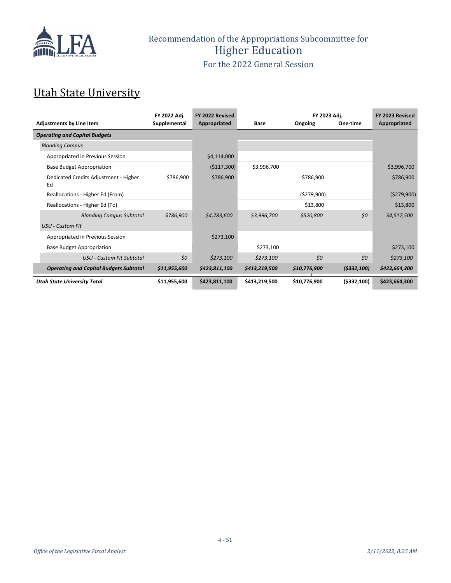

### Recommendation of the Appropriations Subcommittee for Higher Education For the 2022 General Session

|                                               | FY 2022 Adj. | FY 2022 Revised |               | FY 2023 Adj. |               | FY 2023 Revised |
|-----------------------------------------------|--------------|-----------------|---------------|--------------|---------------|-----------------|
| <b>Adjustments by Line Item</b>               | Supplemental | Appropriated    | Base          | Ongoing      | One-time      | Appropriated    |
| <b>Operating and Capital Budgets</b>          |              |                 |               |              |               |                 |
| <b>Blanding Campus</b>                        |              |                 |               |              |               |                 |
| Appropriated in Previous Session              |              | \$4,114,000     |               |              |               |                 |
| <b>Base Budget Appropriation</b>              |              | ( \$117, 300)   | \$3,996,700   |              |               | \$3,996,700     |
| Dedicated Credits Adjustment - Higher<br>Ed   | \$786,900    | \$786,900       |               | \$786,900    |               | \$786,900       |
| Reallocations - Higher Ed (From)              |              |                 |               | (5279,900)   |               | (5279,900)      |
| Reallocations - Higher Ed (To)                |              |                 |               | \$13,800     |               | \$13,800        |
| <b>Blanding Campus Subtotal</b>               | \$786,900    | \$4,783,600     | \$3,996,700   | \$520,800    | \$0           | \$4,517,500     |
| <b>USU - Custom Fit</b>                       |              |                 |               |              |               |                 |
| Appropriated in Previous Session              |              | \$273,100       |               |              |               |                 |
| <b>Base Budget Appropriation</b>              |              |                 | \$273,100     |              |               | \$273,100       |
| USU - Custom Fit Subtotal                     | \$0          | \$273,100       | \$273,100     | \$0          | \$0           | \$273,100       |
| <b>Operating and Capital Budgets Subtotal</b> | \$11,955,600 | \$423,811,100   | \$413,219,500 | \$10,776,900 | (5332, 100)   | \$423,664,300   |
| <b>Utah State University Total</b>            | \$11,955,600 | \$423,811,100   | \$413,219,500 | \$10,776,900 | ( \$332, 100) | \$423,664,300   |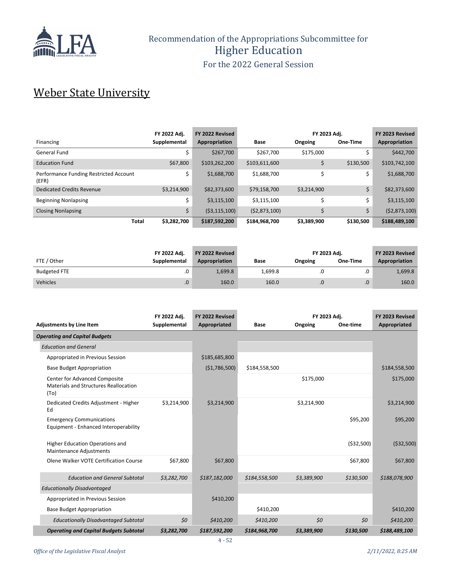

### For the 2022 General Session

## Weber State University

|                                                 | FY 2022 Adj. | FY 2022 Revised |               | FY 2023 Adi. |           | FY 2023 Revised |
|-------------------------------------------------|--------------|-----------------|---------------|--------------|-----------|-----------------|
| Financing                                       | Supplemental | Appropriation   | Base          | Ongoing      | One-Time  | Appropriation   |
| General Fund                                    |              | \$267,700       | \$267,700     | \$175,000    |           | \$442,700       |
| <b>Education Fund</b>                           | \$67,800     | \$103,262,200   | \$103,611,600 | \$           | \$130,500 | \$103,742,100   |
| Performance Funding Restricted Account<br>(EFR) | \$           | \$1,688,700     | \$1,688,700   | \$           |           | \$1,688,700     |
| Dedicated Credits Revenue                       | \$3,214,900  | \$82,373,600    | \$79,158,700  | \$3,214,900  | \$        | \$82,373,600    |
| <b>Beginning Nonlapsing</b>                     | \$           | \$3,115,100     | \$3,115,100   | \$           | Ś.        | \$3,115,100     |
| <b>Closing Nonlapsing</b>                       | \$           | ( \$3,115,100)  | (52,873,100)  | \$           | \$        | ( \$2,873,100)  |
| <b>Total</b>                                    | \$3,282,700  | \$187,592,200   | \$184,968,700 | \$3,389,900  | \$130.500 | \$188,489,100   |

|                     | FY 2022 Adj. | FY 2022 Revised |             | FY 2023 Adj. |                 | FY 2023 Revised |
|---------------------|--------------|-----------------|-------------|--------------|-----------------|-----------------|
| FTE / Other         | Supplemental | Appropriation   | <b>Base</b> | Ongoing      | One Time        | Appropriation   |
| <b>Budgeted FTE</b> | .0           | 1,699.8         | 1,699.8     | .0           | ٠υ              | 1,699.8         |
| Vehicles            |              | 160.0           | 160.0       | .0           | .0 <sub>1</sub> | 160.0           |

|                                                                                       | FY 2022 Adj. | FY 2022 Revised |               | FY 2023 Adj. |             | FY 2023 Revised |
|---------------------------------------------------------------------------------------|--------------|-----------------|---------------|--------------|-------------|-----------------|
| <b>Adjustments by Line Item</b>                                                       | Supplemental | Appropriated    | <b>Base</b>   | Ongoing      | One-time    | Appropriated    |
| <b>Operating and Capital Budgets</b>                                                  |              |                 |               |              |             |                 |
| <b>Education and General</b>                                                          |              |                 |               |              |             |                 |
| Appropriated in Previous Session                                                      |              | \$185,685,800   |               |              |             |                 |
| <b>Base Budget Appropriation</b>                                                      |              | (\$1,786,500)   | \$184,558,500 |              |             | \$184,558,500   |
| Center for Advanced Composite<br><b>Materials and Structures Reallocation</b><br>(To) |              |                 |               | \$175,000    |             | \$175,000       |
| Dedicated Credits Adjustment - Higher<br>Ed                                           | \$3,214,900  | \$3,214,900     |               | \$3,214,900  |             | \$3,214,900     |
| <b>Emergency Communications</b><br>Equipment - Enhanced Interoperability              |              |                 |               |              | \$95,200    | \$95,200        |
| Higher Education Operations and<br><b>Maintenance Adjustments</b>                     |              |                 |               |              | ( \$32,500) | ( \$32,500)     |
| Olene Walker VOTE Certification Course                                                | \$67,800     | \$67,800        |               |              | \$67,800    | \$67,800        |
| <b>Education and General Subtotal</b>                                                 | \$3,282,700  | \$187,182,000   | \$184,558,500 | \$3,389,900  | \$130,500   | \$188,078,900   |
| <b>Educationally Disadvantaged</b>                                                    |              |                 |               |              |             |                 |
| Appropriated in Previous Session                                                      |              | \$410,200       |               |              |             |                 |
| <b>Base Budget Appropriation</b>                                                      |              |                 | \$410,200     |              |             | \$410,200       |
| <b>Educationally Disadvantaged Subtotal</b>                                           | \$0          | \$410,200       | \$410,200     | \$0          | \$0         | \$410,200       |
| <b>Operating and Capital Budgets Subtotal</b>                                         | \$3,282,700  | \$187,592,200   | \$184,968,700 | \$3,389,900  | \$130,500   | \$188,489,100   |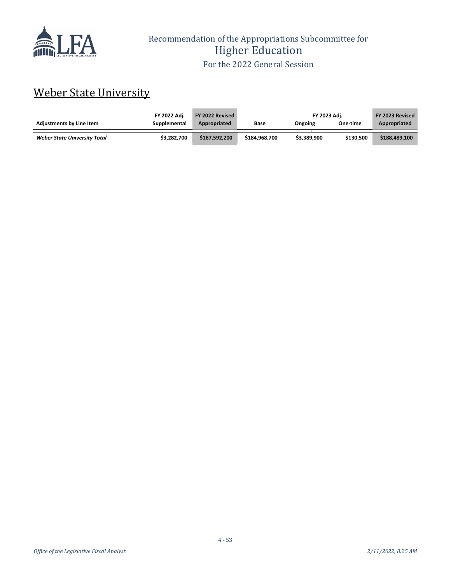

### For the 2022 General Session

## Weber State University

|                                 | FY 2022 Adi. | FY 2022 Revised |               | FY 2023 Adi. |           | FY 2023 Revised |
|---------------------------------|--------------|-----------------|---------------|--------------|-----------|-----------------|
| <b>Adjustments by Line Item</b> | Supplemental | Appropriated    | Base          | Ongoing      | One-time  | Appropriated    |
| Weber State University Total    | \$3,282,700  | \$187,592,200   | \$184.968.700 | \$3,389,900  | \$130,500 | \$188,489,100   |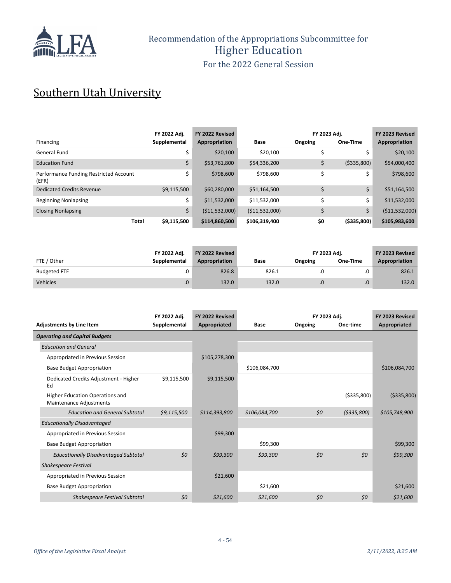

### For the 2022 General Session

## Southern Utah University

| Financing                                       | FY 2022 Adj.<br>Supplemental | FY 2022 Revised<br>Appropriation | Base            | Ongoing | FY 2023 Adi.<br>One-Time | FY 2023 Revised<br>Appropriation |
|-------------------------------------------------|------------------------------|----------------------------------|-----------------|---------|--------------------------|----------------------------------|
| General Fund                                    |                              | \$20,100                         | \$20,100        |         |                          | \$20,100                         |
| <b>Education Fund</b>                           | Ś.                           | \$53,761,800                     | \$54,336,200    | \$      | ( \$335, 800)            | \$54,000,400                     |
| Performance Funding Restricted Account<br>(EFR) | Ś.                           | \$798,600                        | \$798,600       | \$      |                          | \$798,600                        |
| Dedicated Credits Revenue                       | \$9,115,500                  | \$60,280,000                     | \$51,164,500    | \$      | \$                       | \$51,164,500                     |
| <b>Beginning Nonlapsing</b>                     | Ś.                           | \$11,532,000                     | \$11,532,000    | \$      | Ś                        | \$11,532,000                     |
| <b>Closing Nonlapsing</b>                       | Ś.                           | ( \$11,532,000]                  | ( \$11,532,000) | \$      | \$                       | ( \$11,532,000)                  |
| <b>Total</b>                                    | \$9,115,500                  | \$114,860,500                    | \$106,319,400   | \$0     | ( \$335, 800)            | \$105,983,600                    |

|                     | FY 2022 Adj. | FY 2022 Revised |             | FY 2023 Adj. |                 | FY 2023 Revised |
|---------------------|--------------|-----------------|-------------|--------------|-----------------|-----------------|
| FTE / Other         | Supplemental | Appropriation   | <b>Base</b> | Ongoing      | One-Time        | Appropriation   |
| <b>Budgeted FTE</b> | .0           | 826.8           | 826.1       | .0           | ٠υ              | 826.1           |
| Vehicles            |              | 132.0           | 132.0       | .0           | .0 <sub>1</sub> | 132.0           |

|                                                            | FY 2022 Adj. | FY 2022 Revised |               | FY 2023 Adj. |               | FY 2023 Revised |
|------------------------------------------------------------|--------------|-----------------|---------------|--------------|---------------|-----------------|
| <b>Adjustments by Line Item</b>                            | Supplemental | Appropriated    | <b>Base</b>   | Ongoing      | One-time      | Appropriated    |
| <b>Operating and Capital Budgets</b>                       |              |                 |               |              |               |                 |
| <b>Education and General</b>                               |              |                 |               |              |               |                 |
| Appropriated in Previous Session                           |              | \$105,278,300   |               |              |               |                 |
| <b>Base Budget Appropriation</b>                           |              |                 | \$106,084,700 |              |               | \$106,084,700   |
| Dedicated Credits Adjustment - Higher<br>Ed                | \$9,115,500  | \$9,115,500     |               |              |               |                 |
| Higher Education Operations and<br>Maintenance Adjustments |              |                 |               |              | ( \$335, 800) | ( \$335, 800)   |
| <b>Education and General Subtotal</b>                      | \$9,115,500  | \$114,393,800   | \$106,084,700 | 50           | ( \$335, 800) | \$105,748,900   |
| <b>Educationally Disadvantaged</b>                         |              |                 |               |              |               |                 |
| Appropriated in Previous Session                           |              | \$99,300        |               |              |               |                 |
| <b>Base Budget Appropriation</b>                           |              |                 | \$99,300      |              |               | \$99,300        |
| <b>Educationally Disadvantaged Subtotal</b>                | \$0          | \$99,300        | \$99,300      | 50           | \$0           | \$99,300        |
| Shakespeare Festival                                       |              |                 |               |              |               |                 |
| Appropriated in Previous Session                           |              | \$21,600        |               |              |               |                 |
| <b>Base Budget Appropriation</b>                           |              |                 | \$21,600      |              |               | \$21,600        |
| Shakespeare Festival Subtotal                              | \$0          | \$21,600        | \$21,600      | 50           | \$0           | \$21,600        |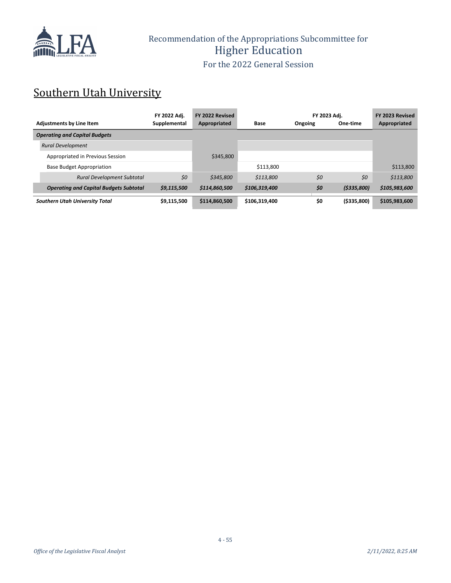

### For the 2022 General Session

# Southern Utah University

|                                               | FY 2022 Adi. | FY 2022 Revised |               | FY 2023 Adi. |               | FY 2023 Revised |
|-----------------------------------------------|--------------|-----------------|---------------|--------------|---------------|-----------------|
| <b>Adjustments by Line Item</b>               | Supplemental | Appropriated    | Base          | Ongoing      | One-time      | Appropriated    |
| <b>Operating and Capital Budgets</b>          |              |                 |               |              |               |                 |
| <b>Rural Development</b>                      |              |                 |               |              |               |                 |
| Appropriated in Previous Session              |              | \$345,800       |               |              |               |                 |
| <b>Base Budget Appropriation</b>              |              |                 | \$113.800     |              |               | \$113,800       |
| <b>Rural Development Subtotal</b>             | \$0          | \$345,800       | \$113,800     | \$0          | \$0           | \$113,800       |
| <b>Operating and Capital Budgets Subtotal</b> | \$9,115,500  | \$114,860,500   | \$106,319,400 | \$0          | (5335,800)    | \$105,983,600   |
| <b>Southern Utah University Total</b>         | \$9.115.500  | \$114,860,500   | \$106,319,400 | \$0          | ( \$335, 800) | \$105,983,600   |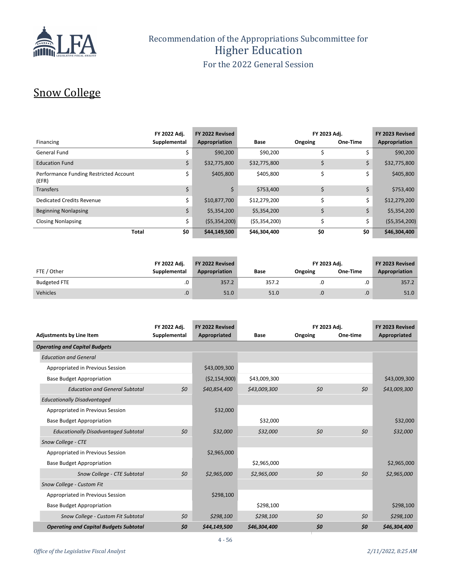

### For the 2022 General Session

# Snow College

|                                                 | FY 2022 Adj. | FY 2022 Revised |                | FY 2023 Adj. |          | FY 2023 Revised |
|-------------------------------------------------|--------------|-----------------|----------------|--------------|----------|-----------------|
| Financing                                       | Supplemental | Appropriation   | <b>Base</b>    | Ongoing      | One-Time | Appropriation   |
| General Fund                                    | \$           | \$90,200        | \$90,200       |              |          | \$90,200        |
| <b>Education Fund</b>                           | \$           | \$32,775,800    | \$32,775,800   | \$           | \$       | \$32,775,800    |
| Performance Funding Restricted Account<br>(EFR) | \$           | \$405,800       | \$405,800      | \$           |          | \$405,800       |
| <b>Transfers</b>                                | \$           |                 | \$753,400      | \$           | \$       | \$753,400       |
| Dedicated Credits Revenue                       | \$           | \$10,877,700    | \$12,279,200   | \$           | Ś.       | \$12,279,200    |
| <b>Beginning Nonlapsing</b>                     | \$           | \$5,354,200     | \$5,354,200    | \$           | \$       | \$5,354,200     |
| <b>Closing Nonlapsing</b>                       | \$           | (55,354,200)    | ( \$5,354,200) | \$           | Ś.       | (55, 354, 200)  |
| <b>Total</b>                                    | \$0          | \$44,149,500    | \$46,304,400   | \$0          | \$0      | \$46,304,400    |

|              | FY 2022 Adj.    | FY 2022 Revised |       | FY 2023 Adj. |          | FY 2023 Revised |
|--------------|-----------------|-----------------|-------|--------------|----------|-----------------|
| FTE / Other  | Supplemental    | Appropriation   | Base  | Ongoing      | One-Time | Appropriation   |
| Budgeted FTE | $.0 \,$         | 357.2           | 357.2 |              |          | 357.2           |
| Vehicles     | .0 <sub>1</sub> | 51.0            | 51.0  |              | .0       | 51.0            |

|                                               | FY 2022 Adj. | FY 2022 Revised |              | FY 2023 Adi. |          | FY 2023 Revised |
|-----------------------------------------------|--------------|-----------------|--------------|--------------|----------|-----------------|
| <b>Adjustments by Line Item</b>               | Supplemental | Appropriated    | <b>Base</b>  | Ongoing      | One-time | Appropriated    |
| <b>Operating and Capital Budgets</b>          |              |                 |              |              |          |                 |
| <b>Education and General</b>                  |              |                 |              |              |          |                 |
| Appropriated in Previous Session              |              | \$43,009,300    |              |              |          |                 |
| <b>Base Budget Appropriation</b>              |              | ( \$2,154,900)  | \$43,009,300 |              |          | \$43,009,300    |
| <b>Education and General Subtotal</b>         | \$0          | \$40,854,400    | \$43,009,300 | 50           | \$0      | \$43,009,300    |
| <b>Educationally Disadvantaged</b>            |              |                 |              |              |          |                 |
| Appropriated in Previous Session              |              | \$32,000        |              |              |          |                 |
| <b>Base Budget Appropriation</b>              |              |                 | \$32,000     |              |          | \$32,000        |
| <b>Educationally Disadvantaged Subtotal</b>   | \$0          | \$32,000        | \$32,000     | 50           | 50       | \$32,000        |
| Snow College - CTE                            |              |                 |              |              |          |                 |
| Appropriated in Previous Session              |              | \$2,965,000     |              |              |          |                 |
| <b>Base Budget Appropriation</b>              |              |                 | \$2,965,000  |              |          | \$2,965,000     |
| Snow College - CTE Subtotal                   | \$0          | \$2,965,000     | \$2,965,000  | 50           | \$0      | \$2,965,000     |
| Snow College - Custom Fit                     |              |                 |              |              |          |                 |
| Appropriated in Previous Session              |              | \$298,100       |              |              |          |                 |
| <b>Base Budget Appropriation</b>              |              |                 | \$298,100    |              |          | \$298,100       |
| Snow College - Custom Fit Subtotal            | \$0          | \$298,100       | \$298,100    | 50           | \$0      | \$298,100       |
| <b>Operating and Capital Budgets Subtotal</b> | \$0          | \$44,149,500    | \$46,304,400 | \$0          | \$0      | \$46,304,400    |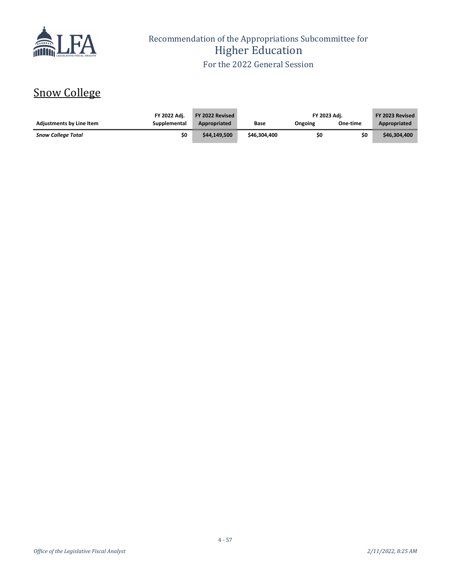

### Recommendation of the Appropriations Subcommittee for Higher Education For the 2022 General Session

# Snow College

|                                 | FY 2022 Adj. | FY 2022 Revised | FY 2023 Adi. |         |          | FY 2023 Revised |
|---------------------------------|--------------|-----------------|--------------|---------|----------|-----------------|
| <b>Adjustments by Line Item</b> | Supplemental | Appropriated    | Base         | Ongoing | One-time | Appropriated    |
| Snow College Total              | \$0          | \$44,149,500    | \$46,304,400 | \$0     | \$0      | \$46,304,400    |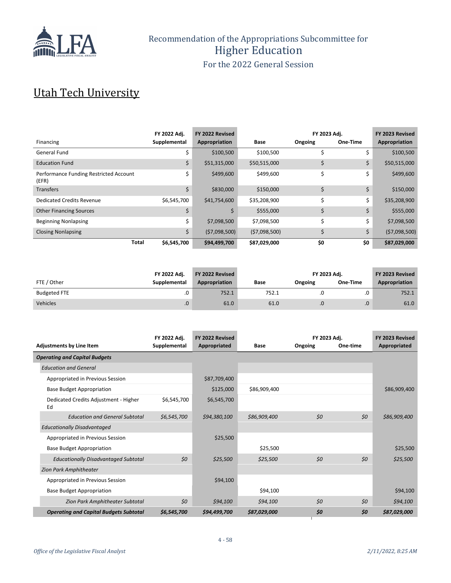

### For the 2022 General Session

# Utah Tech University

|                                                 | FY 2022 Adj. | FY 2022 Revised |              | FY 2023 Adj. |          | FY 2023 Revised |
|-------------------------------------------------|--------------|-----------------|--------------|--------------|----------|-----------------|
| Financing                                       | Supplemental | Appropriation   | <b>Base</b>  | Ongoing      | One-Time | Appropriation   |
| General Fund                                    | \$           | \$100,500       | \$100,500    | \$           |          | \$100,500       |
| <b>Education Fund</b>                           | \$           | \$51,315,000    | \$50,515,000 | \$           | \$       | \$50,515,000    |
| Performance Funding Restricted Account<br>(EFR) | \$           | \$499,600       | \$499,600    | \$           | \$       | \$499,600       |
| <b>Transfers</b>                                | \$           | \$830,000       | \$150,000    | \$           | \$       | \$150,000       |
| Dedicated Credits Revenue                       | \$6,545,700  | \$41,754,600    | \$35,208,900 | \$           | \$       | \$35,208,900    |
| <b>Other Financing Sources</b>                  | \$           |                 | \$555,000    | \$           | \$       | \$555,000       |
| <b>Beginning Nonlapsing</b>                     | \$           | \$7,098,500     | \$7,098,500  | \$           | Ś.       | \$7,098,500     |
| <b>Closing Nonlapsing</b>                       | \$           | (57,098,500)    | (57,098,500) | \$           | \$       | (57,098,500)    |
| Total                                           | \$6,545,700  | \$94,499,700    | \$87,029,000 | \$0          | \$0      | \$87,029,000    |

|                     | FY 2022 Adj. | FY 2022 Revised |       | FY 2023 Adi. |          | FY 2023 Revised |
|---------------------|--------------|-----------------|-------|--------------|----------|-----------------|
| FTE / Other         | Supplemental | Appropriation   | Base  | Ongoing      | One-Time | Appropriation   |
| <b>Budgeted FTE</b> | .0           | 752.1           | 752.1 |              |          | 752.1           |
| Vehicles            |              | 61.0            | 61.0  |              | .0       | 61.0            |

|                                               | FY 2022 Adj. | FY 2022 Revised |              | FY 2023 Adj. |          | FY 2023 Revised |
|-----------------------------------------------|--------------|-----------------|--------------|--------------|----------|-----------------|
| <b>Adjustments by Line Item</b>               | Supplemental | Appropriated    | <b>Base</b>  | Ongoing      | One-time | Appropriated    |
| <b>Operating and Capital Budgets</b>          |              |                 |              |              |          |                 |
| <b>Education and General</b>                  |              |                 |              |              |          |                 |
| Appropriated in Previous Session              |              | \$87,709,400    |              |              |          |                 |
| <b>Base Budget Appropriation</b>              |              | \$125,000       | \$86,909,400 |              |          | \$86,909,400    |
| Dedicated Credits Adjustment - Higher<br>Ed   | \$6,545,700  | \$6,545,700     |              |              |          |                 |
| <b>Education and General Subtotal</b>         | \$6,545,700  | \$94,380,100    | \$86,909,400 | SO           | \$0      | \$86,909,400    |
| <b>Educationally Disadvantaged</b>            |              |                 |              |              |          |                 |
| Appropriated in Previous Session              |              | \$25,500        |              |              |          |                 |
| <b>Base Budget Appropriation</b>              |              |                 | \$25,500     |              |          | \$25,500        |
| <b>Educationally Disadvantaged Subtotal</b>   | 50           | \$25,500        | \$25,500     | \$0          | \$0      | \$25,500        |
| Zion Park Amphitheater                        |              |                 |              |              |          |                 |
| Appropriated in Previous Session              |              | \$94,100        |              |              |          |                 |
| <b>Base Budget Appropriation</b>              |              |                 | \$94,100     |              |          | \$94,100        |
| Zion Park Amphitheater Subtotal               | \$0          | \$94,100        | \$94,100     | \$0          | \$0      | \$94,100        |
| <b>Operating and Capital Budgets Subtotal</b> | \$6,545,700  | \$94,499,700    | \$87,029,000 | \$0          | \$0      | \$87,029,000    |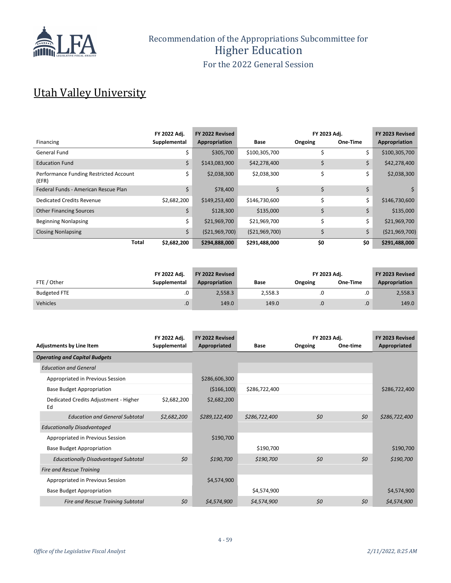

### For the 2022 General Session

# Utah Valley University

| Financing                                       | FY 2022 Adj.<br>Supplemental | FY 2022 Revised<br>Appropriation | Base            | FY 2023 Adj.<br>Ongoing | One-Time | FY 2023 Revised<br>Appropriation |
|-------------------------------------------------|------------------------------|----------------------------------|-----------------|-------------------------|----------|----------------------------------|
|                                                 |                              |                                  |                 |                         |          |                                  |
| General Fund                                    | \$                           | \$305,700                        | \$100,305,700   |                         | \$       | \$100,305,700                    |
| <b>Education Fund</b>                           | \$                           | \$143,083,900                    | \$42,278,400    | \$                      | \$       | \$42,278,400                     |
| Performance Funding Restricted Account<br>(EFR) | \$                           | \$2,038,300                      | \$2,038,300     | \$                      | \$       | \$2,038,300                      |
| Federal Funds - American Rescue Plan            | \$                           | \$78,400                         | \$              | \$                      | \$       |                                  |
| <b>Dedicated Credits Revenue</b>                | \$2,682,200                  | \$149,253,400                    | \$146,730,600   | \$                      | Ś        | \$146,730,600                    |
| <b>Other Financing Sources</b>                  | \$                           | \$128,300                        | \$135,000       | \$                      | \$       | \$135,000                        |
| <b>Beginning Nonlapsing</b>                     | \$                           | \$21,969,700                     | \$21,969,700    | \$                      | \$       | \$21,969,700                     |
| <b>Closing Nonlapsing</b>                       | \$                           | (521, 969, 700)                  | ( \$21,969,700) | \$                      | \$       | (\$21,969,700)                   |
| <b>Total</b>                                    | \$2,682,200                  | \$294,888,000                    | \$291,488,000   | \$0                     | \$0      | \$291,488,000                    |

|              | FY 2022 Adj. | FY 2022 Revised |         | FY 2023 Adj. |          | FY 2023 Revised |
|--------------|--------------|-----------------|---------|--------------|----------|-----------------|
| FTE / Other  | Supplemental | Appropriation   | Base    | Ongoing      | One-Time | Appropriation   |
| Budgeted FTE | .0           | 2,558.3         | 2,558.3 |              | ٠.       | 2,558.3         |
| Vehicles     |              | 149.0           | 149.0   |              |          | 149.0           |

|                                             | FY 2022 Adj. | FY 2022 Revised |               | FY 2023 Adj. |          | FY 2023 Revised |
|---------------------------------------------|--------------|-----------------|---------------|--------------|----------|-----------------|
| <b>Adjustments by Line Item</b>             | Supplemental | Appropriated    | Base          | Ongoing      | One-time | Appropriated    |
| <b>Operating and Capital Budgets</b>        |              |                 |               |              |          |                 |
| <b>Education and General</b>                |              |                 |               |              |          |                 |
| Appropriated in Previous Session            |              | \$286,606,300   |               |              |          |                 |
| <b>Base Budget Appropriation</b>            |              | ( \$166, 100)   | \$286,722,400 |              |          | \$286,722,400   |
| Dedicated Credits Adjustment - Higher<br>Ed | \$2,682,200  | \$2,682,200     |               |              |          |                 |
| <b>Education and General Subtotal</b>       | \$2,682,200  | \$289,122,400   | \$286,722,400 | 50           | \$0      | \$286,722,400   |
| <b>Educationally Disadvantaged</b>          |              |                 |               |              |          |                 |
| Appropriated in Previous Session            |              | \$190,700       |               |              |          |                 |
| <b>Base Budget Appropriation</b>            |              |                 | \$190,700     |              |          | \$190,700       |
| <b>Educationally Disadvantaged Subtotal</b> | \$0          | \$190,700       | \$190,700     | 50           | 50       | \$190,700       |
| <b>Fire and Rescue Training</b>             |              |                 |               |              |          |                 |
| Appropriated in Previous Session            |              | \$4,574,900     |               |              |          |                 |
| <b>Base Budget Appropriation</b>            |              |                 | \$4,574,900   |              |          | \$4,574,900     |
| Fire and Rescue Training Subtotal           | \$0          | \$4,574,900     | \$4,574,900   | 50           | \$0      | \$4,574,900     |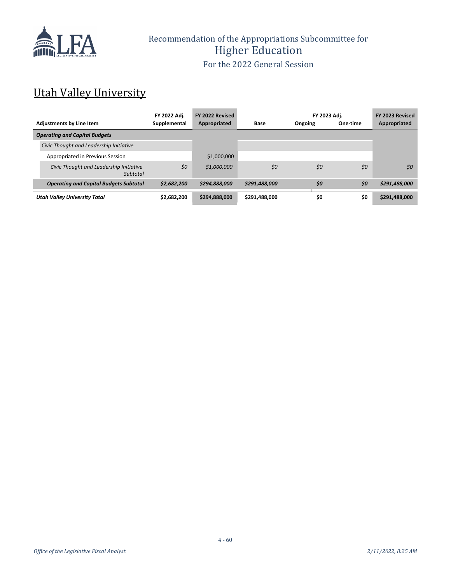

### For the 2022 General Session

# Utah Valley University

|                                                     | FY 2022 Adj. | FY 2022 Revised |               | FY 2023 Adi. |          | FY 2023 Revised |
|-----------------------------------------------------|--------------|-----------------|---------------|--------------|----------|-----------------|
| <b>Adjustments by Line Item</b>                     | Supplemental | Appropriated    | <b>Base</b>   | Ongoing      | One-time | Appropriated    |
| <b>Operating and Capital Budgets</b>                |              |                 |               |              |          |                 |
| Civic Thought and Leadership Initiative             |              |                 |               |              |          |                 |
| Appropriated in Previous Session                    |              | \$1,000,000     |               |              |          |                 |
| Civic Thought and Leadership Initiative<br>Subtotal | 50           | \$1,000,000     | \$0           | \$0          | \$0      | \$0             |
| <b>Operating and Capital Budgets Subtotal</b>       | \$2,682,200  | \$294,888,000   | \$291,488,000 | \$0          | \$0      | \$291,488,000   |
| <b>Utah Valley University Total</b>                 | \$2,682,200  | \$294,888,000   | \$291,488,000 | \$0          | \$0      | \$291,488,000   |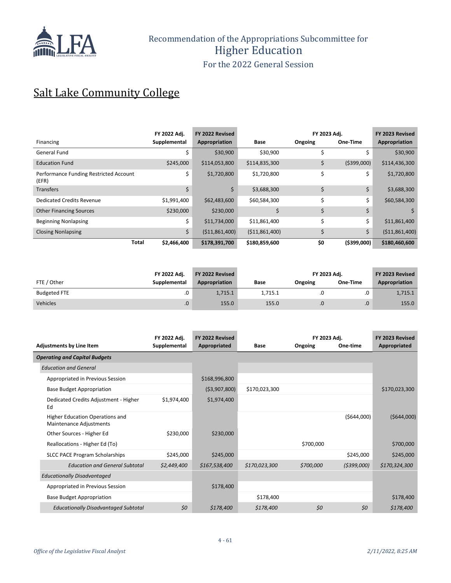

For the 2022 General Session

# Salt Lake Community College

|                                                 | FY 2022 Adj. | FY 2022 Revised |                 | FY 2023 Adj. |            | FY 2023 Revised |
|-------------------------------------------------|--------------|-----------------|-----------------|--------------|------------|-----------------|
| Financing                                       | Supplemental | Appropriation   | <b>Base</b>     | Ongoing      | One Time   | Appropriation   |
| General Fund                                    | \$           | \$30,900        | \$30,900        |              |            | \$30,900        |
| <b>Education Fund</b>                           | \$245,000    | \$114,053,800   | \$114,835,300   | \$           | (5399,000) | \$114,436,300   |
| Performance Funding Restricted Account<br>(EFR) | \$.          | \$1,720,800     | \$1,720,800     | \$           | \$         | \$1,720,800     |
| <b>Transfers</b>                                | \$           |                 | \$3,688,300     | \$           | \$         | \$3,688,300     |
| <b>Dedicated Credits Revenue</b>                | \$1,991,400  | \$62,483,600    | \$60,584,300    | \$           | \$         | \$60,584,300    |
| <b>Other Financing Sources</b>                  | \$230,000    | \$230,000       |                 | \$           | \$         |                 |
| <b>Beginning Nonlapsing</b>                     | \$           | \$11,734,000    | \$11,861,400    | \$           | \$         | \$11,861,400    |
| <b>Closing Nonlapsing</b>                       | \$           | ( \$11,861,400) | ( \$11,861,400) | \$           | \$         | ( \$11,861,400) |
| <b>Total</b>                                    | \$2,466,400  | \$178,391,700   | \$180,859,600   | \$0          | (5399,000) | \$180,460,600   |

|                     | FY 2022 Adj.    | FY 2022 Revised | FY 2023 Adj. |         | FY 2023 Revised |               |
|---------------------|-----------------|-----------------|--------------|---------|-----------------|---------------|
| FTE / Other         | Supplemental    | Appropriation   | Base         | Ongoing | One Time        | Appropriation |
| <b>Budgeted FTE</b> |                 | 1,715.1         | 1,715.1      |         | .∪              | 1,715.1       |
| Vehicles            | .0 <sub>1</sub> | 155.0           | 155.0        |         |                 | 155.0         |

|                                                            | FY 2022 Adj. | FY 2022 Revised |               | FY 2023 Adj. |              | FY 2023 Revised |
|------------------------------------------------------------|--------------|-----------------|---------------|--------------|--------------|-----------------|
| <b>Adjustments by Line Item</b>                            | Supplemental | Appropriated    | <b>Base</b>   | Ongoing      | One-time     | Appropriated    |
| <b>Operating and Capital Budgets</b>                       |              |                 |               |              |              |                 |
| <b>Education and General</b>                               |              |                 |               |              |              |                 |
| Appropriated in Previous Session                           |              | \$168,996,800   |               |              |              |                 |
| <b>Base Budget Appropriation</b>                           |              | ( \$3,907,800)  | \$170,023,300 |              |              | \$170,023,300   |
| Dedicated Credits Adjustment - Higher<br>Ed                | \$1,974,400  | \$1,974,400     |               |              |              |                 |
| Higher Education Operations and<br>Maintenance Adjustments |              |                 |               |              | (5644,000)   | (5644,000)      |
| Other Sources - Higher Ed                                  | \$230,000    | \$230,000       |               |              |              |                 |
| Reallocations - Higher Ed (To)                             |              |                 |               | \$700,000    |              | \$700,000       |
| <b>SLCC PACE Program Scholarships</b>                      | \$245,000    | \$245,000       |               |              | \$245,000    | \$245,000       |
| <b>Education and General Subtotal</b>                      | \$2,449,400  | \$167,538,400   | \$170,023,300 | \$700,000    | ( \$399,000] | \$170,324,300   |
| <b>Educationally Disadvantaged</b>                         |              |                 |               |              |              |                 |
| Appropriated in Previous Session                           |              | \$178,400       |               |              |              |                 |
| <b>Base Budget Appropriation</b>                           |              |                 | \$178,400     |              |              | \$178,400       |
| <b>Educationally Disadvantaged Subtotal</b>                | \$0          | \$178,400       | \$178,400     | \$0          | \$0          | \$178,400       |